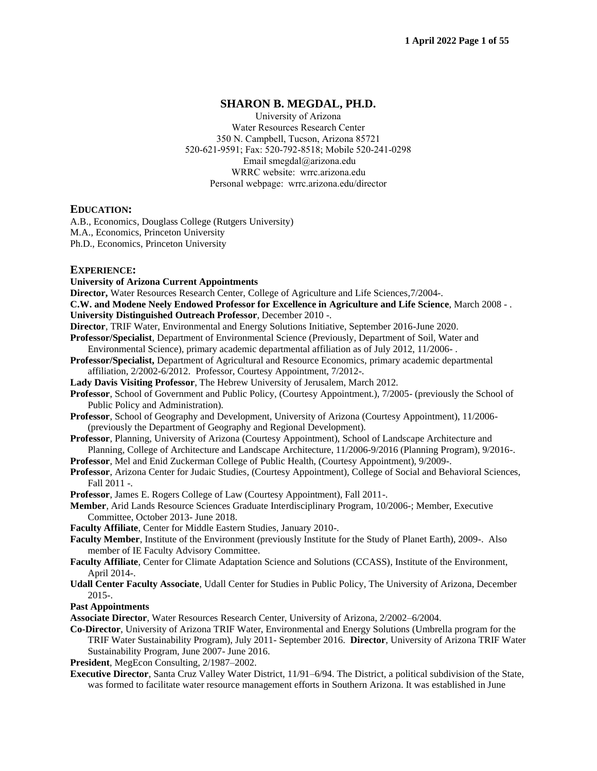# **SHARON B. MEGDAL, PH.D.**

University of Arizona Water Resources Research Center 350 N. Campbell, Tucson, Arizona 85721 520-621-9591; Fax: 520-792-8518; Mobile 520-241-0298 Email smegdal@arizona.edu WRRC website: wrrc.arizona.edu Personal webpage: wrrc.arizona.edu/director

## **EDUCATION:**

A.B., Economics, Douglass College (Rutgers University) M.A., Economics, Princeton University Ph.D., Economics, Princeton University

## **EXPERIENCE:**

**University of Arizona Current Appointments**

**Director,** Water Resources Research Center, College of Agriculture and Life Sciences,7/2004-.

**C.W. and Modene Neely Endowed Professor for Excellence in Agriculture and Life Science**, March 2008 - .

**University Distinguished Outreach Professor**, December 2010 -.

**Director**, TRIF Water, Environmental and Energy Solutions Initiative, September 2016-June 2020.

- **Professor/Specialist**, Department of Environmental Science (Previously, Department of Soil, Water and Environmental Science), primary academic departmental affiliation as of July 2012, 11/2006- .
- **Professor/Specialist,** Department of Agricultural and Resource Economics, primary academic departmental affiliation, 2/2002-6/2012. Professor, Courtesy Appointment, 7/2012-.
- **Lady Davis Visiting Professor**, The Hebrew University of Jerusalem, March 2012.
- **Professor**, School of Government and Public Policy, (Courtesy Appointment.), 7/2005- (previously the School of Public Policy and Administration).
- **Professor**, School of Geography and Development, University of Arizona (Courtesy Appointment), 11/2006- (previously the Department of Geography and Regional Development).
- **Professor**, Planning, University of Arizona (Courtesy Appointment), School of Landscape Architecture and Planning, College of Architecture and Landscape Architecture, 11/2006-9/2016 (Planning Program), 9/2016-.
- **Professor**, Mel and Enid Zuckerman College of Public Health, (Courtesy Appointment), 9/2009-.
- **Professor**, Arizona Center for Judaic Studies, (Courtesy Appointment), College of Social and Behavioral Sciences, Fall 2011 -.

**Professor**, James E. Rogers College of Law (Courtesy Appointment), Fall 2011-.

**Member**, Arid Lands Resource Sciences Graduate Interdisciplinary Program, 10/2006-; Member, Executive Committee, October 2013- June 2018.

**Faculty Affiliate**, Center for Middle Eastern Studies, January 2010-.

- **Faculty Member**, Institute of the Environment (previously Institute for the Study of Planet Earth), 2009-. Also member of IE Faculty Advisory Committee.
- **Faculty Affiliate**, Center for Climate Adaptation Science and Solutions (CCASS), Institute of the Environment, April 2014-.
- **Udall Center Faculty Associate**, Udall Center for Studies in Public Policy, The University of Arizona, December 2015-.

## **Past Appointments**

**Associate Director**, Water Resources Research Center, University of Arizona, 2/2002–6/2004.

- **Co-Director**, University of Arizona TRIF Water, Environmental and Energy Solutions (Umbrella program for the TRIF Water Sustainability Program), July 2011- September 2016. **Director**, University of Arizona TRIF Water Sustainability Program, June 2007- June 2016.
- **President**, MegEcon Consulting, 2/1987–2002.
- **Executive Director**, Santa Cruz Valley Water District, 11/91–6/94. The District, a political subdivision of the State, was formed to facilitate water resource management efforts in Southern Arizona. It was established in June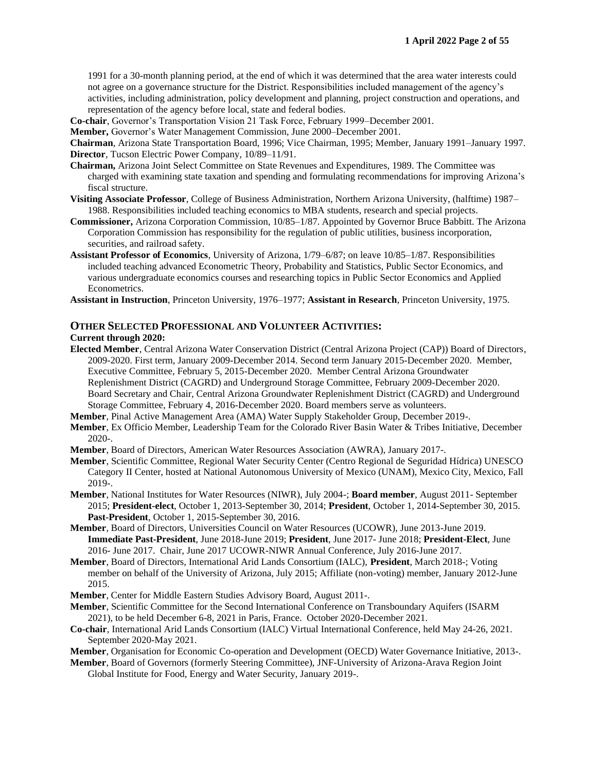1991 for a 30-month planning period, at the end of which it was determined that the area water interests could not agree on a governance structure for the District. Responsibilities included management of the agency's activities, including administration, policy development and planning, project construction and operations, and representation of the agency before local, state and federal bodies.

**Co-chair**, Governor's Transportation Vision 21 Task Force, February 1999–December 2001.

**Member,** Governor's Water Management Commission, June 2000–December 2001.

**Chairman**, Arizona State Transportation Board, 1996; Vice Chairman, 1995; Member, January 1991–January 1997. **Director**, Tucson Electric Power Company, 10/89–11/91.

- **Chairman,** Arizona Joint Select Committee on State Revenues and Expenditures, 1989. The Committee was charged with examining state taxation and spending and formulating recommendations for improving Arizona's fiscal structure.
- **Visiting Associate Professor**, College of Business Administration, Northern Arizona University, (halftime) 1987– 1988. Responsibilities included teaching economics to MBA students, research and special projects.
- **Commissioner,** Arizona Corporation Commission, 10/85–1/87. Appointed by Governor Bruce Babbitt. The Arizona Corporation Commission has responsibility for the regulation of public utilities, business incorporation, securities, and railroad safety.
- **Assistant Professor of Economics**, University of Arizona, 1/79–6/87; on leave 10/85–1/87. Responsibilities included teaching advanced Econometric Theory, Probability and Statistics, Public Sector Economics, and various undergraduate economics courses and researching topics in Public Sector Economics and Applied Econometrics.
- **Assistant in Instruction**, Princeton University, 1976–1977; **Assistant in Research**, Princeton University, 1975.

#### **OTHER SELECTED PROFESSIONAL AND VOLUNTEER ACTIVITIES:**

#### **Current through 2020:**

- **Elected Member**, Central Arizona Water Conservation District (Central Arizona Project (CAP)) Board of Directors, 2009-2020. First term, January 2009-December 2014. Second term January 2015-December 2020. Member, Executive Committee, February 5, 2015-December 2020. Member Central Arizona Groundwater Replenishment District (CAGRD) and Underground Storage Committee, February 2009-December 2020. Board Secretary and Chair, Central Arizona Groundwater Replenishment District (CAGRD) and Underground Storage Committee, February 4, 2016-December 2020. Board members serve as volunteers.
- **Member**, Pinal Active Management Area (AMA) Water Supply Stakeholder Group, December 2019-.
- **Member**, Ex Officio Member, Leadership Team for the Colorado River Basin Water & Tribes Initiative, December 2020-.
- **Member**, Board of Directors, American Water Resources Association (AWRA), January 2017-.
- **Member**, Scientific Committee, Regional Water Security Center (Centro Regional de Seguridad Hídrica) UNESCO Category II Center, hosted at National Autonomous University of Mexico (UNAM), Mexico City, Mexico, Fall 2019-.
- **Member**, National Institutes for Water Resources (NIWR), July 2004-; **Board member**, August 2011- September 2015; **President-elect**, October 1, 2013-September 30, 2014; **President**, October 1, 2014-September 30, 2015. **Past-President**, October 1, 2015-September 30, 2016.
- **Member**, Board of Directors, Universities Council on Water Resources (UCOWR), June 2013-June 2019. **Immediate Past-President**, June 2018-June 2019; **President**, June 2017- June 2018; **President-Elect**, June 2016- June 2017. Chair, June 2017 UCOWR-NIWR Annual Conference, July 2016-June 2017.
- **Member**, Board of Directors, International Arid Lands Consortium (IALC), **President**, March 2018-; Voting member on behalf of the University of Arizona, July 2015; Affiliate (non-voting) member, January 2012-June 2015.
- **Member**, Center for Middle Eastern Studies Advisory Board, August 2011-.
- **Member**, Scientific Committee for the Second International Conference on Transboundary Aquifers (ISARM 2021), to be held December 6-8, 2021 in Paris, France. October 2020-December 2021.
- **Co-chair**, International Arid Lands Consortium (IALC) Virtual International Conference, held May 24-26, 2021. September 2020-May 2021.

**Member**, Organisation for Economic Co-operation and Development (OECD) Water Governance Initiative, 2013-.

**Member**, Board of Governors (formerly Steering Committee), JNF-University of Arizona-Arava Region Joint Global Institute for Food, Energy and Water Security, January 2019-.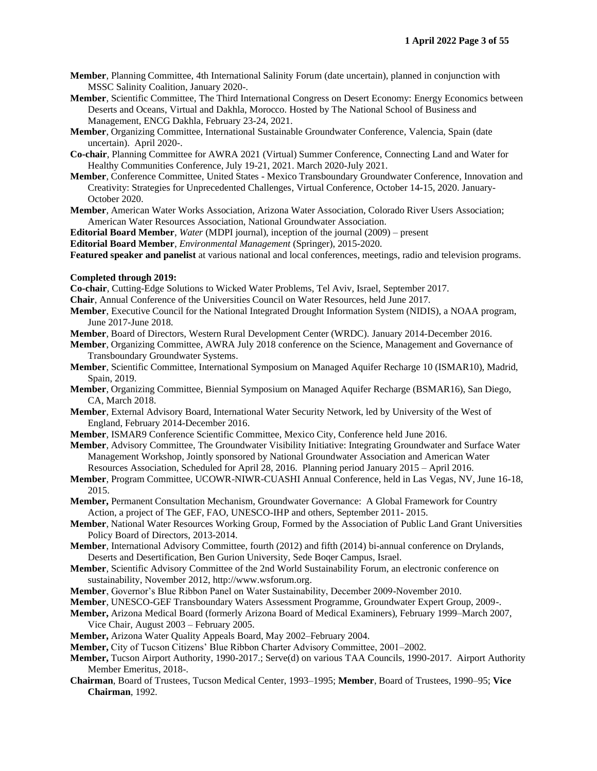- **Member**, Planning Committee, 4th International Salinity Forum (date uncertain), planned in conjunction with MSSC Salinity Coalition, January 2020-.
- **Member**, Scientific Committee, The Third International Congress on Desert Economy: Energy Economics between Deserts and Oceans, Virtual and Dakhla, Morocco. Hosted by The National School of Business and Management, ENCG Dakhla, February 23-24, 2021.
- **Member**, Organizing Committee, International Sustainable Groundwater Conference, Valencia, Spain (date uncertain). April 2020-.
- **Co-chair**, Planning Committee for AWRA 2021 (Virtual) Summer Conference, Connecting Land and Water for Healthy Communities Conference, July 19-21, 2021. March 2020-July 2021.
- **Member**, Conference Committee, United States Mexico Transboundary Groundwater Conference, Innovation and Creativity: Strategies for Unprecedented Challenges, Virtual Conference, October 14-15, 2020. January-October 2020.
- **Member**, American Water Works Association, Arizona Water Association, Colorado River Users Association; American Water Resources Association, National Groundwater Association.

**Editorial Board Member**, *Water* (MDPI journal), inception of the journal (2009) – present

**Editorial Board Member**, *Environmental Management* (Springer), 2015-2020.

**Featured speaker and panelist** at various national and local conferences, meetings, radio and television programs.

#### **Completed through 2019:**

**Co-chair**, Cutting-Edge Solutions to Wicked Water Problems, Tel Aviv, Israel, September 2017.

**Chair**, Annual Conference of the Universities Council on Water Resources, held June 2017.

**Member**, Executive Council for the National Integrated Drought Information System (NIDIS), a NOAA program, June 2017-June 2018.

**Member**, Board of Directors, Western Rural Development Center (WRDC). January 2014-December 2016.

- **Member**, Organizing Committee, AWRA July 2018 conference on the Science, Management and Governance of Transboundary Groundwater Systems.
- **Member**, Scientific Committee, International Symposium on Managed Aquifer Recharge 10 (ISMAR10), Madrid, Spain, 2019.
- **Member**, Organizing Committee, Biennial Symposium on Managed Aquifer Recharge (BSMAR16), San Diego, CA, March 2018.
- **Member**, External Advisory Board, International Water Security Network, led by University of the West of England, February 2014-December 2016.
- **Member**, ISMAR9 Conference Scientific Committee, Mexico City, Conference held June 2016.
- **Member**, Advisory Committee, The Groundwater Visibility Initiative: Integrating Groundwater and Surface Water Management Workshop, Jointly sponsored by National Groundwater Association and American Water Resources Association, Scheduled for April 28, 2016. Planning period January 2015 – April 2016.
- **Member**, Program Committee, UCOWR-NIWR-CUASHI Annual Conference, held in Las Vegas, NV, June 16-18, 2015.
- **Member,** Permanent Consultation Mechanism, Groundwater Governance: A Global Framework for Country Action, a project of The GEF, FAO, UNESCO-IHP and others, September 2011- 2015.
- **Member**, National Water Resources Working Group, Formed by the Association of Public Land Grant Universities Policy Board of Directors, 2013-2014.
- **Member**, International Advisory Committee, fourth (2012) and fifth (2014) bi-annual conference on Drylands, Deserts and Desertification, Ben Gurion University, Sede Boqer Campus, Israel.
- **Member**, Scientific Advisory Committee of the 2nd World Sustainability Forum, an electronic conference on sustainability, November 2012, http://www.wsforum.org.
- **Member**, Governor's Blue Ribbon Panel on Water Sustainability, December 2009-November 2010.
- **Member**, UNESCO-GEF Transboundary Waters Assessment Programme, Groundwater Expert Group, 2009-.
- **Member,** Arizona Medical Board (formerly Arizona Board of Medical Examiners), February 1999–March 2007, Vice Chair, August 2003 – February 2005.
- **Member,** Arizona Water Quality Appeals Board, May 2002–February 2004.
- **Member,** City of Tucson Citizens' Blue Ribbon Charter Advisory Committee, 2001–2002.
- **Member,** Tucson Airport Authority, 1990-2017.; Serve(d) on various TAA Councils, 1990-2017. Airport Authority Member Emeritus, 2018-.
- **Chairman**, Board of Trustees, Tucson Medical Center, 1993–1995; **Member**, Board of Trustees, 1990–95; **Vice Chairman**, 1992.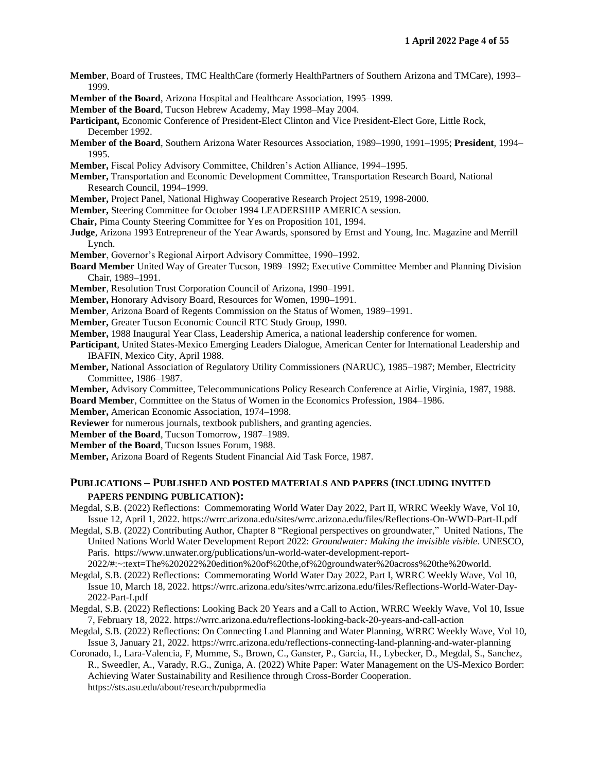- **Member**, Board of Trustees, TMC HealthCare (formerly HealthPartners of Southern Arizona and TMCare), 1993– 1999.
- **Member of the Board**, Arizona Hospital and Healthcare Association, 1995–1999.
- **Member of the Board**, Tucson Hebrew Academy, May 1998–May 2004.
- **Participant,** Economic Conference of President-Elect Clinton and Vice President-Elect Gore, Little Rock, December 1992.
- **Member of the Board**, Southern Arizona Water Resources Association, 1989–1990, 1991–1995; **President**, 1994– 1995.
- **Member,** Fiscal Policy Advisory Committee, Children's Action Alliance, 1994–1995.
- **Member,** Transportation and Economic Development Committee, Transportation Research Board, National Research Council, 1994–1999.
- **Member,** Project Panel, National Highway Cooperative Research Project 2519, 1998-2000.
- **Member,** Steering Committee for October 1994 LEADERSHIP AMERICA session.
- **Chair,** Pima County Steering Committee for Yes on Proposition 101, 1994.
- **Judge**, Arizona 1993 Entrepreneur of the Year Awards, sponsored by Ernst and Young, Inc. Magazine and Merrill Lynch.
- **Member**, Governor's Regional Airport Advisory Committee, 1990–1992.
- **Board Member** United Way of Greater Tucson, 1989–1992; Executive Committee Member and Planning Division Chair, 1989–1991.
- **Member**, Resolution Trust Corporation Council of Arizona, 1990–1991.
- **Member,** Honorary Advisory Board, Resources for Women, 1990–1991.
- **Member**, Arizona Board of Regents Commission on the Status of Women, 1989–1991.
- **Member,** Greater Tucson Economic Council RTC Study Group, 1990.
- **Member,** 1988 Inaugural Year Class, Leadership America, a national leadership conference for women.
- **Participant**, United States-Mexico Emerging Leaders Dialogue, American Center for International Leadership and IBAFIN, Mexico City, April 1988.
- **Member,** National Association of Regulatory Utility Commissioners (NARUC), 1985–1987; Member, Electricity Committee, 1986–1987.
- **Member,** Advisory Committee, Telecommunications Policy Research Conference at Airlie, Virginia, 1987, 1988. **Board Member**, Committee on the Status of Women in the Economics Profession, 1984–1986.
- **Member,** American Economic Association, 1974–1998.
- **Reviewer** for numerous journals, textbook publishers, and granting agencies.
- **Member of the Board**, Tucson Tomorrow, 1987–1989.
- **Member of the Board**, Tucson Issues Forum, 1988.
- **Member,** Arizona Board of Regents Student Financial Aid Task Force, 1987.

# **PUBLICATIONS – PUBLISHED AND POSTED MATERIALS AND PAPERS (INCLUDING INVITED PAPERS PENDING PUBLICATION):**

- Megdal, S.B. (2022) Reflections: Commemorating World Water Day 2022, Part II, WRRC Weekly Wave, Vol 10, Issue 12, April 1, 2022. https://wrrc.arizona.edu/sites/wrrc.arizona.edu/files/Reflections-On-WWD-Part-II.pdf
- Megdal, S.B. (2022) Contributing Author, Chapter 8 "Regional perspectives on groundwater," United Nations, The United Nations World Water Development Report 2022: *Groundwater: Making the invisible visible*. UNESCO, Paris. https://www.unwater.org/publications/un-world-water-development-report-2022/#:~:text=The%202022%20edition%20of%20the,of%20groundwater%20across%20the%20world.
- Megdal, S.B. (2022) Reflections: Commemorating World Water Day 2022, Part I, WRRC Weekly Wave, Vol 10, Issue 10, March 18, 2022. https://wrrc.arizona.edu/sites/wrrc.arizona.edu/files/Reflections-World-Water-Day-2022-Part-I.pdf
- Megdal, S.B. (2022) Reflections: Looking Back 20 Years and a Call to Action, WRRC Weekly Wave, Vol 10, Issue 7, February 18, 2022. https://wrrc.arizona.edu/reflections-looking-back-20-years-and-call-action
- Megdal, S.B. (2022) Reflections: On Connecting Land Planning and Water Planning, WRRC Weekly Wave, Vol 10, Issue 3, January 21, 2022. https://wrrc.arizona.edu/reflections-connecting-land-planning-and-water-planning
- Coronado, I., Lara-Valencia, F, Mumme, S., Brown, C., Ganster, P., Garcia, H., Lybecker, D., Megdal, S., Sanchez, R., Sweedler, A., Varady, R.G., Zuniga, A. (2022) White Paper: Water Management on the US-Mexico Border: Achieving Water Sustainability and Resilience through Cross-Border Cooperation. https://sts.asu.edu/about/research/pubprmedia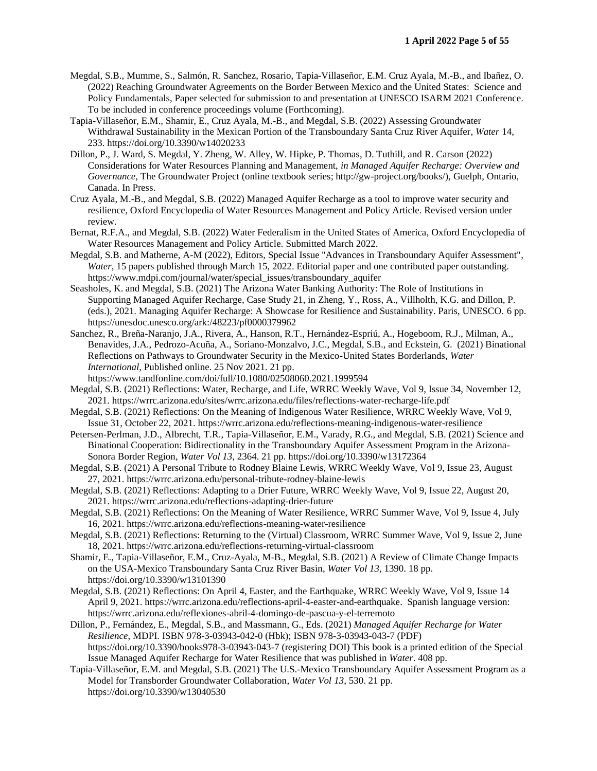- Megdal, S.B., Mumme, S., Salmón, R. Sanchez, Rosario, Tapia-Villaseñor, E.M. Cruz Ayala, M.-B., and Ibañez, O. (2022) Reaching Groundwater Agreements on the Border Between Mexico and the United States: Science and Policy Fundamentals, Paper selected for submission to and presentation at UNESCO ISARM 2021 Conference. To be included in conference proceedings volume (Forthcoming).
- Tapia-Villaseñor, E.M., Shamir, E., Cruz Ayala, M.-B., and Megdal, S.B. (2022) Assessing Groundwater Withdrawal Sustainability in the Mexican Portion of the Transboundary Santa Cruz River Aquifer, *Water* 14, 233. https://doi.org/10.3390/w14020233
- Dillon, P., J. Ward, S. Megdal, Y. Zheng, W. Alley, W. Hipke, P. Thomas, D. Tuthill, and R. Carson (2022) Considerations for Water Resources Planning and Management, *in Managed Aquifer Recharge: Overview and Governance*, The Groundwater Project (online textbook series; http://gw-project.org/books/), Guelph, Ontario, Canada. In Press.
- Cruz Ayala, M.-B., and Megdal, S.B. (2022) Managed Aquifer Recharge as a tool to improve water security and resilience, Oxford Encyclopedia of Water Resources Management and Policy Article. Revised version under review.
- Bernat, R.F.A., and Megdal, S.B. (2022) Water Federalism in the United States of America, Oxford Encyclopedia of Water Resources Management and Policy Article. Submitted March 2022.
- Megdal, S.B. and Matherne, A-M (2022), Editors, Special Issue "Advances in Transboundary Aquifer Assessment", *Water*, 15 papers published through March 15, 2022. Editorial paper and one contributed paper outstanding. https://www.mdpi.com/journal/water/special\_issues/transboundary\_aquifer
- Seasholes, K. and Megdal, S.B. (2021) The Arizona Water Banking Authority: The Role of Institutions in Supporting Managed Aquifer Recharge, Case Study 21, in Zheng, Y., Ross, A., Villholth, K.G. and Dillon, P. (eds.), 2021. Managing Aquifer Recharge: A Showcase for Resilience and Sustainability. Paris, UNESCO. 6 pp. https://unesdoc.unesco.org/ark:/48223/pf0000379962
- Sanchez, R., Breña-Naranjo, J.A., Rivera, A., Hanson, R.T., Hernández-Espriú, A., Hogeboom, R.J., Milman, A., Benavides, J.A., Pedrozo-Acuña, A., Soriano-Monzalvo, J.C., Megdal, S.B., and Eckstein, G. (2021) Binational Reflections on Pathways to Groundwater Security in the Mexico-United States Borderlands, *Water International*, Published online. 25 Nov 2021. 21 pp.
	- https://www.tandfonline.com/doi/full/10.1080/02508060.2021.1999594
- Megdal, S.B. (2021) Reflections: Water, Recharge, and Life, WRRC Weekly Wave, Vol 9, Issue 34, November 12, 2021. https://wrrc.arizona.edu/sites/wrrc.arizona.edu/files/reflections-water-recharge-life.pdf
- Megdal, S.B. (2021) Reflections: On the Meaning of Indigenous Water Resilience, WRRC Weekly Wave, Vol 9, Issue 31, October 22, 2021. https://wrrc.arizona.edu/reflections-meaning-indigenous-water-resilience
- Petersen-Perlman, J.D., Albrecht, T.R., Tapia-Villaseñor, E.M., Varady, R.G., and Megdal, S.B. (2021) Science and Binational Cooperation: Bidirectionality in the Transboundary Aquifer Assessment Program in the Arizona-Sonora Border Region, *Water Vol 13*, 2364. 21 pp. https://doi.org/10.3390/w13172364
- Megdal, S.B. (2021) A Personal Tribute to Rodney Blaine Lewis, WRRC Weekly Wave, Vol 9, Issue 23, August 27, 2021. https://wrrc.arizona.edu/personal-tribute-rodney-blaine-lewis
- Megdal, S.B. (2021) Reflections: Adapting to a Drier Future, WRRC Weekly Wave, Vol 9, Issue 22, August 20, 2021. https://wrrc.arizona.edu/reflections-adapting-drier-future
- Megdal, S.B. (2021) Reflections: On the Meaning of Water Resilience, WRRC Summer Wave, Vol 9, Issue 4, July 16, 2021. https://wrrc.arizona.edu/reflections-meaning-water-resilience
- Megdal, S.B. (2021) Reflections: Returning to the (Virtual) Classroom, WRRC Summer Wave, Vol 9, Issue 2, June 18, 2021. https://wrrc.arizona.edu/reflections-returning-virtual-classroom
- Shamir, E., Tapia-Villaseñor, E.M., Cruz-Ayala, M-B., Megdal, S.B. (2021) A Review of Climate Change Impacts on the USA-Mexico Transboundary Santa Cruz River Basin, *Water Vol 13*, 1390. 18 pp. https://doi.org/10.3390/w13101390
- Megdal, S.B. (2021) Reflections: On April 4, Easter, and the Earthquake, WRRC Weekly Wave, Vol 9, Issue 14 April 9, 2021. https://wrrc.arizona.edu/reflections-april-4-easter-and-earthquake. Spanish language version: https://wrrc.arizona.edu/reflexiones-abril-4-domingo-de-pascua-y-el-terremoto
- Dillon, P., Fernández, E., Megdal, S.B., and Massmann, G., Eds. (2021) *Managed Aquifer Recharge for Water Resilience*, MDPI. ISBN 978-3-03943-042-0 (Hbk); ISBN 978-3-03943-043-7 (PDF) https://doi.org/10.3390/books978-3-03943-043-7 (registering DOI) This book is a printed edition of the Special Issue Managed Aquifer Recharge for Water Resilience that was published in *Water*. 408 pp.
- Tapia-Villaseñor, E.M. and Megdal, S.B. (2021) The U.S.-Mexico Transboundary Aquifer Assessment Program as a Model for Transborder Groundwater Collaboration, *Water Vol 13*, 530. 21 pp. https://doi.org/10.3390/w13040530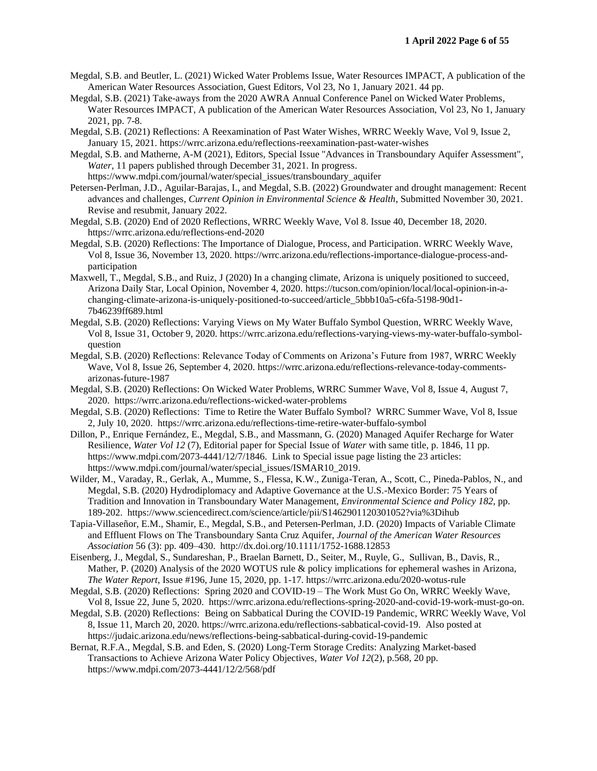- Megdal, S.B. and Beutler, L. (2021) Wicked Water Problems Issue, Water Resources IMPACT, A publication of the American Water Resources Association, Guest Editors, Vol 23, No 1, January 2021. 44 pp.
- Megdal, S.B. (2021) Take-aways from the 2020 AWRA Annual Conference Panel on Wicked Water Problems, Water Resources IMPACT, A publication of the American Water Resources Association, Vol 23, No 1, January 2021, pp. 7-8.
- Megdal, S.B. (2021) Reflections: A Reexamination of Past Water Wishes, WRRC Weekly Wave, Vol 9, Issue 2, January 15, 2021. https://wrrc.arizona.edu/reflections-reexamination-past-water-wishes
- Megdal, S.B. and Matherne, A-M (2021), Editors, Special Issue "Advances in Transboundary Aquifer Assessment", *Water*, 11 papers published through December 31, 2021. In progress. https://www.mdpi.com/journal/water/special\_issues/transboundary\_aquifer
- Petersen-Perlman, J.D., Aguilar-Barajas, I., and Megdal, S.B. (2022) Groundwater and drought management: Recent advances and challenges, *Current Opinion in Environmental Science & Health*, Submitted November 30, 2021. Revise and resubmit, January 2022.
- Megdal, S.B. (2020) End of 2020 Reflections, WRRC Weekly Wave, Vol 8. Issue 40, December 18, 2020. https://wrrc.arizona.edu/reflections-end-2020
- Megdal, S.B. (2020) Reflections: The Importance of Dialogue, Process, and Participation. WRRC Weekly Wave, Vol 8, Issue 36, November 13, 2020. https://wrrc.arizona.edu/reflections-importance-dialogue-process-andparticipation
- Maxwell, T., Megdal, S.B., and Ruiz, J (2020) In a changing climate, Arizona is uniquely positioned to succeed, Arizona Daily Star, Local Opinion, November 4, 2020. https://tucson.com/opinion/local/local-opinion-in-achanging-climate-arizona-is-uniquely-positioned-to-succeed/article\_5bbb10a5-c6fa-5198-90d1- 7b46239ff689.html
- Megdal, S.B. (2020) Reflections: Varying Views on My Water Buffalo Symbol Question, WRRC Weekly Wave, Vol 8, Issue 31, October 9, 2020. https://wrrc.arizona.edu/reflections-varying-views-my-water-buffalo-symbolquestion
- Megdal, S.B. (2020) Reflections: Relevance Today of Comments on Arizona's Future from 1987, WRRC Weekly Wave, Vol 8, Issue 26, September 4, 2020. https://wrrc.arizona.edu/reflections-relevance-today-commentsarizonas-future-1987
- Megdal, S.B. (2020) Reflections: On Wicked Water Problems, WRRC Summer Wave, Vol 8, Issue 4, August 7, 2020. https://wrrc.arizona.edu/reflections-wicked-water-problems
- Megdal, S.B. (2020) Reflections: Time to Retire the Water Buffalo Symbol? WRRC Summer Wave, Vol 8, Issue 2, July 10, 2020. https://wrrc.arizona.edu/reflections-time-retire-water-buffalo-symbol
- Dillon, P., Enrique Fernández, E., Megdal, S.B., and Massmann, G. (2020) Managed Aquifer Recharge for Water Resilience, *Water Vol 12* (7), Editorial paper for Special Issue of *Water* with same title, p. 1846, 11 pp. https://www.mdpi.com/2073-4441/12/7/1846. Link to Special issue page listing the 23 articles: https://www.mdpi.com/journal/water/special\_issues/ISMAR10\_2019.
- Wilder, M., Varaday, R., Gerlak, A., Mumme, S., Flessa, K.W., Zuniga-Teran, A., Scott, C., Pineda-Pablos, N., and Megdal, S.B. (2020) Hydrodiplomacy and Adaptive Governance at the U.S.-Mexico Border: 75 Years of Tradition and Innovation in Transboundary Water Management, *Environmental Science and Policy 182*, pp. 189-202. https://www.sciencedirect.com/science/article/pii/S1462901120301052?via%3Dihub
- Tapia-Villaseñor, E.M., Shamir, E., Megdal, S.B., and Petersen-Perlman, J.D. (2020) Impacts of Variable Climate and Effluent Flows on The Transboundary Santa Cruz Aquifer, *Journal of the American Water Resources Association* 56 (3): pp. 409–430. http://dx.doi.org/10.1111/1752-1688.12853
- Eisenberg, J., Megdal, S., Sundareshan, P., Braelan Barnett, D., Seiter, M., Ruyle, G., Sullivan, B., Davis, R., Mather, P. (2020) Analysis of the 2020 WOTUS rule & policy implications for ephemeral washes in Arizona, *The Water Report*, Issue #196, June 15, 2020, pp. 1-17. https://wrrc.arizona.edu/2020-wotus-rule
- Megdal, S.B. (2020) Reflections: Spring 2020 and COVID-19 The Work Must Go On, WRRC Weekly Wave, Vol 8, Issue 22, June 5, 2020. https://wrrc.arizona.edu/reflections-spring-2020-and-covid-19-work-must-go-on.
- Megdal, S.B. (2020) Reflections: Being on Sabbatical During the COVID-19 Pandemic, WRRC Weekly Wave, Vol 8, Issue 11, March 20, 2020. https://wrrc.arizona.edu/reflections-sabbatical-covid-19. Also posted at https://judaic.arizona.edu/news/reflections-being-sabbatical-during-covid-19-pandemic
- Bernat, R.F.A., Megdal, S.B. and Eden, S. (2020) Long-Term Storage Credits: Analyzing Market-based Transactions to Achieve Arizona Water Policy Objectives, *Water Vol 12*(2), p.568, 20 pp. https://www.mdpi.com/2073-4441/12/2/568/pdf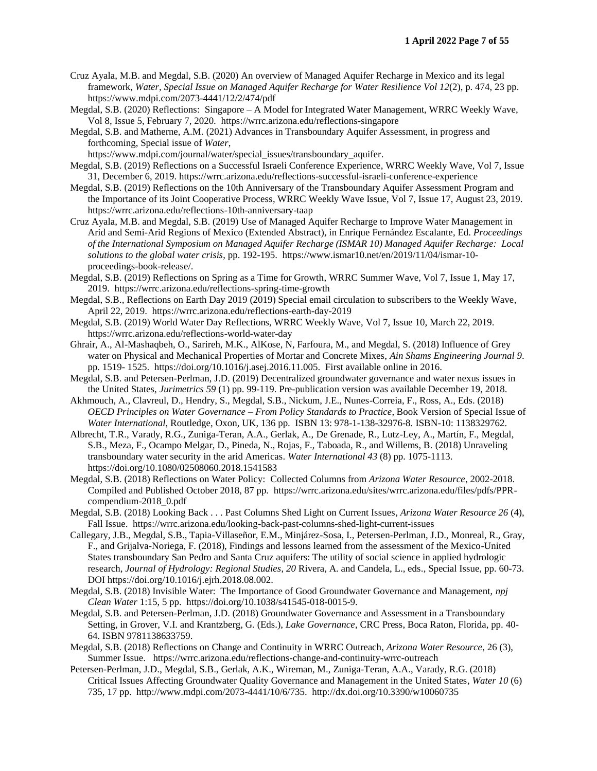- Cruz Ayala, M.B. and Megdal, S.B. (2020) An overview of Managed Aquifer Recharge in Mexico and its legal framework, *Water, Special Issue on Managed Aquifer Recharge for Water Resilience Vol 12*(2), p. 474, 23 pp. https://www.mdpi.com/2073-4441/12/2/474/pdf
- Megdal, S.B. (2020) Reflections: Singapore A Model for Integrated Water Management, WRRC Weekly Wave, Vol 8, Issue 5, February 7, 2020. https://wrrc.arizona.edu/reflections-singapore
- Megdal, S.B. and Matherne, A.M. (2021) Advances in Transboundary Aquifer Assessment, in progress and forthcoming, Special issue of *Water*,
- https://www.mdpi.com/journal/water/special\_issues/transboundary\_aquifer.
- Megdal, S.B. (2019) Reflections on a Successful Israeli Conference Experience, WRRC Weekly Wave, Vol 7, Issue 31, December 6, 2019. https://wrrc.arizona.edu/reflections-successful-israeli-conference-experience
- Megdal, S.B. (2019) Reflections on the 10th Anniversary of the Transboundary Aquifer Assessment Program and the Importance of its Joint Cooperative Process, WRRC Weekly Wave Issue, Vol 7, Issue 17, August 23, 2019. https://wrrc.arizona.edu/reflections-10th-anniversary-taap
- Cruz Ayala, M.B. and Megdal, S.B. (2019) Use of Managed Aquifer Recharge to Improve Water Management in Arid and Semi-Arid Regions of Mexico (Extended Abstract), in Enrique Fernández Escalante, Ed. *Proceedings of the International Symposium on Managed Aquifer Recharge (ISMAR 10) Managed Aquifer Recharge: Local solutions to the global water crisis*, pp. 192-195. https://www.ismar10.net/en/2019/11/04/ismar-10 proceedings-book-release/.
- Megdal, S.B. (2019) Reflections on Spring as a Time for Growth, WRRC Summer Wave, Vol 7, Issue 1, May 17, 2019. https://wrrc.arizona.edu/reflections-spring-time-growth
- Megdal, S.B., Reflections on Earth Day 2019 (2019) Special email circulation to subscribers to the Weekly Wave, April 22, 2019. https://wrrc.arizona.edu/reflections-earth-day-2019
- Megdal, S.B. (2019) World Water Day Reflections, WRRC Weekly Wave, Vol 7, Issue 10, March 22, 2019. https://wrrc.arizona.edu/reflections-world-water-day
- Ghrair, A., Al-Mashaqbeh, O., Sarireh, M.K., AlKose, N, Farfoura, M., and Megdal, S. (2018) Influence of Grey water on Physical and Mechanical Properties of Mortar and Concrete Mixes, *Ain Shams Engineering Journal 9*. pp. 1519- 1525. https://doi.org/10.1016/j.asej.2016.11.005. First available online in 2016.
- Megdal, S.B. and Petersen-Perlman, J.D. (2019) Decentralized groundwater governance and water nexus issues in the United States, *Jurimetrics 59* (1) pp. 99-119. Pre-publication version was available December 19, 2018.
- Akhmouch, A., Clavreul, D., Hendry, S., Megdal, S.B., Nickum, J.E., Nunes-Correia, F., Ross, A., Eds. (2018) *OECD Principles on Water Governance – From Policy Standards to Practice*, Book Version of Special Issue of *Water International*, Routledge, Oxon, UK, 136 pp. ISBN 13: 978-1-138-32976-8. ISBN-10: 1138329762.
- Albrecht, T.R., Varady, R.G., Zuniga-Teran, A.A., Gerlak, A., De Grenade, R., Lutz-Ley, A., Martín, F., Megdal, S.B., Meza, F., Ocampo Melgar, D., Pineda, N., Rojas, F., Taboada, R., and Willems, B. (2018) Unraveling transboundary water security in the arid Americas. *Water International 43* (8) pp. 1075-1113. https://doi.org/10.1080/02508060.2018.1541583
- Megdal, S.B. (2018) Reflections on Water Policy: Collected Columns from *Arizona Water Resource*, 2002-2018. Compiled and Published October 2018, 87 pp. https://wrrc.arizona.edu/sites/wrrc.arizona.edu/files/pdfs/PPRcompendium-2018\_0.pdf
- Megdal, S.B. (2018) Looking Back . . . Past Columns Shed Light on Current Issues, *Arizona Water Resource 26* (4), Fall Issue. https://wrrc.arizona.edu/looking-back-past-columns-shed-light-current-issues
- Callegary, J.B., Megdal, S.B., Tapia-Villaseñor, E.M., Minjárez-Sosa, I., Petersen-Perlman, J.D., Monreal, R., Gray, F., and Grijalva-Noriega, F. (2018), Findings and lessons learned from the assessment of the Mexico-United States transboundary San Pedro and Santa Cruz aquifers: The utility of social science in applied hydrologic research, *Journal of Hydrology: Regional Studies*, *20* Rivera, A. and Candela, L., eds., Special Issue, pp. 60-73. DOI https://doi.org/10.1016/j.ejrh.2018.08.002.
- Megdal, S.B. (2018) Invisible Water: The Importance of Good Groundwater Governance and Management, *npj Clean Water* 1:15, 5 pp.https://doi.org/10.1038/s41545-018-0015-9.
- Megdal, S.B. and Petersen-Perlman, J.D. (2018) Groundwater Governance and Assessment in a Transboundary Setting, in Grover, V.I. and Krantzberg, G. (Eds.), *Lake Governance*, CRC Press, Boca Raton, Florida, pp. 40- 64. ISBN 9781138633759.
- Megdal, S.B. (2018) Reflections on Change and Continuity in WRRC Outreach, *Arizona Water Resource*, 26 (3), Summer Issue. https://wrrc.arizona.edu/reflections-change-and-continuity-wrrc-outreach
- Petersen-Perlman, J.D., Megdal, S.B., Gerlak, A.K., Wireman, M., Zuniga-Teran, A.A., Varady, R.G. (2018) Critical Issues Affecting Groundwater Quality Governance and Management in the United States, *Water 10* (6) 735, 17 pp. http://www.mdpi.com/2073-4441/10/6/735. http://dx.doi.org/10.3390/w10060735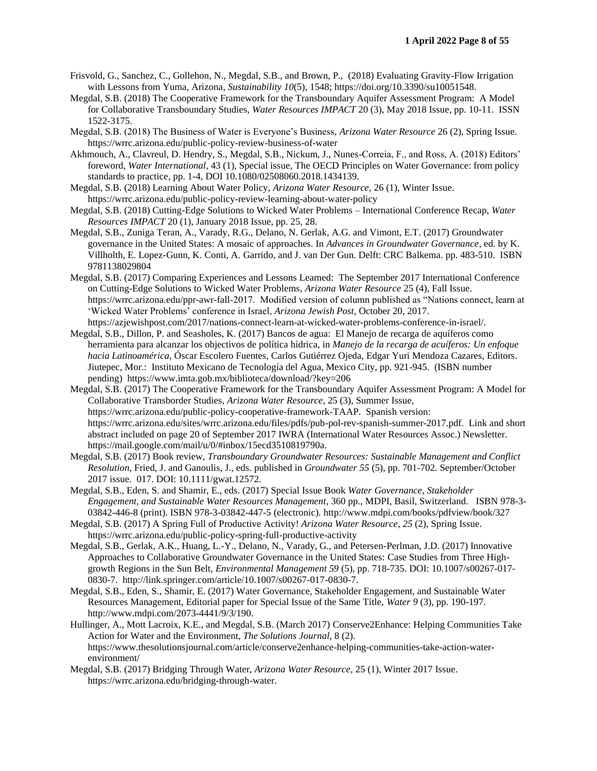- Frisvold, G., Sanchez, C., Gollehon, N., Megdal, S.B., and Brown, P., (2018) Evaluating Gravity-Flow Irrigation with Lessons from Yuma, Arizona, *Sustainability 10*(5), 1548; https://doi.org/10.3390/su10051548.
- Megdal, S.B. (2018) The Cooperative Framework for the Transboundary Aquifer Assessment Program: A Model for Collaborative Transboundary Studies, *Water Resources IMPACT* 20 (3), May 2018 Issue, pp. 10-11. ISSN 1522-3175.
- Megdal, S.B. (2018) The Business of Water is Everyone's Business, *Arizona Water Resource* 26 (2), Spring Issue. https://wrrc.arizona.edu/public-policy-review-business-of-water
- Akhmouch, A., Clavreul, D. Hendry, S., Megdal, S.B., Nickum, J., Nunes-Correia, F., and Ross, A. (2018) Editors' foreword, *Water International*, 43 (1), Special issue, The OECD Principles on Water Governance: from policy standards to practice, pp. 1-4, DOI 10.1080/02508060.2018.1434139.
- Megdal, S.B. (2018) Learning About Water Policy, *Arizona Water Resource*, 26 (1), Winter Issue. https://wrrc.arizona.edu/public-policy-review-learning-about-water-policy
- Megdal, S.B. (2018) Cutting-Edge Solutions to Wicked Water Problems International Conference Recap, *Water Resources IMPACT* 20 (1), January 2018 Issue, pp. 25, 28.
- Megdal, S.B., Zuniga Teran, A., Varady, R.G., Delano, N. Gerlak, A.G. and Vimont, E.T. (2017) Groundwater governance in the United States: A mosaic of approaches. In *Advances in Groundwater Governance*, ed. by K. Villholth, E. Lopez-Gunn, K. Conti, A. Garrido, and J. van Der Gun. Delft: CRC Balkema. pp. 483-510. ISBN 9781138029804
- Megdal, S.B. (2017) Comparing Experiences and Lessons Learned: The September 2017 International Conference on Cutting-Edge Solutions to Wicked Water Problems, *Arizona Water Resource* 25 (4), Fall Issue. https://wrrc.arizona.edu/ppr-awr-fall-2017. Modified version of column published as "Nations connect, learn at 'Wicked Water Problems' conference in Israel, *Arizona Jewish Post*, October 20, 2017. https://azjewishpost.com/2017/nations-connect-learn-at-wicked-water-problems-conference-in-israel/.
- Megdal, S.B., Dillon, P. and Seasholes, K. (2017) Bancos de agua: El Manejo de recarga de aquíferos como herramienta para alcanzar los objectivos de política hídrica, in *Manejo de la recarga de acuíferos: Un enfoque hacia Latinoamérica*, Óscar Escolero Fuentes, Carlos Gutiérrez Ojeda, Edgar Yuri Mendoza Cazares, Editors. Jiutepec, Mor.: Instituto Mexicano de Tecnología del Agua, Mexico City, pp. 921-945. (ISBN number pending) https://www.imta.gob.mx/biblioteca/download/?key=206
- Megdal, S.B. (2017) The Cooperative Framework for the Transboundary Aquifer Assessment Program: A Model for Collaborative Transborder Studies, *Arizona Water Resource,* 25 (3), Summer Issue, https://wrrc.arizona.edu/public-policy-cooperative-framework-TAAP. Spanish version: https://wrrc.arizona.edu/sites/wrrc.arizona.edu/files/pdfs/pub-pol-rev-spanish-summer-2017.pdf. Link and short abstract included on page 20 of September 2017 IWRA (International Water Resources Assoc.) Newsletter. https://mail.google.com/mail/u/0/#inbox/15ecd3510819790a.
- Megdal, S.B. (2017) Book review, *Transboundary Groundwater Resources: Sustainable Management and Conflict Resolution*, Fried, J. and Ganoulis, J., eds. published in *Groundwater 55* (5), pp. 701-702. September/October 2017 issue. 017. DOI: 10.1111/gwat.12572.
- Megdal, S.B., Eden, S. and Shamir, E., eds. (2017) Special Issue Book *Water Governance, Stakeholder Engagement, and Sustainable Water Resources Management*, 360 pp., MDPI, Basil, Switzerland. ISBN 978-3- 03842-446-8 (print). ISBN 978-3-03842-447-5 (electronic). http://www.mdpi.com/books/pdfview/book/327
- Megdal, S.B. (2017) A Spring Full of Productive Activity! *Arizona Water Resource, 25* (2), Spring Issue. https://wrrc.arizona.edu/public-policy-spring-full-productive-activity
- Megdal, S.B., Gerlak, A.K., Huang, L.-Y., Delano, N., Varady, G., and Petersen-Perlman, J.D. (2017) Innovative Approaches to Collaborative Groundwater Governance in the United States: Case Studies from Three Highgrowth Regions in the Sun Belt, *Environmental Management 59* (5), pp. 718-735. DOI: 10.1007/s00267-017- 0830-7. http://link.springer.com/article/10.1007/s00267-017-0830-7.
- Megdal, S.B., Eden, S., Shamir, E. (2017) Water Governance, Stakeholder Engagement, and Sustainable Water Resources Management, Editorial paper for Special Issue of the Same Title, *Water 9* (3), pp. 190-197. http://www.mdpi.com/2073-4441/9/3/190.
- Hullinger, A., Mott Lacroix, K.E., and Megdal, S.B. (March 2017) Conserve2Enhance: Helping Communities Take Action for Water and the Environment, *The Solutions Journal*, 8 (2). https://www.thesolutionsjournal.com/article/conserve2enhance-helping-communities-take-action-waterenvironment/
- Megdal, S.B. (2017) Bridging Through Water, *Arizona Water Resource*, 25 (1), Winter 2017 Issue. https://wrrc.arizona.edu/bridging-through-water.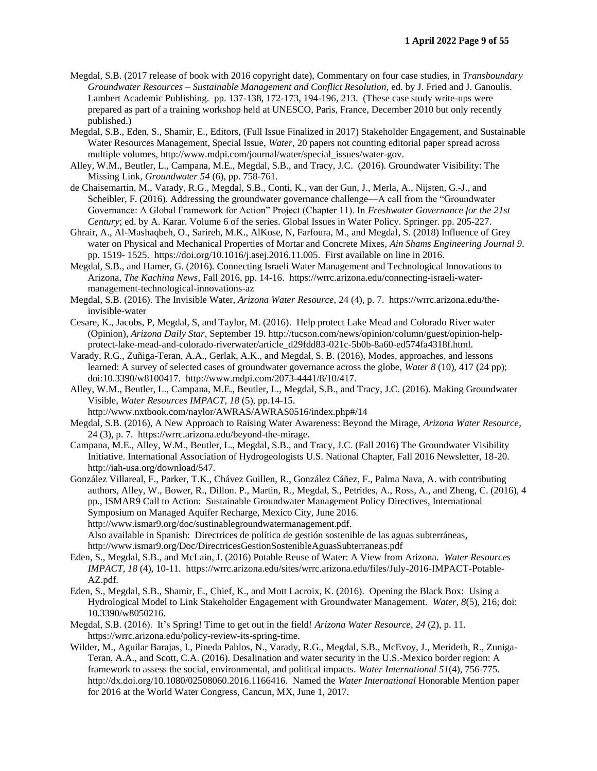- Megdal, S.B. (2017 release of book with 2016 copyright date), Commentary on four case studies, in *Transboundary Groundwater Resources – Sustainable Management and Conflict Resolution*, ed. by J. Fried and J. Ganoulis. Lambert Academic Publishing. pp. 137-138, 172-173, 194-196, 213. (These case study write-ups were prepared as part of a training workshop held at UNESCO, Paris, France, December 2010 but only recently published.)
- Megdal, S.B., Eden, S., Shamir, E., Editors, (Full Issue Finalized in 2017) Stakeholder Engagement, and Sustainable Water Resources Management, Special Issue, *Water*, 20 papers not counting editorial paper spread across multiple volumes, http://www.mdpi.com/journal/water/special\_issues/water-gov.
- Alley, W.M., Beutler, L., Campana, M.E., Megdal, S.B., and Tracy, J.C. (2016). Groundwater Visibility: The Missing Link, *Groundwater 54* (6), pp. 758-761.
- de Chaisemartin, M., Varady, R.G., Megdal, S.B., Conti, K., van der Gun, J., Merla, A., Nijsten, G.-J., and Scheibler, F. (2016). Addressing the groundwater governance challenge—A call from the "Groundwater Governance: A Global Framework for Action" Project (Chapter 11). In *Freshwater Governance for the 21st Century*; ed. by A. Karar. Volume 6 of the series. Global Issues in Water Policy. Springer. pp. 205-227.
- Ghrair, A., Al-Mashaqbeh, O., Sarireh, M.K., AlKose, N, Farfoura, M., and Megdal, S. (2018) Influence of Grey water on Physical and Mechanical Properties of Mortar and Concrete Mixes, *Ain Shams Engineering Journal 9*. pp. 1519- 1525. https://doi.org/10.1016/j.asej.2016.11.005. First available on line in 2016.
- Megdal, S.B., and Hamer, G. (2016). Connecting Israeli Water Management and Technological Innovations to Arizona, *The Kachina News*, Fall 2016, pp. 14-16. https://wrrc.arizona.edu/connecting-israeli-watermanagement-technological-innovations-az
- Megdal, S.B. (2016). The Invisible Water, *Arizona Water Resource,* 24 (4), p. 7. https://wrrc.arizona.edu/theinvisible-water
- Cesare, K., Jacobs, P, Megdal, S, and Taylor, M. (2016). Help protect Lake Mead and Colorado River water (Opinion), *Arizona Daily Star*, September 19. http://tucson.com/news/opinion/column/guest/opinion-helpprotect-lake-mead-and-colorado-riverwater/article\_d29fdd83-021c-5b0b-8a60-ed574fa4318f.html.
- Varady, R.G., Zuñiga-Teran, A.A., Gerlak, A.K., and Megdal, S. B. (2016), Modes, approaches, and lessons learned: A survey of selected cases of groundwater governance across the globe, *Water 8* (10), 417 (24 pp); doi:10.3390/w8100417. http://www.mdpi.com/2073-4441/8/10/417.
- Alley, W.M., Beutler, L., Campana, M.E., Beutler, L., Megdal, S.B., and Tracy, J.C. (2016). Making Groundwater Visible, *Water Resources IMPACT*, *18* (5), pp.14-15.
	- http://www.nxtbook.com/naylor/AWRAS/AWRAS0516/index.php#/14
- Megdal, S.B. (2016), A New Approach to Raising Water Awareness: Beyond the Mirage, *Arizona Water Resource*, 24 (3), p. 7. https://wrrc.arizona.edu/beyond-the-mirage.
- Campana, M.E., Alley, W.M., Beutler, L., Megdal, S.B., and Tracy, J.C. (Fall 2016) The Groundwater Visibility Initiative. International Association of Hydrogeologists U.S. National Chapter, Fall 2016 Newsletter, 18-20. http://iah-usa.org/download/547.
- González Villareal, F., Parker, T.K., Chávez Guillen, R., González Cáñez, F., Palma Nava, A. with contributing authors, Alley, W., Bower, R., Dillon. P., Martin, R., Megdal, S., Petrides, A., Ross, A., and Zheng, C. (2016), 4 pp., ISMAR9 Call to Action: Sustainable Groundwater Management Policy Directives, International Symposium on Managed Aquifer Recharge, Mexico City, June 2016. http://www.ismar9.org/doc/sustinablegroundwatermanagement.pdf.

Also available in Spanish: Directrices de política de gestión sostenible de las aguas subterráneas, http://www.ismar9.org/Doc/DirectricesGestionSostenibleAguasSubterraneas.pdf

- Eden, S., Megdal, S.B., and McLain, J. (2016) Potable Reuse of Water: A View from Arizona. *Water Resources IMPACT*, *18* (4), 10-11. https://wrrc.arizona.edu/sites/wrrc.arizona.edu/files/July-2016-IMPACT-Potable-AZ.pdf.
- Eden, S., Megdal, S.B., Shamir, E., Chief, K., and Mott Lacroix, K. (2016). Opening the Black Box: Using a Hydrological Model to Link Stakeholder Engagement with Groundwater Management. *Water*, *8*(5), 216; doi: 10.3390/w8050216.
- Megdal, S.B. (2016). It's Spring! Time to get out in the field! *Arizona Water Resource*, *24* (2), p. 11. https://wrrc.arizona.edu/policy-review-its-spring-time.
- Wilder, M., Aguilar Barajas, I., Pineda Pablos, N., Varady, R.G., Megdal, S.B., McEvoy, J., Merideth, R., Zuniga-Teran, A.A., and Scott, C.A. (2016). Desalination and water security in the U.S.-Mexico border region: A framework to assess the social, environmental, and political impacts. *Water International 51*(4), 756-775. http://dx.doi.org/10.1080/02508060.2016.1166416. Named the *Water International* Honorable Mention paper for 2016 at the World Water Congress, Cancun, MX, June 1, 2017.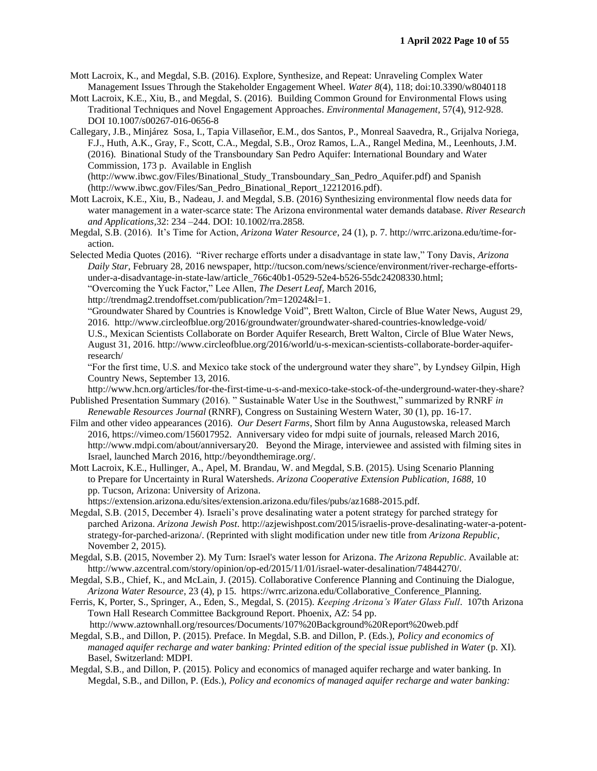- Mott Lacroix, K., and Megdal, S.B. (2016). Explore, Synthesize, and Repeat: Unraveling Complex Water Management Issues Through the Stakeholder Engagement Wheel. *Water 8*(4), 118; doi:10.3390/w8040118
- Mott Lacroix, K.E., Xiu, B., and Megdal, S. (2016). Building Common Ground for Environmental Flows using Traditional Techniques and Novel Engagement Approaches. *Environmental Management*, 57(4), 912-928. DOI 10.1007/s00267-016-0656-8
- Callegary, J.B., Minjárez Sosa, I., Tapia Villaseñor, E.M., dos Santos, P., Monreal Saavedra, R., Grijalva Noriega, F.J., Huth, A.K., Gray, F., Scott, C.A., Megdal, S.B., Oroz Ramos, L.A., Rangel Medina, M., Leenhouts, J.M. (2016). Binational Study of the Transboundary San Pedro Aquifer: International Boundary and Water Commission, 173 p. Available in English

(http://www.ibwc.gov/Files/Binational\_Study\_Transboundary\_San\_Pedro\_Aquifer.pdf) and Spanish (http://www.ibwc.gov/Files/San\_Pedro\_Binational\_Report\_12212016.pdf).

- Mott Lacroix, K.E., Xiu, B., Nadeau, J. and Megdal, S.B. (2016) Synthesizing environmental flow needs data for water management in a water-scarce state: The Arizona environmental water demands database. *River Research and Applications,*32: 234 –244. DOI: 10.1002/rra.2858.
- Megdal, S.B. (2016). It's Time for Action, *Arizona Water Resource*, 24 (1), p. 7. http://wrrc.arizona.edu/time-foraction.
- Selected Media Quotes (2016). "River recharge efforts under a disadvantage in state law," Tony Davis, *Arizona Daily Star*, February 28, 2016 newspaper, http://tucson.com/news/science/environment/river-recharge-effortsunder-a-disadvantage-in-state-law/article\_766c40b1-0529-52e4-b526-55dc24208330.html; "Overcoming the Yuck Factor," Lee Allen, *The Desert Leaf*, March 2016,
	- http://trendmag2.trendoffset.com/publication/?m=12024&l=1.
	- "Groundwater Shared by Countries is Knowledge Void", Brett Walton, Circle of Blue Water News, August 29, 2016. http://www.circleofblue.org/2016/groundwater/groundwater-shared-countries-knowledge-void/ U.S., Mexican Scientists Collaborate on Border Aquifer Research, Brett Walton, Circle of Blue Water News, August 31, 2016. http://www.circleofblue.org/2016/world/u-s-mexican-scientists-collaborate-border-aquiferresearch/

"For the first time, U.S. and Mexico take stock of the underground water they share", by Lyndsey Gilpin, High Country News, September 13, 2016.

http://www.hcn.org/articles/for-the-first-time-u-s-and-mexico-take-stock-of-the-underground-water-they-share? Published Presentation Summary (2016). " Sustainable Water Use in the Southwest," summarized by RNRF *in* 

- *Renewable Resources Journal* (RNRF), Congress on Sustaining Western Water, 30 (1), pp. 16-17. Film and other video appearances (2016). *Our Desert Farms*, Short film by Anna Augustowska, released March
- 2016, https://vimeo.com/156017952. Anniversary video for mdpi suite of journals, released March 2016, http://www.mdpi.com/about/anniversary20. Beyond the Mirage, interviewee and assisted with filming sites in Israel, launched March 2016, http://beyondthemirage.org/.
- Mott Lacroix, K.E., Hullinger, A., Apel, M. Brandau, W. and Megdal, S.B. (2015). Using Scenario Planning to Prepare for Uncertainty in Rural Watersheds. *Arizona Cooperative Extension Publication, 1688,* 10 pp. Tucson, Arizona: University of Arizona.

https://extension.arizona.edu/sites/extension.arizona.edu/files/pubs/az1688-2015.pdf.

- Megdal, S.B. (2015, December 4). Israeli's prove desalinating water a potent strategy for parched strategy for parched Arizona. *Arizona Jewish Post*. http://azjewishpost.com/2015/israelis-prove-desalinating-water-a-potentstrategy-for-parched-arizona/. (Reprinted with slight modification under new title from *Arizona Republic,*  November 2, 2015).
- Megdal, S.B. (2015, November 2). My Turn: Israel's water lesson for Arizona. *The Arizona Republic*. Available at: http://www.azcentral.com/story/opinion/op-ed/2015/11/01/israel-water-desalination/74844270/.
- Megdal, S.B., Chief, K., and McLain, J. (2015). Collaborative Conference Planning and Continuing the Dialogue, *Arizona Water Resource*, 23 (4), p 15. https://wrrc.arizona.edu/Collaborative\_Conference\_Planning.
- Ferris, K, Porter, S., Springer, A., Eden, S., Megdal, S. (2015). *Keeping Arizona's Water Glass Full*. 107th Arizona Town Hall Research Committee Background Report. Phoenix, AZ: 54 pp.
- http://www.aztownhall.org/resources/Documents/107%20Background%20Report%20web.pdf Megdal, S.B., and Dillon, P. (2015). Preface. In Megdal, S.B. and Dillon, P. (Eds.), *Policy and economics of managed aquifer recharge and water banking: Printed edition of the special issue published in Water (p. XI).* Basel, Switzerland: MDPI.
- Megdal, S.B., and Dillon, P. (2015). Policy and economics of managed aquifer recharge and water banking. In Megdal, S.B., and Dillon, P. (Eds.), *Policy and economics of managed aquifer recharge and water banking:*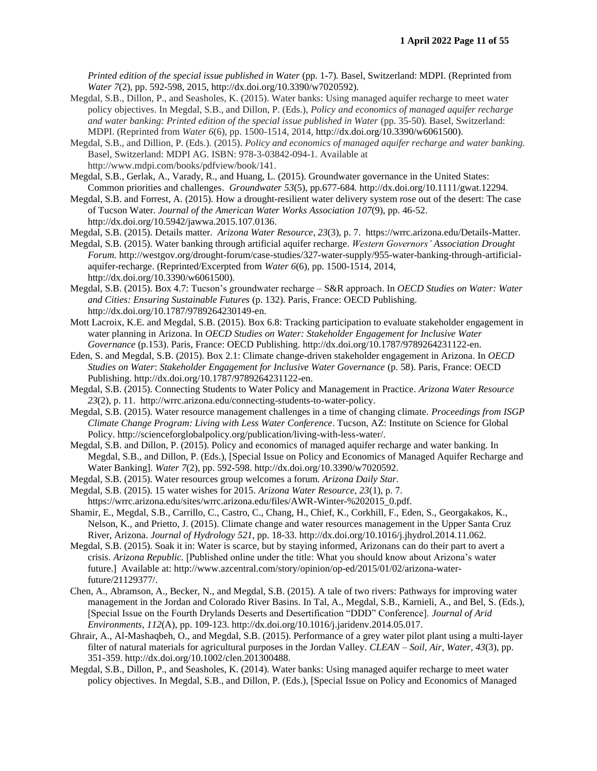*Printed edition of the special issue published in Water (pp. 1-7). Basel, Switzerland: MDPI. (Reprinted from Water 7*(2), pp. 592-598, 2015, http://dx.doi.org/10.3390/w7020592).

- Megdal, S.B., Dillon, P., and Seasholes, K. (2015). Water banks: Using managed aquifer recharge to meet water policy objectives. In Megdal, S.B., and Dillon, P. (Eds.), *Policy and economics of managed aquifer recharge and water banking: Printed edition of the special issue published in Water* (pp. 35-50)*.* Basel, Switzerland: MDPI. (Reprinted from *Water 6*(6), pp. 1500-1514, 2014, http://dx.doi.org/10.3390/w6061500).
- Megdal, S.B., and Dillion, P. (Eds.). (2015). *Policy and economics of managed aquifer recharge and water banking.* Basel, Switzerland: MDPI AG. ISBN: 978-3-03842-094-1. Available at http://www.mdpi.com/books/pdfview/book/141.
- Megdal, S.B., Gerlak, A., Varady, R., and Huang, L. (2015). Groundwater governance in the United States: Common priorities and challenges. *Groundwater 53*(5), pp.677-684*.* http://dx.doi.org/10.1111/gwat.12294.
- Megdal, S.B. and Forrest, A. (2015). How a drought-resilient water delivery system rose out of the desert: The case of Tucson Water. *Journal of the American Water Works Association 107*(9), pp. 46-52. http://dx.doi.org/10.5942/jawwa.2015.107.0136.
- Megdal, S.B. (2015). Details matter. *Arizona Water Resource*, *23*(3), p. 7. https://wrrc.arizona.edu/Details-Matter.
- Megdal, S.B. (2015). Water banking through artificial aquifer recharge. *Western Governors' Association Drought Forum.* http://westgov.org/drought-forum/case-studies/327-water-supply/955-water-banking-through-artificialaquifer-recharge. (Reprinted/Excerpted from *Water 6*(6), pp. 1500-1514, 2014, http://dx.doi.org/10.3390/w6061500).
- Megdal, S.B. (2015). Box 4.7: Tucson's groundwater recharge S&R approach. In *OECD Studies on Water: Water and Cities: Ensuring Sustainable Futures* (p. 132). Paris, France: OECD Publishing. http://dx.doi.org/10.1787/9789264230149-en.
- Mott Lacroix, K.E. and Megdal, S.B. (2015). Box 6.8: Tracking participation to evaluate stakeholder engagement in water planning in Arizona. In *OECD Studies on Water: Stakeholder Engagement for Inclusive Water Governance* (p.153). Paris, France: OECD Publishing. http://dx.doi.org/10.1787/9789264231122-en.
- Eden, S. and Megdal, S.B. (2015). Box 2.1: Climate change-driven stakeholder engagement in Arizona. In *OECD Studies on Water*: *Stakeholder Engagement for Inclusive Water Governance* (p. 58). Paris, France: OECD Publishing. http://dx.doi.org/10.1787/9789264231122-en.
- Megdal, S.B. (2015). Connecting Students to Water Policy and Management in Practice. *Arizona Water Resource 23*(2), p. 11. http://wrrc.arizona.edu/connecting-students-to-water-policy.
- Megdal, S.B. (2015). Water resource management challenges in a time of changing climate. *Proceedings from ISGP Climate Change Program: Living with Less Water Conference*. Tucson, AZ: Institute on Science for Global Policy. http://scienceforglobalpolicy.org/publication/living-with-less-water/.
- Megdal, S.B. and Dillon, P. (2015). Policy and economics of managed aquifer recharge and water banking. In Megdal, S.B., and Dillon, P. (Eds.), [Special Issue on Policy and Economics of Managed Aquifer Recharge and Water Banking]. *Water 7*(2), pp. 592-598. http://dx.doi.org/10.3390/w7020592.
- Megdal, S.B. (2015). Water resources group welcomes a forum. *Arizona Daily Star.*
- Megdal, S.B. (2015). 15 water wishes for 2015. *Arizona Water Resource, 23*(1), p. 7. https://wrrc.arizona.edu/sites/wrrc.arizona.edu/files/AWR-Winter-%202015\_0.pdf.
- Shamir, E., Megdal, S.B., Carrillo, C., Castro, C., Chang, H., Chief, K., Corkhill, F., Eden, S., Georgakakos, K., Nelson, K., and Prietto, J. (2015). Climate change and water resources management in the Upper Santa Cruz River, Arizona. *Journal of Hydrology 521*, pp. 18-33. http://dx.doi.org/10.1016/j.jhydrol.2014.11.062.
- Megdal, S.B. (2015). Soak it in: Water is scarce, but by staying informed, Arizonans can do their part to avert a crisis. *Arizona Republic.* [Published online under the title: What you should know about Arizona's water future.] Available at: http://www.azcentral.com/story/opinion/op-ed/2015/01/02/arizona-waterfuture/21129377/.
- Chen, A., Abramson, A., Becker, N., and Megdal, S.B. (2015). A tale of two rivers: Pathways for improving water management in the Jordan and Colorado River Basins. In Tal, A., Megdal, S.B., Karnieli, A., and Bel, S. (Eds.), [Special Issue on the Fourth Drylands Deserts and Desertification "DDD" Conference]. *Journal of Arid Environments, 112*(A), pp. 109-123. http://dx.doi.org/10.1016/j.jaridenv.2014.05.017.
- Ghrair, A., Al-Mashaqbeh, O., and Megdal, S.B. (2015). Performance of a grey water pilot plant using a multi-layer filter of natural materials for agricultural purposes in the Jordan Valley. *CLEAN – Soil, Air, Water, 43*(3), pp. 351-359. http://dx.doi.org/10.1002/clen.201300488.
- Megdal, S.B., Dillon, P., and Seasholes, K. (2014). Water banks: Using managed aquifer recharge to meet water policy objectives. In Megdal, S.B., and Dillon, P. (Eds.), [Special Issue on Policy and Economics of Managed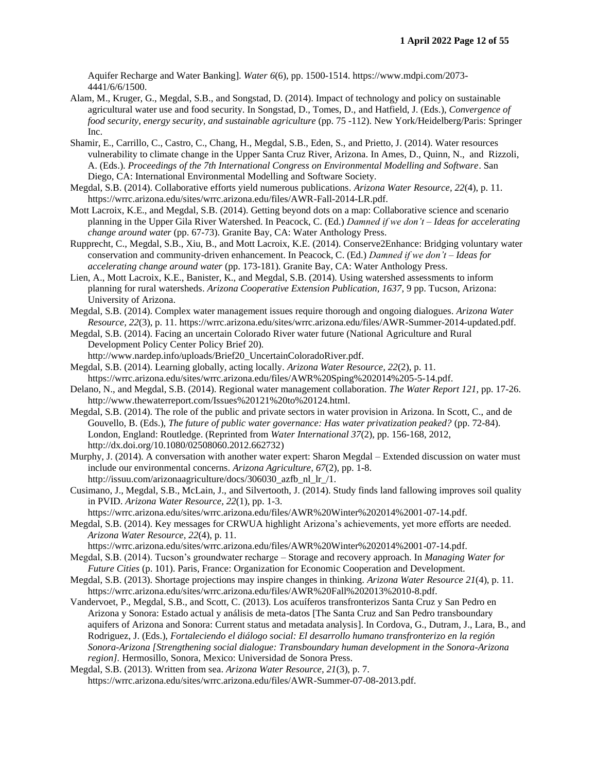Aquifer Recharge and Water Banking]. *Water 6*(6), pp. 1500-1514. https://www.mdpi.com/2073- 4441/6/6/1500.

- Alam, M., Kruger, G., Megdal, S.B., and Songstad, D. (2014). Impact of technology and policy on sustainable agricultural water use and food security. In Songstad, D., Tomes, D., and Hatfield, J. (Eds.), *Convergence of food security, energy security, and sustainable agriculture* (pp. 75 -112). New York/Heidelberg/Paris: Springer Inc.
- Shamir, E., Carrillo, C., Castro, C., Chang, H., Megdal, S.B., Eden, S., and Prietto, J. (2014). Water resources vulnerability to climate change in the Upper Santa Cruz River, Arizona. In Ames, D., Quinn, N., and Rizzoli, A. (Eds.). *Proceedings of the 7th International Congress on Environmental Modelling and Software*. San Diego, CA: International Environmental Modelling and Software Society.
- Megdal, S.B. (2014). Collaborative efforts yield numerous publications. *Arizona Water Resource, 22*(4), p. 11. https://wrrc.arizona.edu/sites/wrrc.arizona.edu/files/AWR-Fall-2014-LR.pdf.
- Mott Lacroix, K.E., and Megdal, S.B. (2014). Getting beyond dots on a map: Collaborative science and scenario planning in the Upper Gila River Watershed. In Peacock, C. (Ed.) *Damned if we don't – Ideas for accelerating change around water* (pp. 67-73). Granite Bay, CA: Water Anthology Press.
- Rupprecht, C., Megdal, S.B., Xiu, B., and Mott Lacroix, K.E. (2014). Conserve2Enhance: Bridging voluntary water conservation and community-driven enhancement. In Peacock, C. (Ed.) *Damned if we don't – Ideas for accelerating change around water* (pp. 173-181). Granite Bay, CA: Water Anthology Press.
- Lien, A., Mott Lacroix, K.E., Banister, K., and Megdal, S.B. (2014). Using watershed assessments to inform planning for rural watersheds. *Arizona Cooperative Extension Publication, 1637*, 9 pp. Tucson, Arizona: University of Arizona.
- Megdal, S.B. (2014). Complex water management issues require thorough and ongoing dialogues. *Arizona Water Resource, 22*(3), p. 11. https://wrrc.arizona.edu/sites/wrrc.arizona.edu/files/AWR-Summer-2014-updated.pdf.
- Megdal, S.B. (2014). Facing an uncertain Colorado River water future (National Agriculture and Rural Development Policy Center Policy Brief 20).
	- http://www.nardep.info/uploads/Brief20\_UncertainColoradoRiver.pdf.
- Megdal, S.B. (2014). Learning globally, acting locally. *Arizona Water Resource, 22*(2), p. 11. https://wrrc.arizona.edu/sites/wrrc.arizona.edu/files/AWR%20Sping%202014%205-5-14.pdf.
- Delano, N., and Megdal, S.B. (2014). Regional water management collaboration. *The Water Report 121*, pp. 17-26. http://www.thewaterreport.com/Issues%20121%20to%20124.html.
- Megdal, S.B. (2014). The role of the public and private sectors in water provision in Arizona. In Scott, C., and de Gouvello, B. (Eds.), *The future of public water governance: Has water privatization peaked?* (pp. 72-84). London, England: Routledge. (Reprinted from *Water International 37*(2), pp. 156-168, 2012, http://dx.doi.org/10.1080/02508060.2012.662732)
- Murphy, J. (2014). A conversation with another water expert: Sharon Megdal Extended discussion on water must include our environmental concerns. *Arizona Agriculture, 67*(2), pp. 1-8. http://issuu.com/arizonaagriculture/docs/306030\_azfb\_nl\_lr\_/1.
- Cusimano, J., Megdal, S.B., McLain, J., and Silvertooth, J. (2014). Study finds land fallowing improves soil quality in PVID. *Arizona Water Resource, 22*(1), pp. 1-3.
- https://wrrc.arizona.edu/sites/wrrc.arizona.edu/files/AWR%20Winter%202014%2001-07-14.pdf. Megdal, S.B. (2014). Key messages for CRWUA highlight Arizona's achievements, yet more efforts are needed. *Arizona Water Resource, 22*(4), p. 11.
- https://wrrc.arizona.edu/sites/wrrc.arizona.edu/files/AWR%20Winter%202014%2001-07-14.pdf.
- Megdal, S.B. (2014). Tucson's groundwater recharge Storage and recovery approach. In *Managing Water for Future Cities* (p. 101). Paris, France: Organization for Economic Cooperation and Development.
- Megdal, S.B. (2013). Shortage projections may inspire changes in thinking. *Arizona Water Resource 21*(4), p. 11. https://wrrc.arizona.edu/sites/wrrc.arizona.edu/files/AWR%20Fall%202013%2010-8.pdf.
- Vandervoet, P., Megdal, S.B., and Scott, C. (2013). Los acuíferos transfronterizos Santa Cruz y San Pedro en Arizona y Sonora: Estado actual y análisis de meta-datos [The Santa Cruz and San Pedro transboundary aquifers of Arizona and Sonora: Current status and metadata analysis]. In Cordova, G., Dutram, J., Lara, B., and Rodriguez, J. (Eds.), *Fortaleciendo el diálogo social: El desarrollo humano transfronterizo en la región Sonora-Arizona [Strengthening social dialogue: Transboundary human development in the Sonora-Arizona region].* Hermosillo, Sonora, Mexico: Universidad de Sonora Press.
- Megdal, S.B. (2013). Written from sea. *Arizona Water Resource, 21*(3), p. 7. https://wrrc.arizona.edu/sites/wrrc.arizona.edu/files/AWR-Summer-07-08-2013.pdf.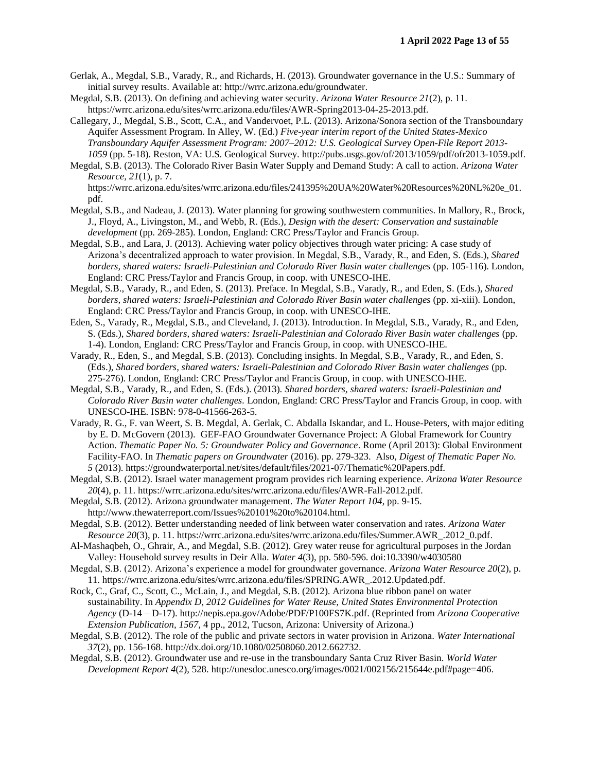- Gerlak, A., Megdal, S.B., Varady, R., and Richards, H. (2013). Groundwater governance in the U.S.: Summary of initial survey results. Available at: http://wrrc.arizona.edu/groundwater.
- Megdal, S.B. (2013). On defining and achieving water security. *Arizona Water Resource 21*(2), p. 11. https://wrrc.arizona.edu/sites/wrrc.arizona.edu/files/AWR-Spring2013-04-25-2013.pdf.
- Callegary, J., Megdal, S.B., Scott, C.A., and Vandervoet, P.L. (2013). Arizona/Sonora section of the Transboundary Aquifer Assessment Program. In Alley, W. (Ed.) *Five-year interim report of the United States-Mexico Transboundary Aquifer Assessment Program: 2007–2012: U.S. Geological Survey Open-File Report 2013- 1059* (pp. 5-18). Reston, VA: U.S. Geological Survey. http://pubs.usgs.gov/of/2013/1059/pdf/ofr2013-1059.pdf.
- Megdal, S.B. (2013). The Colorado River Basin Water Supply and Demand Study: A call to action. *Arizona Water Resource, 21*(1), p. 7. https://wrrc.arizona.edu/sites/wrrc.arizona.edu/files/241395%20UA%20Water%20Resources%20NL%20e\_01.
- pdf. Megdal, S.B., and Nadeau, J. (2013). Water planning for growing southwestern communities. In Mallory, R., Brock, J., Floyd, A., Livingston, M., and Webb, R. (Eds.), *Design with the desert: Conservation and sustainable*
- *development* (pp. 269-285). London, England: CRC Press/Taylor and Francis Group. Megdal, S.B., and Lara, J. (2013). Achieving water policy objectives through water pricing: A case study of Arizona's decentralized approach to water provision. In Megdal, S.B., Varady, R., and Eden, S. (Eds.), *Shared borders, shared waters: Israeli-Palestinian and Colorado River Basin water challenges* (pp. 105-116). London, England: CRC Press/Taylor and Francis Group, in coop. with UNESCO-IHE.
- Megdal, S.B., Varady, R., and Eden, S. (2013). Preface. In Megdal, S.B., Varady, R., and Eden, S. (Eds.), *Shared borders, shared waters: Israeli-Palestinian and Colorado River Basin water challenges* (pp. xi-xiii). London, England: CRC Press/Taylor and Francis Group, in coop. with UNESCO-IHE.
- Eden, S., Varady, R., Megdal, S.B., and Cleveland, J. (2013). Introduction. In Megdal, S.B., Varady, R., and Eden, S. (Eds.), *Shared borders, shared waters: Israeli-Palestinian and Colorado River Basin water challenges* (pp. 1-4). London, England: CRC Press/Taylor and Francis Group, in coop. with UNESCO-IHE.
- Varady, R., Eden, S., and Megdal, S.B. (2013). Concluding insights. In Megdal, S.B., Varady, R., and Eden, S. (Eds.), *Shared borders, shared waters: Israeli-Palestinian and Colorado River Basin water challenges* (pp. 275-276). London, England: CRC Press/Taylor and Francis Group, in coop. with UNESCO-IHE.
- Megdal, S.B., Varady, R., and Eden, S. (Eds.). (2013). *Shared borders, shared waters: Israeli-Palestinian and Colorado River Basin water challenges.* London, England: CRC Press/Taylor and Francis Group, in coop. with UNESCO-IHE. ISBN: 978-0-41566-263-5.
- Varady, R. G., F. van Weert, S. B. Megdal, A. Gerlak, C. Abdalla Iskandar, and L. House-Peters, with major editing by E. D. McGovern (2013). GEF-FAO Groundwater Governance Project: A Global Framework for Country Action. *Thematic Paper No. 5: Groundwater Policy and Governance*. Rome (April 2013): Global Environment Facility-FAO. In *Thematic papers on Groundwater* (2016). pp. 279-323. Also, *Digest of Thematic Paper No. 5* (2013). https://groundwaterportal.net/sites/default/files/2021-07/Thematic%20Papers.pdf.
- Megdal, S.B. (2012). Israel water management program provides rich learning experience. *Arizona Water Resource 20*(4), p. 11. https://wrrc.arizona.edu/sites/wrrc.arizona.edu/files/AWR-Fall-2012.pdf.
- Megdal, S.B. (2012). Arizona groundwater management. *The Water Report 104*, pp. 9-15.
- http://www.thewaterreport.com/Issues%20101%20to%20104.html.
- Megdal, S.B. (2012). Better understanding needed of link between water conservation and rates. *Arizona Water Resource 20*(3), p. 11. https://wrrc.arizona.edu/sites/wrrc.arizona.edu/files/Summer.AWR\_.2012\_0.pdf.
- Al-Mashaqbeh, O., Ghrair, A., and Megdal, S.B. (2012). Grey water reuse for agricultural purposes in the Jordan Valley: Household survey results in Deir Alla. *Water 4*(3), pp. 580-596. doi:10.3390/w4030580
- Megdal, S.B. (2012). Arizona's experience a model for groundwater governance. *Arizona Water Resource 20*(2), p. 11. https://wrrc.arizona.edu/sites/wrrc.arizona.edu/files/SPRING.AWR\_.2012.Updated.pdf.
- Rock, C., Graf, C., Scott, C., McLain, J., and Megdal, S.B. (2012). Arizona blue ribbon panel on water sustainability. In *Appendix D, 2012 Guidelines for Water Reuse, United States Environmental Protection Agency* (D-14 – D-17). http://nepis.epa.gov/Adobe/PDF/P100FS7K.pdf. (Reprinted from *Arizona Cooperative Extension Publication, 1567,* 4 pp., 2012, Tucson, Arizona: University of Arizona.)
- Megdal, S.B. (2012). The role of the public and private sectors in water provision in Arizona. *Water International 37*(2), pp. 156-168. http://dx.doi.org/10.1080/02508060.2012.662732.
- Megdal, S.B. (2012). Groundwater use and re-use in the transboundary Santa Cruz River Basin. *World Water Development Report 4*(2), 528. http://unesdoc.unesco.org/images/0021/002156/215644e.pdf#page=406.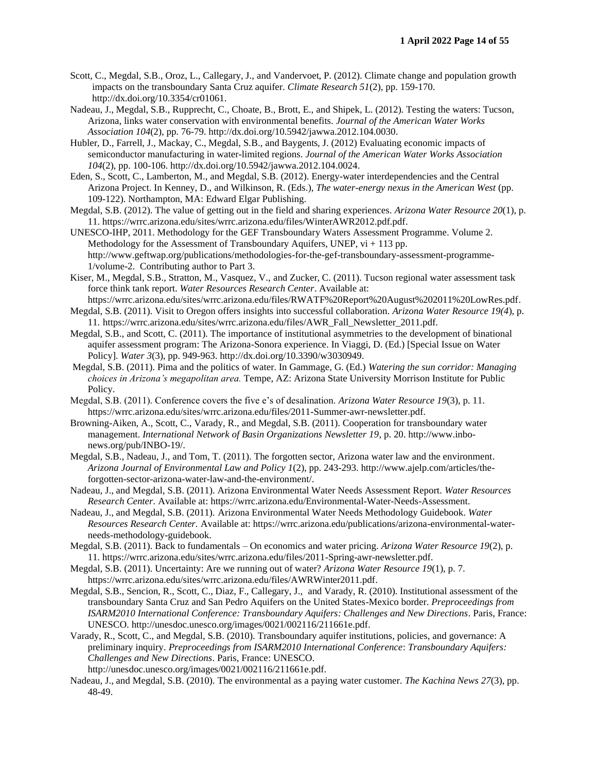- Scott, C., Megdal, S.B., Oroz, L., Callegary, J., and Vandervoet, P. (2012). Climate change and population growth impacts on the transboundary Santa Cruz aquifer. *Climate Research 51*(2), pp. 159-170. http://dx.doi.org/10.3354/cr01061.
- Nadeau, J., Megdal, S.B., Rupprecht, C., Choate, B., Brott, E., and Shipek, L. (2012). Testing the waters: Tucson, Arizona, links water conservation with environmental benefits. *Journal of the American Water Works Association 104*(2), pp. 76-79. http://dx.doi.org/10.5942/jawwa.2012.104.0030.
- Hubler, D., Farrell, J., Mackay, C., Megdal, S.B., and Baygents, J. (2012) Evaluating economic impacts of semiconductor manufacturing in water-limited regions. *Journal of the American Water Works Association 104*(2), pp. 100-106. http://dx.doi.org/10.5942/jawwa.2012.104.0024.
- Eden, S., Scott, C., Lamberton, M., and Megdal, S.B. (2012). Energy-water interdependencies and the Central Arizona Project. In Kenney, D., and Wilkinson, R. (Eds.), *The water-energy nexus in the American West* (pp. 109-122). Northampton, MA: Edward Elgar Publishing.
- Megdal, S.B. (2012). The value of getting out in the field and sharing experiences. *Arizona Water Resource 20*(1), p. 11. https://wrrc.arizona.edu/sites/wrrc.arizona.edu/files/WinterAWR2012.pdf.pdf.
- UNESCO-IHP, 2011. Methodology for the GEF Transboundary Waters Assessment Programme. Volume 2. Methodology for the Assessment of Transboundary Aquifers, UNEP,  $vi + 113$  pp. http://www.geftwap.org/publications/methodologies-for-the-gef-transboundary-assessment-programme-1/volume-2. Contributing author to Part 3.
- Kiser, M., Megdal, S.B., Stratton, M., Vasquez, V., and Zucker, C. (2011). Tucson regional water assessment task force think tank report. *Water Resources Research Center*. Available at:
- https://wrrc.arizona.edu/sites/wrrc.arizona.edu/files/RWATF%20Report%20August%202011%20LowRes.pdf. Megdal, S.B. (2011). Visit to Oregon offers insights into successful collaboration. *Arizona Water Resource 19(4*), p.
- 11. https://wrrc.arizona.edu/sites/wrrc.arizona.edu/files/AWR\_Fall\_Newsletter\_2011.pdf.
- Megdal, S.B., and Scott, C. (2011). The importance of institutional asymmetries to the development of binational aquifer assessment program: The Arizona-Sonora experience. In Viaggi, D. (Ed.) [Special Issue on Water Policy]. *Water 3*(3), pp. 949-963. http://dx.doi.org/10.3390/w3030949.
- Megdal, S.B. (2011). Pima and the politics of water. In Gammage, G. (Ed.) *Watering the sun corridor: Managing choices in Arizona's megapolitan area.* Tempe, AZ: Arizona State University Morrison Institute for Public Policy.
- Megdal, S.B. (2011). Conference covers the five e's of desalination. *Arizona Water Resource 19*(3), p. 11. https://wrrc.arizona.edu/sites/wrrc.arizona.edu/files/2011-Summer-awr-newsletter.pdf.
- Browning-Aiken, A., Scott, C., Varady, R., and Megdal, S.B. (2011). Cooperation for transboundary water management. *International Network of Basin Organizations Newsletter 19*, p. 20. http://www.inbonews.org/pub/INBO-19/.
- Megdal, S.B., Nadeau, J., and Tom, T. (2011). The forgotten sector, Arizona water law and the environment. *Arizona Journal of Environmental Law and Policy 1*(2), pp. 243-293. http://www.ajelp.com/articles/theforgotten-sector-arizona-water-law-and-the-environment/.
- Nadeau, J., and Megdal, S.B. (2011). Arizona Environmental Water Needs Assessment Report*. Water Resources Research Center.* Available at: https://wrrc.arizona.edu/Environmental-Water-Needs-Assessment.
- Nadeau, J., and Megdal, S.B. (2011). Arizona Environmental Water Needs Methodology Guidebook. *Water Resources Research Center.* Available at: https://wrrc.arizona.edu/publications/arizona-environmental-waterneeds-methodology-guidebook.
- Megdal, S.B. (2011). Back to fundamentals On economics and water pricing. *Arizona Water Resource 19*(2), p. 11. https://wrrc.arizona.edu/sites/wrrc.arizona.edu/files/2011-Spring-awr-newsletter.pdf.
- Megdal, S.B. (2011). Uncertainty: Are we running out of water? *Arizona Water Resource 19*(1), p. 7. https://wrrc.arizona.edu/sites/wrrc.arizona.edu/files/AWRWinter2011.pdf.
- Megdal, S.B., Sencion, R., Scott, C., Diaz, F., Callegary, J., and Varady, R. (2010). Institutional assessment of the transboundary Santa Cruz and San Pedro Aquifers on the United States-Mexico border. *Preproceedings from ISARM2010 International Conference: Transboundary Aquifers: Challenges and New Directions*. Paris, France: UNESCO. http://unesdoc.unesco.org/images/0021/002116/211661e.pdf.
- Varady, R., Scott, C., and Megdal, S.B. (2010). Transboundary aquifer institutions, policies, and governance: A preliminary inquiry. *Preproceedings from ISARM2010 International Conference*: *Transboundary Aquifers: Challenges and New Directions*. Paris, France: UNESCO. http://unesdoc.unesco.org/images/0021/002116/211661e.pdf.
- Nadeau, J., and Megdal, S.B. (2010). The environmental as a paying water customer. *The Kachina News 27*(3), pp. 48-49.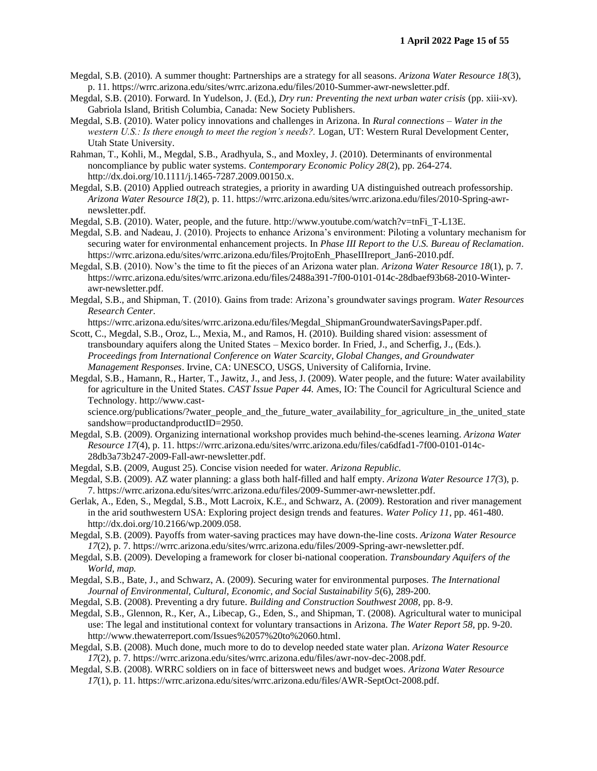- Megdal, S.B. (2010). A summer thought: Partnerships are a strategy for all seasons. *Arizona Water Resource 18*(3), p. 11. https://wrrc.arizona.edu/sites/wrrc.arizona.edu/files/2010-Summer-awr-newsletter.pdf.
- Megdal, S.B. (2010). Forward. In Yudelson, J. (Ed.), *Dry run: Preventing the next urban water crisis* (pp. xiii-xv). Gabriola Island, British Columbia, Canada: New Society Publishers.
- Megdal, S.B. (2010). Water policy innovations and challenges in Arizona. In *Rural connections – Water in the western U.S.: Is there enough to meet the region's needs?.* Logan, UT: Western Rural Development Center, Utah State University.
- Rahman, T., Kohli, M., Megdal, S.B., Aradhyula, S., and Moxley, J. (2010). Determinants of environmental noncompliance by public water systems. *Contemporary Economic Policy 28*(2), pp. 264-274. http://dx.doi.org/10.1111/j.1465-7287.2009.00150.x.
- Megdal, S.B. (2010) Applied outreach strategies, a priority in awarding UA distinguished outreach professorship. *Arizona Water Resource 18*(2), p. 11. https://wrrc.arizona.edu/sites/wrrc.arizona.edu/files/2010-Spring-awrnewsletter.pdf.
- Megdal, S.B. (2010). Water, people, and the future. http://www.youtube.com/watch?v=tnFi\_T-L13E.
- Megdal, S.B. and Nadeau, J. (2010). Projects to enhance Arizona's environment: Piloting a voluntary mechanism for securing water for environmental enhancement projects. In *Phase III Report to the U.S. Bureau of Reclamation*. https://wrrc.arizona.edu/sites/wrrc.arizona.edu/files/ProjtoEnh\_PhaseIIIreport\_Jan6-2010.pdf.
- Megdal, S.B. (2010). Now's the time to fit the pieces of an Arizona water plan. *Arizona Water Resource 18*(1), p. 7. https://wrrc.arizona.edu/sites/wrrc.arizona.edu/files/2488a391-7f00-0101-014c-28dbaef93b68-2010-Winterawr-newsletter.pdf.
- Megdal, S.B., and Shipman, T. (2010). Gains from trade: Arizona's groundwater savings program. *Water Resources Research Center.*
- https://wrrc.arizona.edu/sites/wrrc.arizona.edu/files/Megdal\_ShipmanGroundwaterSavingsPaper.pdf. Scott, C., Megdal, S.B., Oroz, L., Mexia, M., and Ramos, H. (2010). Building shared vision: assessment of transboundary aquifers along the United States – Mexico border*.* In Fried, J., and Scherfig, J., (Eds.). *Proceedings from International Conference on Water Scarcity, Global Changes, and Groundwater Management Responses*. Irvine, CA: UNESCO, USGS, University of California, Irvine.
- Megdal, S.B., Hamann, R., Harter, T., Jawitz, J., and Jess, J. (2009). Water people, and the future: Water availability for agriculture in the United States. *CAST Issue Paper 44.* Ames, IO: The Council for Agricultural Science and Technology. http://www.cast-

science.org/publications/?water\_people\_and\_the\_future\_water\_availability\_for\_agriculture\_in\_the\_united\_state sandshow=productandproductID=2950.

- Megdal, S.B. (2009). Organizing international workshop provides much behind-the-scenes learning. *Arizona Water Resource 17*(4), p. 11. https://wrrc.arizona.edu/sites/wrrc.arizona.edu/files/ca6dfad1-7f00-0101-014c-28db3a73b247-2009-Fall-awr-newsletter.pdf.
- Megdal, S.B. (2009, August 25). Concise vision needed for water. *Arizona Republic.*
- Megdal, S.B. (2009). AZ water planning: a glass both half-filled and half empty. *Arizona Water Resource 17(*3), p. 7. https://wrrc.arizona.edu/sites/wrrc.arizona.edu/files/2009-Summer-awr-newsletter.pdf.
- Gerlak, A., Eden, S., Megdal, S.B., Mott Lacroix, K.E., and Schwarz, A. (2009). Restoration and river management in the arid southwestern USA: Exploring project design trends and features. *Water Policy 11*, pp. 461-480. http://dx.doi.org/10.2166/wp.2009.058.
- Megdal, S.B. (2009). Payoffs from water-saving practices may have down-the-line costs. *Arizona Water Resource 17*(2), p. 7. https://wrrc.arizona.edu/sites/wrrc.arizona.edu/files/2009-Spring-awr-newsletter.pdf.
- Megdal, S.B. (2009). Developing a framework for closer bi-national cooperation. *Transboundary Aquifers of the World, map.*
- Megdal, S.B., Bate, J., and Schwarz, A. (2009). Securing water for environmental purposes. *The International Journal of Environmental, Cultural, Economic, and Social Sustainability 5*(6), 289-200.
- Megdal, S.B. (2008). Preventing a dry future. *Building and Construction Southwest 2008*, pp. 8-9.
- Megdal, S.B., Glennon, R., Ker, A., Libecap, G., Eden, S., and Shipman, T. (2008). Agricultural water to municipal use: The legal and institutional context for voluntary transactions in Arizona. *The Water Report 58,* pp. 9-20. http://www.thewaterreport.com/Issues%2057%20to%2060.html.
- Megdal, S.B. (2008). Much done, much more to do to develop needed state water plan. *Arizona Water Resource 17*(2), p. 7. https://wrrc.arizona.edu/sites/wrrc.arizona.edu/files/awr-nov-dec-2008.pdf.
- Megdal, S.B. (2008). WRRC soldiers on in face of bittersweet news and budget woes. *Arizona Water Resource 17*(1), p. 11. https://wrrc.arizona.edu/sites/wrrc.arizona.edu/files/AWR-SeptOct-2008.pdf.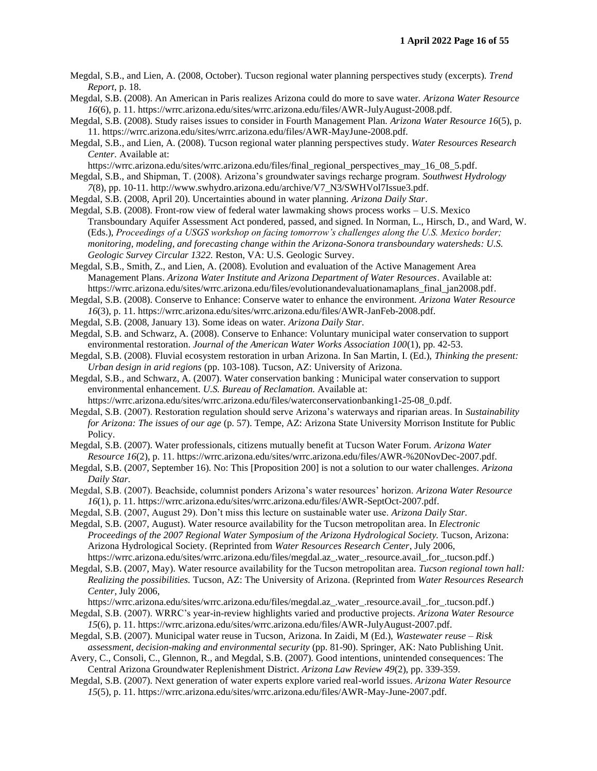Megdal, S.B., and Lien, A. (2008, October). Tucson regional water planning perspectives study (excerpts). *Trend Report*, p. 18.

- Megdal, S.B. (2008). An American in Paris realizes Arizona could do more to save water. *Arizona Water Resource 16*(6), p. 11. https://wrrc.arizona.edu/sites/wrrc.arizona.edu/files/AWR-JulyAugust-2008.pdf.
- Megdal, S.B. (2008). Study raises issues to consider in Fourth Management Plan. *Arizona Water Resource 16*(5), p. 11. https://wrrc.arizona.edu/sites/wrrc.arizona.edu/files/AWR-MayJune-2008.pdf.
- Megdal, S.B., and Lien, A. (2008). Tucson regional water planning perspectives study. *Water Resources Research Center.* Available at:

https://wrrc.arizona.edu/sites/wrrc.arizona.edu/files/final\_regional\_perspectives\_may\_16\_08\_5.pdf.

Megdal, S.B., and Shipman, T. (2008). Arizona's groundwater savings recharge program. *Southwest Hydrology*

- *7*(8), pp. 10-11. http://www.swhydro.arizona.edu/archive/V7\_N3/SWHVol7Issue3.pdf.
- Megdal, S.B. (2008, April 20). Uncertainties abound in water planning. *Arizona Daily Star*. Megdal, S.B. (2008). Front-row view of federal water lawmaking shows process works – U.S. Mexico Transboundary Aquifer Assessment Act pondered, passed, and signed. In Norman, L., Hirsch, D., and Ward, W. (Eds.), *Proceedings of a USGS workshop on facing tomorrow's challenges along the U.S. Mexico border;*

*monitoring, modeling, and forecasting change within the Arizona-Sonora transboundary watersheds: U.S. Geologic Survey Circular 1322.* Reston, VA: U.S. Geologic Survey.

- Megdal, S.B., Smith, Z., and Lien, A. (2008). Evolution and evaluation of the Active Management Area Management Plans. *Arizona Water Institute and Arizona Department of Water Resources*. Available at: https://wrrc.arizona.edu/sites/wrrc.arizona.edu/files/evolutionandevaluationamaplans\_final\_jan2008.pdf.
- Megdal, S.B. (2008). Conserve to Enhance: Conserve water to enhance the environment. *Arizona Water Resource 16*(3), p. 11. https://wrrc.arizona.edu/sites/wrrc.arizona.edu/files/AWR-JanFeb-2008.pdf.
- Megdal, S.B. (2008, January 13). Some ideas on water. *Arizona Daily Star.*

Megdal, S.B. and Schwarz, A. (2008). Conserve to Enhance: Voluntary municipal water conservation to support environmental restoration. *Journal of the American Water Works Association 100*(1), pp. 42-53.

Megdal, S.B. (2008). Fluvial ecosystem restoration in urban Arizona. In San Martin, I. (Ed.), *Thinking the present: Urban design in arid regions* (pp. 103-108). Tucson, AZ: University of Arizona.

Megdal, S.B., and Schwarz, A. (2007). Water conservation banking : Municipal water conservation to support environmental enhancement. *U.S. Bureau of Reclamation.* Available at:

https://wrrc.arizona.edu/sites/wrrc.arizona.edu/files/waterconservationbanking1-25-08\_0.pdf.

Megdal, S.B. (2007). Restoration regulation should serve Arizona's waterways and riparian areas. In *Sustainability for Arizona: The issues of our age* (p. 57). Tempe, AZ: Arizona State University Morrison Institute for Public Policy.

Megdal, S.B. (2007). Water professionals, citizens mutually benefit at Tucson Water Forum. *Arizona Water Resource 16*(2), p. 11. https://wrrc.arizona.edu/sites/wrrc.arizona.edu/files/AWR-%20NovDec-2007.pdf.

- Megdal, S.B. (2007, September 16). No: This [Proposition 200] is not a solution to our water challenges. *Arizona Daily Star.*
- Megdal, S.B. (2007). Beachside, columnist ponders Arizona's water resources' horizon. *Arizona Water Resource 16*(1), p. 11. https://wrrc.arizona.edu/sites/wrrc.arizona.edu/files/AWR-SeptOct-2007.pdf.
- Megdal, S.B. (2007, August 29). Don't miss this lecture on sustainable water use. *Arizona Daily Star.*

Megdal, S.B. (2007, August). Water resource availability for the Tucson metropolitan area. In *Electronic Proceedings of the 2007 Regional Water Symposium of the Arizona Hydrological Society.* Tucson, Arizona: Arizona Hydrological Society. (Reprinted from *Water Resources Research Center*, July 2006, https://wrrc.arizona.edu/sites/wrrc.arizona.edu/files/megdal.az\_.water\_.resource.avail\_.for\_.tucson.pdf.)

Megdal, S.B. (2007, May). Water resource availability for the Tucson metropolitan area. *Tucson regional town hall: Realizing the possibilities.* Tucson, AZ: The University of Arizona. (Reprinted from *Water Resources Research Center*, July 2006,

https://wrrc.arizona.edu/sites/wrrc.arizona.edu/files/megdal.az\_.water\_.resource.avail\_.for\_.tucson.pdf.)

- Megdal, S.B. (2007). WRRC's year-in-review highlights varied and productive projects. *Arizona Water Resource 15*(6), p. 11. https://wrrc.arizona.edu/sites/wrrc.arizona.edu/files/AWR-JulyAugust-2007.pdf.
- Megdal, S.B. (2007). Municipal water reuse in Tucson, Arizona. In Zaidi, M (Ed.), *Wastewater reuse – Risk assessment, decision-making and environmental security* (pp. 81-90). Springer, AK: Nato Publishing Unit.

Avery, C., Consoli, C., Glennon, R., and Megdal, S.B. (2007). Good intentions, unintended consequences: The Central Arizona Groundwater Replenishment District. *Arizona Law Review 49*(2), pp. 339-359.

Megdal, S.B. (2007). Next generation of water experts explore varied real-world issues. *Arizona Water Resource 15*(5), p. 11. https://wrrc.arizona.edu/sites/wrrc.arizona.edu/files/AWR-May-June-2007.pdf.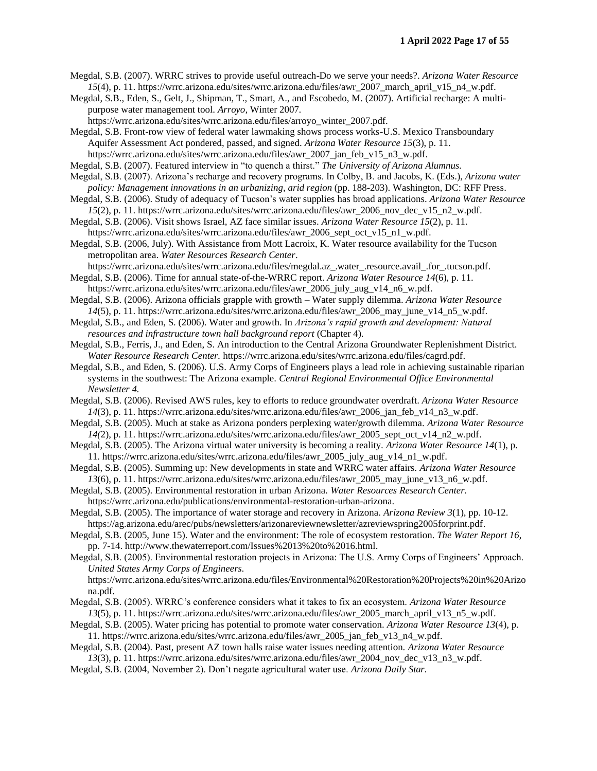Megdal, S.B. (2007). WRRC strives to provide useful outreach-Do we serve your needs?. *Arizona Water Resource 15*(4), p. 11. https://wrrc.arizona.edu/sites/wrrc.arizona.edu/files/awr\_2007\_march\_april\_v15\_n4\_w.pdf.

Megdal, S.B., Eden, S., Gelt, J., Shipman, T., Smart, A., and Escobedo, M. (2007). Artificial recharge: A multipurpose water management tool. *Arroyo,* Winter 2007*.* 

https://wrrc.arizona.edu/sites/wrrc.arizona.edu/files/arroyo\_winter\_2007.pdf.

Megdal, S.B. Front-row view of federal water lawmaking shows process works-U.S. Mexico Transboundary Aquifer Assessment Act pondered, passed, and signed. *Arizona Water Resource 15*(3), p. 11. https://wrrc.arizona.edu/sites/wrrc.arizona.edu/files/awr\_2007\_jan\_feb\_v15\_n3\_w.pdf.

Megdal, S.B. (2007). Featured interview in "to quench a thirst." *The University of Arizona Alumnus.* 

Megdal, S.B. (2007). Arizona's recharge and recovery programs. In Colby, B. and Jacobs, K. (Eds.), *Arizona water*  policy: Management innovations in an urbanizing, arid region (pp. 188-203). Washington, DC: RFF Press.

Megdal, S.B. (2006). Study of adequacy of Tucson's water supplies has broad applications. *Arizona Water Resource 15*(2), p. 11. https://wrrc.arizona.edu/sites/wrrc.arizona.edu/files/awr\_2006\_nov\_dec\_v15\_n2\_w.pdf.

Megdal, S.B. (2006). Visit shows Israel, AZ face similar issues. *Arizona Water Resource 15*(2), p. 11. https://wrrc.arizona.edu/sites/wrrc.arizona.edu/files/awr\_2006\_sept\_oct\_v15\_n1\_w.pdf.

Megdal, S.B. (2006, July). With Assistance from Mott Lacroix, K. Water resource availability for the Tucson metropolitan area. *Water Resources Research Center*.

https://wrrc.arizona.edu/sites/wrrc.arizona.edu/files/megdal.az\_.water\_.resource.avail\_.for\_.tucson.pdf. Megdal, S.B. (2006). Time for annual state-of-the-WRRC report. *Arizona Water Resource 14*(6), p. 11.

https://wrrc.arizona.edu/sites/wrrc.arizona.edu/files/awr\_2006\_july\_aug\_v14\_n6\_w.pdf. Megdal, S.B. (2006). Arizona officials grapple with growth – Water supply dilemma. *Arizona Water Resource* 

*14*(5), p. 11. https://wrrc.arizona.edu/sites/wrrc.arizona.edu/files/awr\_2006\_may\_june\_v14\_n5\_w.pdf.

Megdal, S.B., and Eden, S. (2006). Water and growth. In *Arizona's rapid growth and development: Natural resources and infrastructure town hall background report* (Chapter 4).

Megdal, S.B., Ferris, J., and Eden, S. An introduction to the Central Arizona Groundwater Replenishment District. *Water Resource Research Center.* https://wrrc.arizona.edu/sites/wrrc.arizona.edu/files/cagrd.pdf.

Megdal, S.B., and Eden, S. (2006). U.S. Army Corps of Engineers plays a lead role in achieving sustainable riparian systems in the southwest: The Arizona example. *Central Regional Environmental Office Environmental Newsletter 4.* 

- Megdal, S.B. (2006). Revised AWS rules, key to efforts to reduce groundwater overdraft. *Arizona Water Resource 14*(3), p. 11. https://wrrc.arizona.edu/sites/wrrc.arizona.edu/files/awr\_2006\_jan\_feb\_v14\_n3\_w.pdf.
- Megdal, S.B. (2005). Much at stake as Arizona ponders perplexing water/growth dilemma. *Arizona Water Resource 14(*2), p. 11. https://wrrc.arizona.edu/sites/wrrc.arizona.edu/files/awr\_2005\_sept\_oct\_v14\_n2\_w.pdf.

Megdal, S.B. (2005). The Arizona virtual water university is becoming a reality. *Arizona Water Resource 14*(1), p. 11. https://wrrc.arizona.edu/sites/wrrc.arizona.edu/files/awr\_2005\_july\_aug\_v14\_n1\_w.pdf.

Megdal, S.B. (2005). Summing up: New developments in state and WRRC water affairs. *Arizona Water Resource 13*(6), p. 11. https://wrrc.arizona.edu/sites/wrrc.arizona.edu/files/awr\_2005\_may\_june\_v13\_n6\_w.pdf.

Megdal, S.B. (2005). Environmental restoration in urban Arizona. *Water Resources Research Center.*  https://wrrc.arizona.edu/publications/environmental-restoration-urban-arizona.

Megdal, S.B. (2005). The importance of water storage and recovery in Arizona. *Arizona Review 3*(1), pp. 10-12. https://ag.arizona.edu/arec/pubs/newsletters/arizonareviewnewsletter/azreviewspring2005forprint.pdf.

Megdal, S.B. (2005, June 15). Water and the environment: The role of ecosystem restoration. *The Water Report 16*, pp. 7-14. http://www.thewaterreport.com/Issues%2013%20to%2016.html.

Megdal, S.B. (2005). Environmental restoration projects in Arizona: The U.S. Army Corps of Engineers' Approach. *United States Army Corps of Engineers.* 

https://wrrc.arizona.edu/sites/wrrc.arizona.edu/files/Environmental%20Restoration%20Projects%20in%20Arizo na.pdf.

Megdal, S.B. (2005). WRRC's conference considers what it takes to fix an ecosystem. *Arizona Water Resource 13*(5), p. 11. https://wrrc.arizona.edu/sites/wrrc.arizona.edu/files/awr\_2005\_march\_april\_v13\_n5\_w.pdf.

Megdal, S.B. (2005). Water pricing has potential to promote water conservation. *Arizona Water Resource 13*(4), p. 11. https://wrrc.arizona.edu/sites/wrrc.arizona.edu/files/awr\_2005\_jan\_feb\_v13\_n4\_w.pdf.

Megdal, S.B. (2004). Past, present AZ town halls raise water issues needing attention. *Arizona Water Resource 13*(3), p. 11. https://wrrc.arizona.edu/sites/wrrc.arizona.edu/files/awr\_2004\_nov\_dec\_v13\_n3\_w.pdf.

Megdal, S.B. (2004, November 2). Don't negate agricultural water use. *Arizona Daily Star.*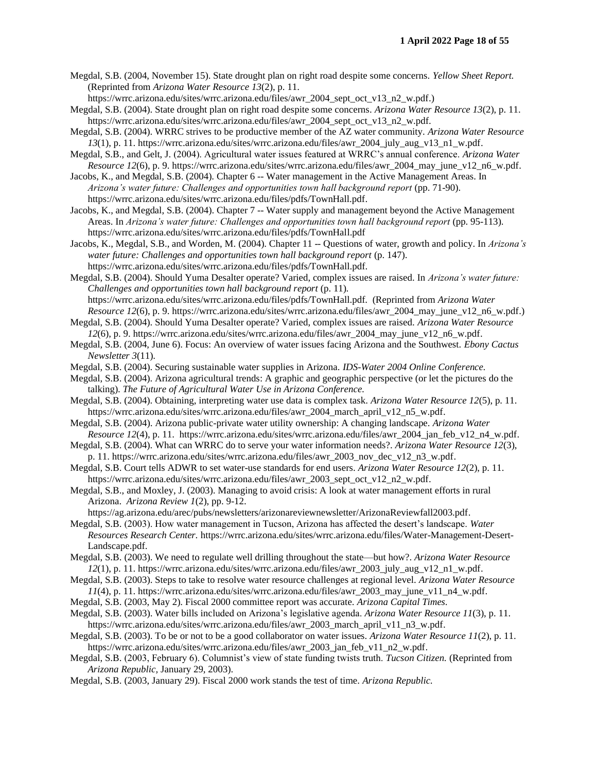Megdal, S.B. (2004, November 15). State drought plan on right road despite some concerns. *Yellow Sheet Report.* (Reprinted from *Arizona Water Resource 13*(2), p. 11.

https://wrrc.arizona.edu/sites/wrrc.arizona.edu/files/awr\_2004\_sept\_oct\_v13\_n2\_w.pdf.)

- Megdal, S.B. (2004). State drought plan on right road despite some concerns. *Arizona Water Resource 13*(2), p. 11. https://wrrc.arizona.edu/sites/wrrc.arizona.edu/files/awr 2004 sept\_oct\_v13\_n2\_w.pdf.
- Megdal, S.B. (2004). WRRC strives to be productive member of the AZ water community. *Arizona Water Resource 13*(1), p. 11. https://wrrc.arizona.edu/sites/wrrc.arizona.edu/files/awr\_2004\_july\_aug\_v13\_n1\_w.pdf.
- Megdal, S.B., and Gelt, J. (2004). Agricultural water issues featured at WRRC's annual conference. *Arizona Water Resource 12*(6), p. 9. https://wrrc.arizona.edu/sites/wrrc.arizona.edu/files/awr\_2004\_may\_june\_v12\_n6\_w.pdf.
- Jacobs, K., and Megdal, S.B. (2004). Chapter 6 -- Water management in the Active Management Areas. In Arizona's water future: Challenges and opportunities town hall background report (pp. 71-90). https://wrrc.arizona.edu/sites/wrrc.arizona.edu/files/pdfs/TownHall.pdf.
- Jacobs, K., and Megdal, S.B. (2004). Chapter 7 -- Water supply and management beyond the Active Management Areas. In *Arizona's water future: Challenges and opportunities town hall background report* (pp. 95-113). https://wrrc.arizona.edu/sites/wrrc.arizona.edu/files/pdfs/TownHall.pdf
- Jacobs, K., Megdal, S.B., and Worden, M. (2004). Chapter 11 -- Questions of water, growth and policy. In *Arizona's*  water future: Challenges and opportunities town hall background report (p. 147). https://wrrc.arizona.edu/sites/wrrc.arizona.edu/files/pdfs/TownHall.pdf.
- Megdal, S.B. (2004). Should Yuma Desalter operate? Varied, complex issues are raised. In *Arizona's water future: Challenges and opportunities town hall background report* (p. 11)*.* https://wrrc.arizona.edu/sites/wrrc.arizona.edu/files/pdfs/TownHall.pdf. (Reprinted from *Arizona Water Resource 12*(6), p. 9. https://wrrc.arizona.edu/sites/wrrc.arizona.edu/files/awr\_2004\_may\_june\_v12\_n6\_w.pdf.)
- Megdal, S.B. (2004). Should Yuma Desalter operate? Varied, complex issues are raised. *Arizona Water Resource 12*(6), p. 9. https://wrrc.arizona.edu/sites/wrrc.arizona.edu/files/awr\_2004\_may\_june\_v12\_n6\_w.pdf.
- Megdal, S.B. (2004, June 6). Focus: An overview of water issues facing Arizona and the Southwest. *Ebony Cactus Newsletter 3*(11).
- Megdal, S.B. (2004). Securing sustainable water supplies in Arizona. *IDS-Water 2004 Online Conference.*
- Megdal, S.B. (2004). Arizona agricultural trends: A graphic and geographic perspective (or let the pictures do the talking). *The Future of Agricultural Water Use in Arizona Conference.*
- Megdal, S.B. (2004). Obtaining, interpreting water use data is complex task. *Arizona Water Resource 12*(5), p. 11. https://wrrc.arizona.edu/sites/wrrc.arizona.edu/files/awr\_2004\_march\_april\_v12\_n5\_w.pdf.
- Megdal, S.B. (2004). Arizona public-private water utility ownership: A changing landscape. *Arizona Water Resource 12*(4), p. 11. https://wrrc.arizona.edu/sites/wrrc.arizona.edu/files/awr\_2004\_jan\_feb\_v12\_n4\_w.pdf.
- Megdal, S.B. (2004). What can WRRC do to serve your water information needs?. *Arizona Water Resource 12*(3), p. 11. https://wrrc.arizona.edu/sites/wrrc.arizona.edu/files/awr\_2003\_nov\_dec\_v12\_n3\_w.pdf.
- Megdal, S.B. Court tells ADWR to set water-use standards for end users. *Arizona Water Resource 12*(2), p. 11. https://wrrc.arizona.edu/sites/wrrc.arizona.edu/files/awr\_2003\_sept\_oct\_v12\_n2\_w.pdf.
- Megdal, S.B., and Moxley, J. (2003). Managing to avoid crisis: A look at water management efforts in rural Arizona. *Arizona Review 1*(2), pp. 9-12.

https://ag.arizona.edu/arec/pubs/newsletters/arizonareviewnewsletter/ArizonaReviewfall2003.pdf.

- Megdal, S.B. (2003). How water management in Tucson, Arizona has affected the desert's landscape. *Water Resources Research Center.* https://wrrc.arizona.edu/sites/wrrc.arizona.edu/files/Water-Management-Desert-Landscape.pdf.
- Megdal, S.B. (2003). We need to regulate well drilling throughout the state—but how?. *Arizona Water Resource 12*(1), p. 11. https://wrrc.arizona.edu/sites/wrrc.arizona.edu/files/awr\_2003\_july\_aug\_v12\_n1\_w.pdf.
- Megdal, S.B. (2003). Steps to take to resolve water resource challenges at regional level. *Arizona Water Resource 11*(4), p. 11. https://wrrc.arizona.edu/sites/wrrc.arizona.edu/files/awr\_2003\_may\_june\_v11\_n4\_w.pdf.
- Megdal, S.B. (2003, May 2). Fiscal 2000 committee report was accurate. *Arizona Capital Times.*
- Megdal, S.B. (2003). Water bills included on Arizona's legislative agenda. *Arizona Water Resource 11*(3), p. 11. https://wrrc.arizona.edu/sites/wrrc.arizona.edu/files/awr\_2003\_march\_april\_v11\_n3\_w.pdf.
- Megdal, S.B. (2003). To be or not to be a good collaborator on water issues. *Arizona Water Resource 11*(2), p. 11. https://wrrc.arizona.edu/sites/wrrc.arizona.edu/files/awr\_2003\_jan\_feb\_v11\_n2\_w.pdf.
- Megdal, S.B. (2003, February 6). Columnist's view of state funding twists truth. *Tucson Citizen.* (Reprinted from *Arizona Republic,* January 29, 2003).
- Megdal, S.B. (2003, January 29). Fiscal 2000 work stands the test of time. *Arizona Republic.*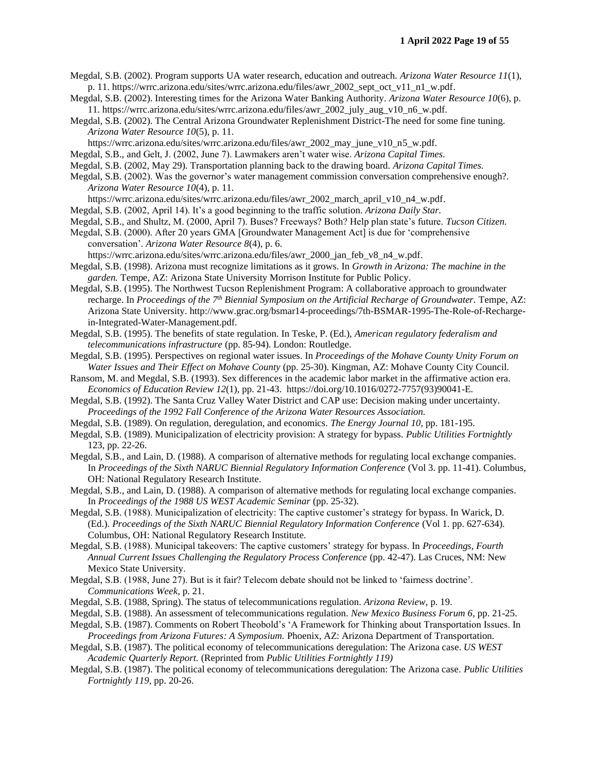- Megdal, S.B. (2002). Program supports UA water research, education and outreach. *Arizona Water Resource 11*(1), p. 11. https://wrrc.arizona.edu/sites/wrrc.arizona.edu/files/awr\_2002\_sept\_oct\_v11\_n1\_w.pdf.
- Megdal, S.B. (2002). Interesting times for the Arizona Water Banking Authority. *Arizona Water Resource 10*(6), p. 11. https://wrrc.arizona.edu/sites/wrrc.arizona.edu/files/awr\_2002\_july\_aug\_v10\_n6\_w.pdf.
- Megdal, S.B. (2002). The Central Arizona Groundwater Replenishment District-The need for some fine tuning. *Arizona Water Resource 10*(5), p. 11.
	- https://wrrc.arizona.edu/sites/wrrc.arizona.edu/files/awr\_2002\_may\_june\_v10\_n5\_w.pdf.
- Megdal, S.B., and Gelt, J. (2002, June 7). Lawmakers aren't water wise. *Arizona Capital Times.*
- Megdal, S.B. (2002, May 29). Transportation planning back to the drawing board. *Arizona Capital Times.*
- Megdal, S.B. (2002). Was the governor's water management commission conversation comprehensive enough?. *Arizona Water Resource 10*(4), p. 11.

https://wrrc.arizona.edu/sites/wrrc.arizona.edu/files/awr\_2002\_march\_april\_v10\_n4\_w.pdf.

- Megdal, S.B. (2002, April 14). It's a good beginning to the traffic solution. *Arizona Daily Star.*
- Megdal, S.B., and Shultz, M. (2000, April 7). Buses? Freeways? Both? Help plan state's future. *Tucson Citizen.*
- Megdal, S.B. (2000). After 20 years GMA [Groundwater Management Act] is due for 'comprehensive conversation'. *Arizona Water Resource 8*(4), p. 6.

https://wrrc.arizona.edu/sites/wrrc.arizona.edu/files/awr\_2000\_jan\_feb\_v8\_n4\_w.pdf.

- Megdal, S.B. (1998). Arizona must recognize limitations as it grows. In *Growth in Arizona: The machine in the garden.* Tempe, AZ: Arizona State University Morrison Institute for Public Policy.
- Megdal, S.B. (1995). The Northwest Tucson Replenishment Program: A collaborative approach to groundwater recharge. In *Proceedings of the 7th Biennial Symposium on the Artificial Recharge of Groundwater.* Tempe, AZ: Arizona State University. http://www.grac.org/bsmar14-proceedings/7th-BSMAR-1995-The-Role-of-Rechargein-Integrated-Water-Management.pdf.
- Megdal, S.B. (1995). The benefits of state regulation. In Teske, P. (Ed.), *American regulatory federalism and telecommunications infrastructure* (pp. 85-94). London: Routledge.
- Megdal, S.B. (1995). Perspectives on regional water issues. In *Proceedings of the Mohave County Unity Forum on Water Issues and Their Effect on Mohave County* (pp. 25-30). Kingman, AZ: Mohave County City Council.
- Ransom, M. and Megdal, S.B. (1993). Sex differences in the academic labor market in the affirmative action era. *Economics of Education Review 12*(1), pp. 21-43. https://doi.org/10.1016/0272-7757(93)90041-E.
- Megdal, S.B. (1992). The Santa Cruz Valley Water District and CAP use: Decision making under uncertainty. *Proceedings of the 1992 Fall Conference of the Arizona Water Resources Association.*
- Megdal, S.B. (1989). On regulation, deregulation, and economics. *The Energy Journal 10*, pp. 181-195.
- Megdal, S.B. (1989). Municipalization of electricity provision: A strategy for bypass. *Public Utilities Fortnightly*  123, pp. 22-26.
- Megdal, S.B., and Lain, D. (1988). A comparison of alternative methods for regulating local exchange companies. In *Proceedings of the Sixth NARUC Biennial Regulatory Information Conference* (Vol 3. pp. 11-41). Columbus, OH: National Regulatory Research Institute.
- Megdal, S.B., and Lain, D. (1988). A comparison of alternative methods for regulating local exchange companies. In *Proceedings of the 1988 US WEST Academic Seminar (pp. 25-32).*
- Megdal, S.B. (1988). Municipalization of electricity: The captive customer's strategy for bypass. In Warick, D. (Ed.). *Proceedings of the Sixth NARUC Biennial Regulatory Information Conference* (Vol 1. pp. 627-634). Columbus, OH: National Regulatory Research Institute.
- Megdal, S.B. (1988). Municipal takeovers: The captive customers' strategy for bypass. In *Proceedings, Fourth Annual Current Issues Challenging the Regulatory Process Conference* (pp. 42-47). Las Cruces, NM: New Mexico State University.
- Megdal, S.B. (1988, June 27). But is it fair? Telecom debate should not be linked to 'fairness doctrine'. *Communications Week,* p. 21.
- Megdal, S.B. (1988, Spring). The status of telecommunications regulation. *Arizona Review,* p. 19.
- Megdal, S.B. (1988). An assessment of telecommunications regulation. *New Mexico Business Forum 6*, pp. 21-25.
- Megdal, S.B. (1987). Comments on Robert Theobold's 'A Framework for Thinking about Transportation Issues. In *Proceedings from Arizona Futures: A Symposium.* Phoenix, AZ: Arizona Department of Transportation.
- Megdal, S.B. (1987). The political economy of telecommunications deregulation: The Arizona case. *US WEST Academic Quarterly Report.* (Reprinted from *Public Utilities Fortnightly 119)*
- Megdal, S.B. (1987). The political economy of telecommunications deregulation: The Arizona case. *Public Utilities Fortnightly 119,* pp. 20-26.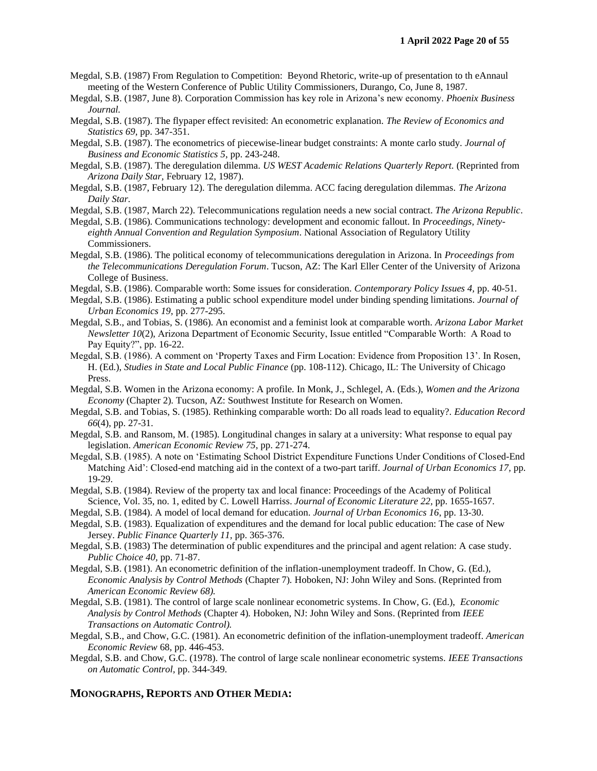- Megdal, S.B. (1987) From Regulation to Competition: Beyond Rhetoric, write-up of presentation to th eAnnaul meeting of the Western Conference of Public Utility Commissioners, Durango, Co, June 8, 1987.
- Megdal, S.B. (1987, June 8). Corporation Commission has key role in Arizona's new economy. *Phoenix Business Journal.*
- Megdal, S.B. (1987). The flypaper effect revisited: An econometric explanation. *The Review of Economics and Statistics 69,* pp. 347-351.
- Megdal, S.B. (1987). The econometrics of piecewise-linear budget constraints: A monte carlo study. *Journal of Business and Economic Statistics 5*, pp. 243-248.
- Megdal, S.B. (1987). The deregulation dilemma. *US WEST Academic Relations Quarterly Report.* (Reprinted from *Arizona Daily Star,* February 12, 1987).
- Megdal, S.B. (1987, February 12). The deregulation dilemma. ACC facing deregulation dilemmas. *The Arizona Daily Star.*
- Megdal, S.B. (1987, March 22). Telecommunications regulation needs a new social contract. *The Arizona Republic*.
- Megdal, S.B. (1986). Communications technology: development and economic fallout. In *Proceedings, Ninetyeighth Annual Convention and Regulation Symposium*. National Association of Regulatory Utility Commissioners.
- Megdal, S.B. (1986). The political economy of telecommunications deregulation in Arizona. In *Proceedings from the Telecommunications Deregulation Forum*. Tucson, AZ: The Karl Eller Center of the University of Arizona College of Business.
- Megdal, S.B. (1986). Comparable worth: Some issues for consideration. *Contemporary Policy Issues 4,* pp. 40-51.
- Megdal, S.B. (1986). Estimating a public school expenditure model under binding spending limitations. *Journal of Urban Economics 19,* pp. 277-295.
- Megdal, S.B., and Tobias, S. (1986). An economist and a feminist look at comparable worth. *Arizona Labor Market Newsletter 10*(2), Arizona Department of Economic Security, Issue entitled "Comparable Worth: A Road to Pay Equity?", pp. 16-22.
- Megdal, S.B. (1986). A comment on 'Property Taxes and Firm Location: Evidence from Proposition 13'. In Rosen, H. (Ed.), *Studies in State and Local Public Finance* (pp. 108-112). Chicago, IL: The University of Chicago Press.
- Megdal, S.B. Women in the Arizona economy: A profile*.* In Monk, J., Schlegel, A. (Eds.), *Women and the Arizona Economy* (Chapter 2). Tucson, AZ: Southwest Institute for Research on Women.
- Megdal, S.B. and Tobias, S. (1985). Rethinking comparable worth: Do all roads lead to equality?. *Education Record 66*(4), pp. 27-31.
- Megdal, S.B. and Ransom, M. (1985). Longitudinal changes in salary at a university: What response to equal pay legislation. *American Economic Review 75*, pp. 271-274.
- Megdal, S.B. (1985). A note on 'Estimating School District Expenditure Functions Under Conditions of Closed-End Matching Aid': Closed-end matching aid in the context of a two-part tariff. *Journal of Urban Economics 17,* pp. 19-29.
- Megdal, S.B. (1984). Review of the property tax and local finance: Proceedings of the Academy of Political Science, Vol. 35, no. 1, edited by C. Lowell Harriss. *Journal of Economic Literature 22,* pp. 1655-1657.
- Megdal, S.B. (1984). A model of local demand for education. *Journal of Urban Economics 16*, pp. 13-30.
- Megdal, S.B. (1983). Equalization of expenditures and the demand for local public education: The case of New Jersey. *Public Finance Quarterly 11,* pp. 365-376.
- Megdal, S.B. (1983) The determination of public expenditures and the principal and agent relation: A case study. *Public Choice 40,* pp. 71-87.
- Megdal, S.B. (1981). An econometric definition of the inflation-unemployment tradeoff. In Chow, G. (Ed.), *Economic Analysis by Control Methods* (Chapter 7)*.* Hoboken, NJ: John Wiley and Sons. (Reprinted from *American Economic Review 68).*
- Megdal, S.B. (1981). The control of large scale nonlinear econometric systems. In Chow, G. (Ed.), *Economic Analysis by Control Methods* (Chapter 4)*.* Hoboken, NJ: John Wiley and Sons. (Reprinted from *IEEE Transactions on Automatic Control).*
- Megdal, S.B., and Chow, G.C. (1981). An econometric definition of the inflation-unemployment tradeoff. *American Economic Review* 68, pp. 446-453.
- Megdal, S.B. and Chow, G.C. (1978). The control of large scale nonlinear econometric systems. *IEEE Transactions on Automatic Control,* pp. 344-349.

#### **MONOGRAPHS, REPORTS AND OTHER MEDIA:**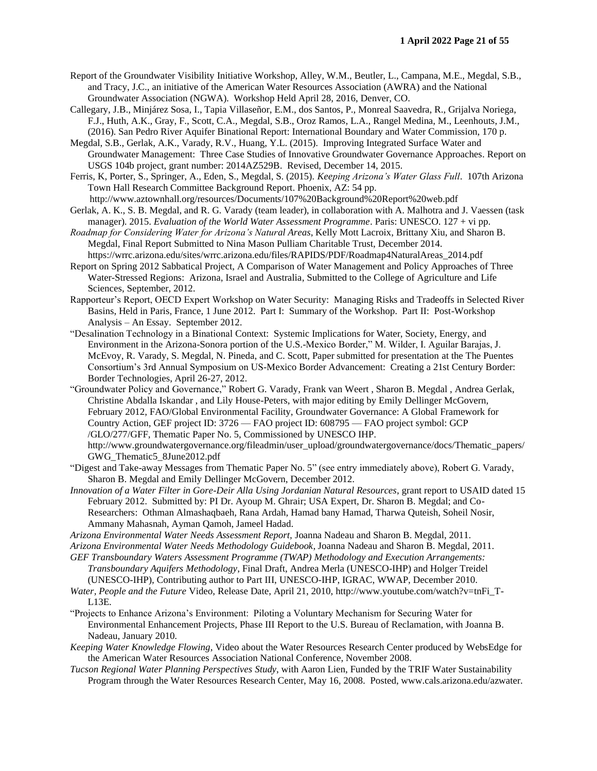- Report of the Groundwater Visibility Initiative Workshop, Alley, W.M., Beutler, L., Campana, M.E., Megdal, S.B., and Tracy, J.C., an initiative of the American Water Resources Association (AWRA) and the National Groundwater Association (NGWA). Workshop Held April 28, 2016, Denver, CO.
- Callegary, J.B., Minjárez Sosa, I., Tapia Villaseñor, E.M., dos Santos, P., Monreal Saavedra, R., Grijalva Noriega, F.J., Huth, A.K., Gray, F., Scott, C.A., Megdal, S.B., Oroz Ramos, L.A., Rangel Medina, M., Leenhouts, J.M., (2016). San Pedro River Aquifer Binational Report: International Boundary and Water Commission, 170 p.
- Megdal, S.B., Gerlak, A.K., Varady, R.V., Huang, Y.L. (2015). Improving Integrated Surface Water and Groundwater Management: Three Case Studies of Innovative Groundwater Governance Approaches. Report on USGS 104b project, grant number: 2014AZ529B. Revised, December 14, 2015.
- Ferris, K, Porter, S., Springer, A., Eden, S., Megdal, S. (2015). *Keeping Arizona's Water Glass Full*. 107th Arizona Town Hall Research Committee Background Report. Phoenix, AZ: 54 pp.
- http://www.aztownhall.org/resources/Documents/107%20Background%20Report%20web.pdf Gerlak, A. K., S. B. Megdal, and R. G. Varady (team leader), in collaboration with A. Malhotra and J. Vaessen (task
- manager). 2015. *Evaluation of the World Water Assessment Programme*. Paris: UNESCO. 127 + vi pp. *Roadmap for Considering Water for Arizona's Natural Areas*, Kelly Mott Lacroix, Brittany Xiu, and Sharon B.
- Megdal, Final Report Submitted to Nina Mason Pulliam Charitable Trust, December 2014. https://wrrc.arizona.edu/sites/wrrc.arizona.edu/files/RAPIDS/PDF/Roadmap4NaturalAreas\_2014.pdf
- Report on Spring 2012 Sabbatical Project, A Comparison of Water Management and Policy Approaches of Three Water-Stressed Regions: Arizona, Israel and Australia, Submitted to the College of Agriculture and Life Sciences, September, 2012.
- Rapporteur's Report, OECD Expert Workshop on Water Security: Managing Risks and Tradeoffs in Selected River Basins, Held in Paris, France, 1 June 2012. Part I: Summary of the Workshop. Part II: Post-Workshop Analysis – An Essay. September 2012.
- "Desalination Technology in a Binational Context: Systemic Implications for Water, Society, Energy, and Environment in the Arizona-Sonora portion of the U.S.-Mexico Border," M. Wilder, I. Aguilar Barajas, J. McEvoy, R. Varady, S. Megdal, N. Pineda, and C. Scott, Paper submitted for presentation at the The Puentes Consortium's 3rd Annual Symposium on US-Mexico Border Advancement: Creating a 21st Century Border: Border Technologies, April 26-27, 2012.
- "Groundwater Policy and Governance," Robert G. Varady, Frank van Weert , Sharon B. Megdal , Andrea Gerlak, Christine Abdalla Iskandar , and Lily House-Peters, with major editing by Emily Dellinger McGovern, February 2012, FAO/Global Environmental Facility, Groundwater Governance: A Global Framework for Country Action, GEF project ID: 3726 — FAO project ID: 608795 — FAO project symbol: GCP /GLO/277/GFF, Thematic Paper No. 5, Commissioned by UNESCO IHP. http://www.groundwatergovernance.org/fileadmin/user\_upload/groundwatergovernance/docs/Thematic\_papers/ GWG\_Thematic5\_8June2012.pdf
- "Digest and Take-away Messages from Thematic Paper No. 5" (see entry immediately above), Robert G. Varady, Sharon B. Megdal and Emily Dellinger McGovern, December 2012.
- *Innovation of a Water Filter in Gore-Deir Alla Using Jordanian Natural Resources*, grant report to USAID dated 15 February 2012. Submitted by: PI Dr. Ayoup M. Ghrair; USA Expert, Dr. Sharon B. Megdal; and Co-Researchers: Othman Almashaqbaeh, Rana Ardah, Hamad bany Hamad, Tharwa Quteish, Soheil Nosir, Ammany Mahasnah, Ayman Qamoh, Jameel Hadad.
- *Arizona Environmental Water Needs Assessment Report,* Joanna Nadeau and Sharon B. Megdal, 2011.

*Arizona Environmental Water Needs Methodology Guidebook*, Joanna Nadeau and Sharon B. Megdal, 2011.

- *GEF Transboundary Waters Assessment Programme (TWAP) Methodology and Execution Arrangements: Transboundary Aquifers Methodology*, Final Draft, Andrea Merla (UNESCO-IHP) and Holger Treidel (UNESCO-IHP), Contributing author to Part III, UNESCO-IHP, IGRAC, WWAP, December 2010.
- *Water, People and the Future* Video, Release Date, April 21, 2010, http://www.youtube.com/watch?v=tnFi\_T-L13E.
- "Projects to Enhance Arizona's Environment: Piloting a Voluntary Mechanism for Securing Water for Environmental Enhancement Projects, Phase III Report to the U.S. Bureau of Reclamation, with Joanna B. Nadeau, January 2010.
- *Keeping Water Knowledge Flowing*, Video about the Water Resources Research Center produced by WebsEdge for the American Water Resources Association National Conference, November 2008.
- *Tucson Regional Water Planning Perspectives Study*, with Aaron Lien, Funded by the TRIF Water Sustainability Program through the Water Resources Research Center, May 16, 2008. Posted, www.cals.arizona.edu/azwater.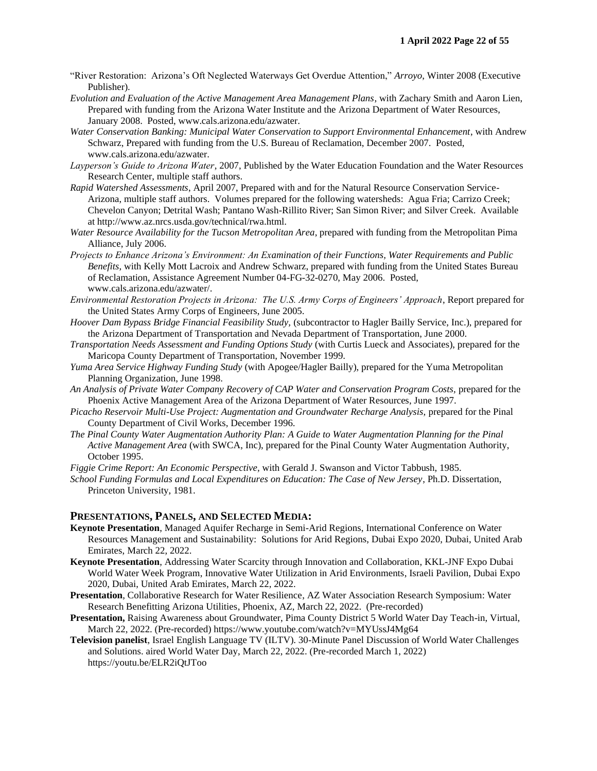- "River Restoration: Arizona's Oft Neglected Waterways Get Overdue Attention," *Arroyo*, Winter 2008 (Executive Publisher).
- *Evolution and Evaluation of the Active Management Area Management Plans*, with Zachary Smith and Aaron Lien, Prepared with funding from the Arizona Water Institute and the Arizona Department of Water Resources, January 2008. Posted, www.cals.arizona.edu/azwater.
- *Water Conservation Banking: Municipal Water Conservation to Support Environmental Enhancement*, with Andrew Schwarz, Prepared with funding from the U.S. Bureau of Reclamation, December 2007. Posted, www.cals.arizona.edu/azwater.
- *Layperson's Guide to Arizona Water*, 2007, Published by the Water Education Foundation and the Water Resources Research Center, multiple staff authors.
- *Rapid Watershed Assessments*, April 2007, Prepared with and for the Natural Resource Conservation Service-Arizona, multiple staff authors. Volumes prepared for the following watersheds: Agua Fria; Carrizo Creek; Chevelon Canyon; Detrital Wash; Pantano Wash-Rillito River; San Simon River; and Silver Creek. Available at http://www.az.nrcs.usda.gov/technical/rwa.html.
- *Water Resource Availability for the Tucson Metropolitan Area*, prepared with funding from the Metropolitan Pima Alliance, July 2006.
- *Projects to Enhance Arizona's Environment: An Examination of their Functions, Water Requirements and Public Benefits*, with Kelly Mott Lacroix and Andrew Schwarz, prepared with funding from the United States Bureau of Reclamation, Assistance Agreement Number 04-FG-32-0270, May 2006. Posted, www.cals.arizona.edu/azwater/.
- *Environmental Restoration Projects in Arizona: The U.S. Army Corps of Engineers' Approach*, Report prepared for the United States Army Corps of Engineers, June 2005.
- *Hoover Dam Bypass Bridge Financial Feasibility Study,* (subcontractor to Hagler Bailly Service, Inc.), prepared for the Arizona Department of Transportation and Nevada Department of Transportation, June 2000.
- *Transportation Needs Assessment and Funding Options Study* (with Curtis Lueck and Associates), prepared for the Maricopa County Department of Transportation, November 1999.
- *Yuma Area Service Highway Funding Study* (with Apogee/Hagler Bailly), prepared for the Yuma Metropolitan Planning Organization, June 1998.
- *An Analysis of Private Water Company Recovery of CAP Water and Conservation Program Costs,* prepared for the Phoenix Active Management Area of the Arizona Department of Water Resources, June 1997.
- *Picacho Reservoir Multi-Use Project: Augmentation and Groundwater Recharge Analysis,* prepared for the Pinal County Department of Civil Works, December 1996.
- *The Pinal County Water Augmentation Authority Plan: A Guide to Water Augmentation Planning for the Pinal Active Management Area* (with SWCA, Inc), prepared for the Pinal County Water Augmentation Authority, October 1995.

*Figgie Crime Report: An Economic Perspective,* with Gerald J. Swanson and Victor Tabbush, 1985.

*School Funding Formulas and Local Expenditures on Education: The Case of New Jersey*, Ph.D. Dissertation, Princeton University, 1981.

## **PRESENTATIONS, PANELS, AND SELECTED MEDIA:**

- **Keynote Presentation**, Managed Aquifer Recharge in Semi-Arid Regions, International Conference on Water Resources Management and Sustainability: Solutions for Arid Regions, Dubai Expo 2020, Dubai, United Arab Emirates, March 22, 2022.
- **Keynote Presentation**, Addressing Water Scarcity through Innovation and Collaboration, KKL-JNF Expo Dubai World Water Week Program, Innovative Water Utilization in Arid Environments, Israeli Pavilion, Dubai Expo 2020, Dubai, United Arab Emirates, March 22, 2022.
- **Presentation**, Collaborative Research for Water Resilience, AZ Water Association Research Symposium: Water Research Benefitting Arizona Utilities, Phoenix, AZ, March 22, 2022. (Pre-recorded)
- **Presentation,** Raising Awareness about Groundwater, Pima County District 5 World Water Day Teach-in, Virtual, March 22, 2022. (Pre-recorded) https://www.youtube.com/watch?v=MYUssJ4Mg64
- **Television panelist**, Israel English Language TV (ILTV). 30-Minute Panel Discussion of World Water Challenges and Solutions. aired World Water Day, March 22, 2022. (Pre-recorded March 1, 2022) https://youtu.be/ELR2iQtJToo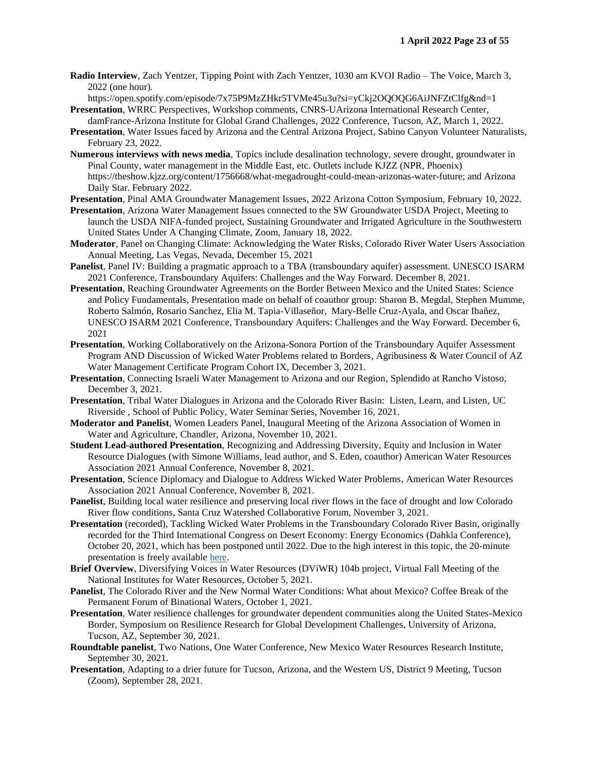**Radio Interview**, Zach Yentzer, Tipping Point with Zach Yentzer, 1030 am KVOI Radio – The Voice, March 3, 2022 (one hour).

https://open.spotify.com/episode/7x75P9MzZHkr5TVMe45u3u?si=yCkj2OQOQG6AiJNFZtClfg&nd=1 **Presentation**, WRRC Perspectives, Workshop comments, CNRS-UArizona International Research Center,

damFrance-Arizona Institute for Global Grand Challenges, 2022 Conference, Tucson, AZ, March 1, 2022. **Presentation**, Water Issues faced by Arizona and the Central Arizona Project, Sabino Canyon Volunteer Naturalists,

February 23, 2022.

- **Numerous interviews with news media**, Topics include desalination technology, severe drought, groundwater in Pinal County, water management in the Middle East, etc. Outlets include KJZZ (NPR, Phoenix) https://theshow.kjzz.org/content/1756668/what-megadrought-could-mean-arizonas-water-future; and Arizona Daily Star. February 2022.
- **Presentation**, Pinal AMA Groundwater Management Issues, 2022 Arizona Cotton Symposium, February 10, 2022.
- **Presentation**, Arizona Water Management Issues connected to the SW Groundwater USDA Project, Meeting to launch the USDA NIFA-funded project, Sustaining Groundwater and Irrigated Agriculture in the Southwestern United States Under A Changing Climate, Zoom, January 18, 2022.
- **Moderator**, Panel on Changing Climate: Acknowledging the Water Risks, Colorado River Water Users Association Annual Meeting, Las Vegas, Nevada, December 15, 2021
- **Panelist**, Panel IV: Building a pragmatic approach to a TBA (transboundary aquifer) assessment. UNESCO ISARM 2021 Conference, Transboundary Aquifers: Challenges and the Way Forward. December 8, 2021.
- **Presentation**, Reaching Groundwater Agreements on the Border Between Mexico and the United States: Science and Policy Fundamentals, Presentation made on behalf of coauthor group: Sharon B. Megdal, Stephen Mumme, Roberto Salmón, Rosario Sanchez, Elia M. Tapia-Villaseñor, Mary-Belle Cruz-Ayala, and Oscar Ibañez, UNESCO ISARM 2021 Conference, Transboundary Aquifers: Challenges and the Way Forward. December 6, 2021
- **Presentation**, Working Collaboratively on the Arizona-Sonora Portion of the Transboundary Aquifer Assessment Program AND Discussion of Wicked Water Problems related to Borders, Agribusiness & Water Council of AZ Water Management Certificate Program Cohort IX, December 3, 2021.
- **Presentation**, Connecting Israeli Water Management to Arizona and our Region, Splendido at Rancho Vistoso, December 3, 2021.
- **Presentation**, Tribal Water Dialogues in Arizona and the Colorado River Basin: Listen, Learn, and Listen, UC Riverside , School of Public Policy, Water Seminar Series, November 16, 2021.
- **Moderator and Panelist**, Women Leaders Panel, Inaugural Meeting of the Arizona Association of Women in Water and Agriculture, Chandler, Arizona, November 10, 2021.
- **Student Lead-authored Presentation**, Recognizing and Addressing Diversity, Equity and Inclusion in Water Resource Dialogues (with Simone Williams, lead author, and S. Eden, coauthor) American Water Resources Association 2021 Annual Conference, November 8, 2021.
- **Presentation**, Science Diplomacy and Dialogue to Address Wicked Water Problems, American Water Resources Association 2021 Annual Conference, November 8, 2021.
- **Panelist**, Building local water resilience and preserving local river flows in the face of drought and low Colorado River flow conditions, Santa Cruz Watershed Collaborative Forum, November 3, 2021.
- **Presentation** (recorded), Tackling Wicked Water Problems in the Transboundary Colorado River Basin, originally recorded for the Third International Congress on Desert Economy: Energy Economics (Dahkla Conference), October 20, 2021, which has been postponed until 2022. Due to the high interest in this topic, the 20-minute presentation is freely available [here.](http://tinyurl.com/wicked-water-crb)
- **Brief Overview**, Diversifying Voices in Water Resources (DViWR) 104b project, Virtual Fall Meeting of the National Institutes for Water Resources, October 5, 2021.
- **Panelist**, The Colorado River and the New Normal Water Conditions: What about Mexico? Coffee Break of the Permanent Forum of Binational Waters, October 1, 2021.
- **Presentation**, Water resilience challenges for groundwater dependent communities along the United States-Mexico Border, Symposium on Resilience Research for Global Development Challenges, University of Arizona, Tucson, AZ, September 30, 2021.
- **Roundtable panelist**, Two Nations, One Water Conference, New Mexico Water Resources Research Institute, September 30, 2021.
- **Presentation**, Adapting to a drier future for Tucson, Arizona, and the Western US, District 9 Meeting, Tucson (Zoom), September 28, 2021.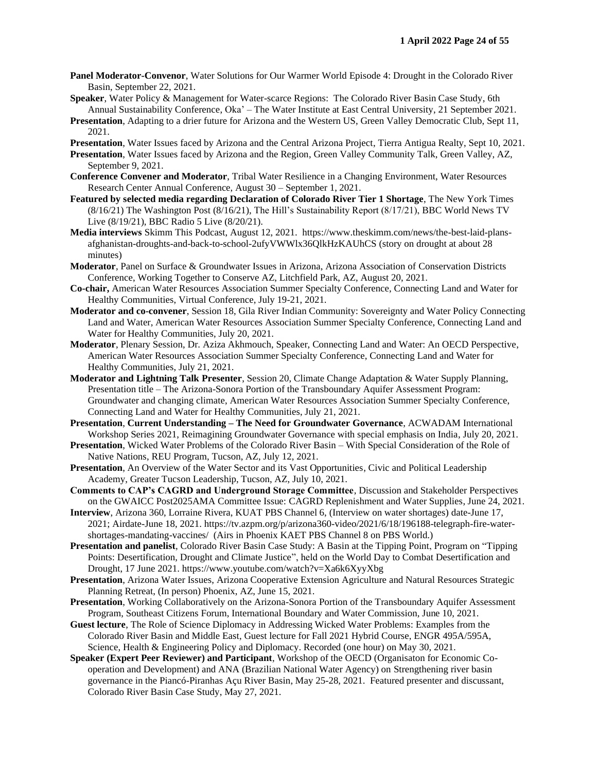- **Panel Moderator-Convenor**, Water Solutions for Our Warmer World Episode 4: Drought in the Colorado River Basin, September 22, 2021.
- **Speaker**, Water Policy & Management for Water-scarce Regions: The Colorado River Basin Case Study, 6th Annual Sustainability Conference, Oka' – The Water Institute at East Central University, 21 September 2021.
- **Presentation**, Adapting to a drier future for Arizona and the Western US, Green Valley Democratic Club, Sept 11, 2021.
- **Presentation**, Water Issues faced by Arizona and the Central Arizona Project, Tierra Antigua Realty, Sept 10, 2021.
- **Presentation**, Water Issues faced by Arizona and the Region, Green Valley Community Talk, Green Valley, AZ, September 9, 2021.
- **Conference Convener and Moderator**, Tribal Water Resilience in a Changing Environment, Water Resources Research Center Annual Conference, August 30 – September 1, 2021.
- **Featured by selected media regarding Declaration of Colorado River Tier 1 Shortage**, The New York Times (8/16/21) The Washington Post (8/16/21), The Hill's Sustainability Report (8/17/21), BBC World News TV Live (8/19/21), BBC Radio 5 Live (8/20/21).
- **Media interviews** Skimm This Podcast, August 12, 2021. https://www.theskimm.com/news/the-best-laid-plansafghanistan-droughts-and-back-to-school-2ufyVWWlx36QlkHzKAUhCS (story on drought at about 28 minutes)
- **Moderator**, Panel on Surface & Groundwater Issues in Arizona, Arizona Association of Conservation Districts Conference, Working Together to Conserve AZ, Litchfield Park, AZ, August 20, 2021.
- **Co-chair,** American Water Resources Association Summer Specialty Conference, Connecting Land and Water for Healthy Communities, Virtual Conference, July 19-21, 2021.
- **Moderator and co-convener**, Session 18, Gila River Indian Community: Sovereignty and Water Policy Connecting Land and Water, American Water Resources Association Summer Specialty Conference, Connecting Land and Water for Healthy Communities, July 20, 2021.
- **Moderator**, Plenary Session, Dr. Aziza Akhmouch, Speaker, Connecting Land and Water: An OECD Perspective, American Water Resources Association Summer Specialty Conference, Connecting Land and Water for Healthy Communities, July 21, 2021.
- **Moderator and Lightning Talk Presenter**, Session 20, Climate Change Adaptation & Water Supply Planning, Presentation title – The Arizona-Sonora Portion of the Transboundary Aquifer Assessment Program: Groundwater and changing climate, American Water Resources Association Summer Specialty Conference, Connecting Land and Water for Healthy Communities, July 21, 2021.
- **Presentation**, **Current Understanding – The Need for Groundwater Governance**, ACWADAM International Workshop Series 2021, Reimagining Groundwater Governance with special emphasis on India, July 20, 2021.
- **Presentation**, Wicked Water Problems of the Colorado River Basin With Special Consideration of the Role of Native Nations, REU Program, Tucson, AZ, July 12, 2021.
- **Presentation**, An Overview of the Water Sector and its Vast Opportunities, Civic and Political Leadership Academy, Greater Tucson Leadership, Tucson, AZ, July 10, 2021.
- **Comments to CAP's CAGRD and Underground Storage Committee**, Discussion and Stakeholder Perspectives on the GWAICC Post2025AMA Committee Issue: CAGRD Replenishment and Water Supplies, June 24, 2021.
- **Interview**, Arizona 360, Lorraine Rivera, KUAT PBS Channel 6, (Interview on water shortages) date-June 17, 2021; Airdate-June 18, 2021. https://tv.azpm.org/p/arizona360-video/2021/6/18/196188-telegraph-fire-watershortages-mandating-vaccines/ (Airs in Phoenix KAET PBS Channel 8 on PBS World.)
- **Presentation and panelist**, Colorado River Basin Case Study: A Basin at the Tipping Point, Program on "Tipping Points: Desertification, Drought and Climate Justice", held on the World Day to Combat Desertification and Drought, 17 June 2021. https://www.youtube.com/watch?v=Xa6k6XyyXbg
- **Presentation**, Arizona Water Issues, Arizona Cooperative Extension Agriculture and Natural Resources Strategic Planning Retreat, (In person) Phoenix, AZ, June 15, 2021.
- **Presentation**, Working Collaboratively on the Arizona-Sonora Portion of the Transboundary Aquifer Assessment Program, Southeast Citizens Forum, International Boundary and Water Commission, June 10, 2021.
- **Guest lecture**, The Role of Science Diplomacy in Addressing Wicked Water Problems: Examples from the Colorado River Basin and Middle East, Guest lecture for Fall 2021 Hybrid Course, ENGR 495A/595A, Science, Health & Engineering Policy and Diplomacy. Recorded (one hour) on May 30, 2021.
- **Speaker (Expert Peer Reviewer) and Participant**, Workshop of the OECD (Organisaton for Economic Cooperation and Development) and ANA (Brazilian National Water Agency) on Strengthening river basin governance in the Piancó-Piranhas Açu River Basin, May 25-28, 2021. Featured presenter and discussant, Colorado River Basin Case Study, May 27, 2021.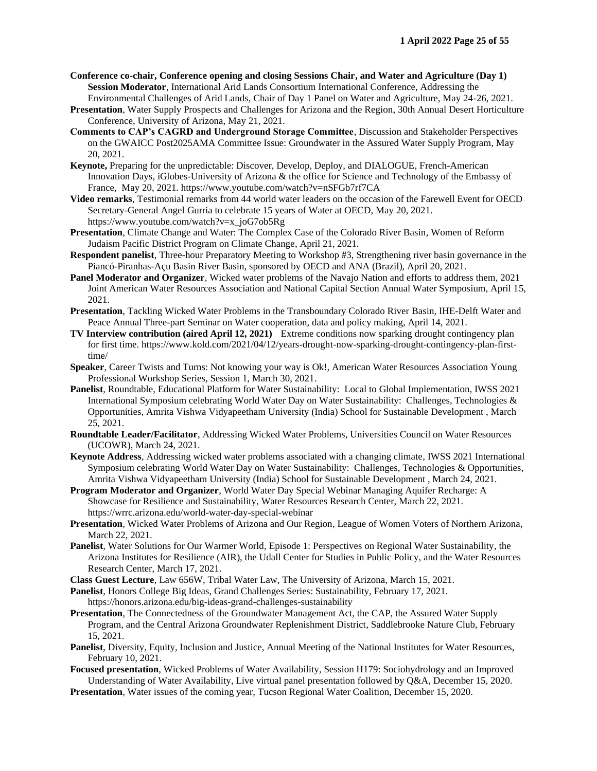- **Conference co-chair, Conference opening and closing Sessions Chair, and Water and Agriculture (Day 1) Session Moderator**, International Arid Lands Consortium International Conference, Addressing the Environmental Challenges of Arid Lands, Chair of Day 1 Panel on Water and Agriculture, May 24-26, 2021.
- **Presentation**, Water Supply Prospects and Challenges for Arizona and the Region, 30th Annual Desert Horticulture Conference, University of Arizona, May 21, 2021.
- **Comments to CAP's CAGRD and Underground Storage Committee**, Discussion and Stakeholder Perspectives on the GWAICC Post2025AMA Committee Issue: Groundwater in the Assured Water Supply Program, May 20, 2021.
- **Keynote,** Preparing for the unpredictable: Discover, Develop, Deploy, and DIALOGUE, French-American Innovation Days, iGlobes-University of Arizona & the office for Science and Technology of the Embassy of France, May 20, 2021. https://www.youtube.com/watch?v=nSFGb7rf7CA
- **Video remarks**, Testimonial remarks from 44 world water leaders on the occasion of the Farewell Event for OECD Secretary-General Angel Gurria to celebrate 15 years of Water at OECD, May 20, 2021. https://www.youtube.com/watch?v=x\_joG7ob5Rg
- **Presentation**, Climate Change and Water: The Complex Case of the Colorado River Basin, Women of Reform Judaism Pacific District Program on Climate Change, April 21, 2021.
- **Respondent panelist**, Three-hour Preparatory Meeting to Workshop #3, Strengthening river basin governance in the Piancó-Piranhas-Açu Basin River Basin, sponsored by OECD and ANA (Brazil), April 20, 2021.
- **Panel Moderator and Organizer**, Wicked water problems of the Navajo Nation and efforts to address them, 2021 Joint American Water Resources Association and National Capital Section Annual Water Symposium, April 15, 2021.
- **Presentation**, Tackling Wicked Water Problems in the Transboundary Colorado River Basin, IHE-Delft Water and Peace Annual Three-part Seminar on Water cooperation, data and policy making, April 14, 2021.
- **TV Interview contribution (aired April 12, 2021)** Extreme conditions now sparking drought contingency plan for first time. https://www.kold.com/2021/04/12/years-drought-now-sparking-drought-contingency-plan-firsttime/
- **Speaker**, Career Twists and Turns: Not knowing your way is Ok!, American Water Resources Association Young Professional Workshop Series, Session 1, March 30, 2021.
- **Panelist**, Roundtable, Educational Platform for Water Sustainability: Local to Global Implementation, IWSS 2021 International Symposium celebrating World Water Day on Water Sustainability: Challenges, Technologies & Opportunities, Amrita Vishwa Vidyapeetham University (India) School for Sustainable Development , March 25, 2021.
- **Roundtable Leader/Facilitator**, Addressing Wicked Water Problems, Universities Council on Water Resources (UCOWR), March 24, 2021.
- **Keynote Address**, Addressing wicked water problems associated with a changing climate, IWSS 2021 International Symposium celebrating World Water Day on Water Sustainability: Challenges, Technologies & Opportunities, Amrita Vishwa Vidyapeetham University (India) School for Sustainable Development , March 24, 2021.
- **Program Moderator and Organizer**, World Water Day Special Webinar Managing Aquifer Recharge: A Showcase for Resilience and Sustainability, Water Resources Research Center, March 22, 2021. https://wrrc.arizona.edu/world-water-day-special-webinar
- **Presentation**, Wicked Water Problems of Arizona and Our Region, League of Women Voters of Northern Arizona, March 22, 2021.
- **Panelist**, Water Solutions for Our Warmer World, Episode 1: Perspectives on Regional Water Sustainability, the Arizona Institutes for Resilience (AIR), the Udall Center for Studies in Public Policy, and the Water Resources Research Center, March 17, 2021.
- **Class Guest Lecture**, Law 656W, Tribal Water Law, The University of Arizona, March 15, 2021.
- **Panelist**, Honors College Big Ideas, Grand Challenges Series: Sustainability, February 17, 2021. https://honors.arizona.edu/big-ideas-grand-challenges-sustainability
- **Presentation**, The Connectedness of the Groundwater Management Act, the CAP, the Assured Water Supply Program, and the Central Arizona Groundwater Replenishment District, Saddlebrooke Nature Club, February 15, 2021.
- **Panelist**, Diversity, Equity, Inclusion and Justice, Annual Meeting of the National Institutes for Water Resources, February 10, 2021.
- **Focused presentation**, Wicked Problems of Water Availability, Session H179: Sociohydrology and an Improved Understanding of Water Availability, Live virtual panel presentation followed by Q&A, December 15, 2020.
- **Presentation**, Water issues of the coming year, Tucson Regional Water Coalition, December 15, 2020.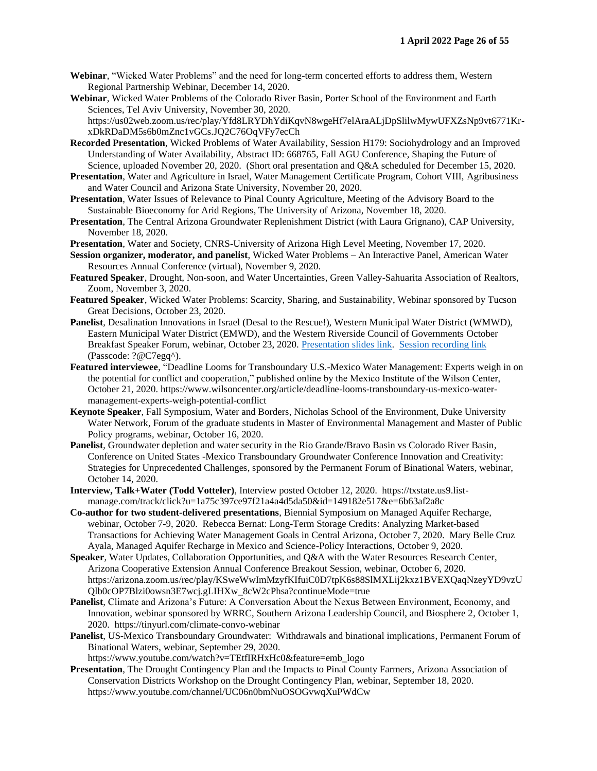- **Webinar**, "Wicked Water Problems" and the need for long-term concerted efforts to address them, Western Regional Partnership Webinar, December 14, 2020.
- **Webinar**, Wicked Water Problems of the Colorado River Basin, Porter School of the Environment and Earth Sciences, Tel Aviv University, November 30, 2020.

https://us02web.zoom.us/rec/play/Yfd8LRYDhYdiKqvN8wgeHf7elAraALjDpSlilwMywUFXZsNp9vt6771KrxDkRDaDM5s6b0mZnc1vGCs.JQ2C76OqVFy7ecCh

- **Recorded Presentation**, Wicked Problems of Water Availability, Session H179: Sociohydrology and an Improved Understanding of Water Availability, Abstract ID: 668765, Fall AGU Conference, Shaping the Future of Science, uploaded November 20, 2020. (Short oral presentation and Q&A scheduled for December 15, 2020.
- **Presentation**, Water and Agriculture in Israel, Water Management Certificate Program, Cohort VIII, Agribusiness and Water Council and Arizona State University, November 20, 2020.
- **Presentation**, Water Issues of Relevance to Pinal County Agriculture, Meeting of the Advisory Board to the Sustainable Bioeconomy for Arid Regions, The University of Arizona, November 18, 2020.
- **Presentation**, The Central Arizona Groundwater Replenishment District (with Laura Grignano), CAP University, November 18, 2020.

**Presentation**, Water and Society, CNRS-University of Arizona High Level Meeting, November 17, 2020.

- **Session organizer, moderator, and panelist**, Wicked Water Problems An Interactive Panel, American Water Resources Annual Conference (virtual), November 9, 2020.
- **Featured Speaker**, Drought, Non-soon, and Water Uncertainties, Green Valley-Sahuarita Association of Realtors, Zoom, November 3, 2020.
- **Featured Speaker**, Wicked Water Problems: Scarcity, Sharing, and Sustainability, Webinar sponsored by Tucson Great Decisions, October 23, 2020.
- **Panelist**, Desalination Innovations in Israel (Desal to the Rescue!), Western Municipal Water District (WMWD), Eastern Municipal Water District (EMWD), and the Western Riverside Council of Governments October Breakfast Speaker Forum, webinar, October 23, 2020. [Presentation slides link.](https://www.wmwd.com/DocumentCenter/View/5108/Riverside-County-Water-Task-Force-Joint-Presentation---Oct-23-2020?bidId=) [Session recording link](https://wmwd.zoom.us/rec/share/6FTLzmmpzc8sTQj0T3wjpHBHJTi5jnlJEYzBGHAW0ctVlF9zPu5ggHhoc_yYa5vx.WGN8Ij3OM3AKMu3G) (Passcode: ?@C7egq^).
- **Featured interviewee**, "Deadline Looms for Transboundary U.S.-Mexico Water Management: Experts weigh in on the potential for conflict and cooperation," published online by the Mexico Institute of the Wilson Center, October 21, 2020. https://www.wilsoncenter.org/article/deadline-looms-transboundary-us-mexico-watermanagement-experts-weigh-potential-conflict
- **Keynote Speaker**, Fall Symposium, Water and Borders, Nicholas School of the Environment, Duke University Water Network, Forum of the graduate students in Master of Environmental Management and Master of Public Policy programs, webinar, October 16, 2020.
- **Panelist**, Groundwater depletion and water security in the Rio Grande/Bravo Basin vs Colorado River Basin, Conference on United States -Mexico Transboundary Groundwater Conference Innovation and Creativity: Strategies for Unprecedented Challenges, sponsored by the Permanent Forum of Binational Waters, webinar, October 14, 2020.
- **Interview, Talk+Water (Todd Votteler)**, Interview posted October 12, 2020. https://txstate.us9.listmanage.com/track/click?u=1a75c397ce97f21a4a4d5da50&id=149182e517&e=6b63af2a8c
- **Co-author for two student-delivered presentations**, Biennial Symposium on Managed Aquifer Recharge, webinar, October 7-9, 2020. Rebecca Bernat: Long-Term Storage Credits: Analyzing Market-based Transactions for Achieving Water Management Goals in Central Arizona, October 7, 2020. Mary Belle Cruz Ayala, Managed Aquifer Recharge in Mexico and Science-Policy Interactions, October 9, 2020.
- **Speaker**, Water Updates, Collaboration Opportunities, and Q&A with the Water Resources Research Center, Arizona Cooperative Extension Annual Conference Breakout Session, webinar, October 6, 2020. https://arizona.zoom.us/rec/play/KSweWwImMzyfKIfuiC0D7tpK6s88SlMXLij2kxz1BVEXQaqNzeyYD9vzU Qlb0cOP7Blzi0owsn3E7wcj.gLIHXw\_8cW2cPhsa?continueMode=true
- **Panelist**, Climate and Arizona's Future: A Conversation About the Nexus Between Environment, Economy, and Innovation, webinar sponsored by WRRC, Southern Arizona Leadership Council, and Biosphere 2, October 1, 2020. https://tinyurl.com/climate-convo-webinar
- **Panelist**, US-Mexico Transboundary Groundwater: Withdrawals and binational implications, Permanent Forum of Binational Waters, webinar, September 29, 2020.
- https://www.youtube.com/watch?v=TEtfIRHxHc0&feature=emb\_logo **Presentation**, The Drought Contingency Plan and the Impacts to Pinal County Farmers, Arizona Association of Conservation Districts Workshop on the Drought Contingency Plan, webinar, September 18, 2020. https://www.youtube.com/channel/UC06n0bmNuOSOGvwqXuPWdCw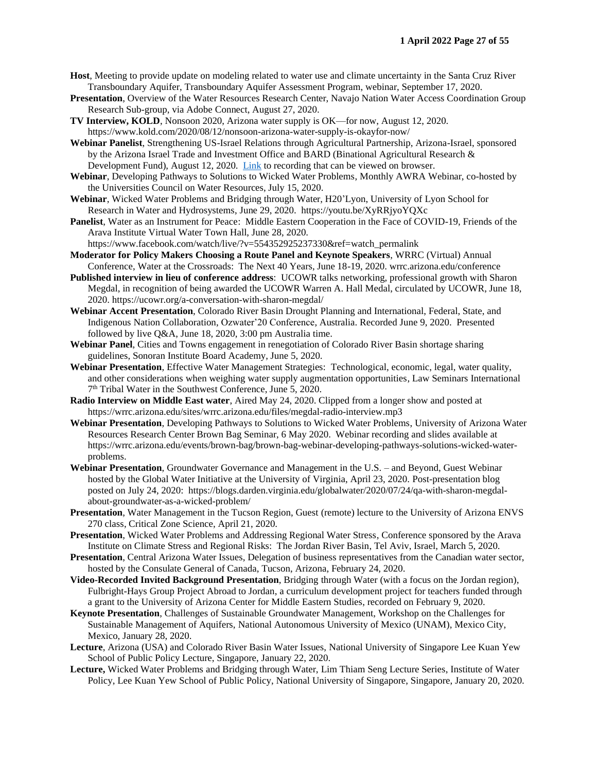- **Host**, Meeting to provide update on modeling related to water use and climate uncertainty in the Santa Cruz River Transboundary Aquifer, Transboundary Aquifer Assessment Program, webinar, September 17, 2020.
- **Presentation**, Overview of the Water Resources Research Center, Navajo Nation Water Access Coordination Group Research Sub-group, via Adobe Connect, August 27, 2020.
- **TV Interview, KOLD**, Nonsoon 2020, Arizona water supply is OK—for now, August 12, 2020. https://www.kold.com/2020/08/12/nonsoon-arizona-water-supply-is-okayfor-now/
- **Webinar Panelist**, Strengthening US-Israel Relations through Agricultural Partnership, Arizona-Israel, sponsored by the Arizona Israel Trade and Investment Office and BARD (Binational Agricultural Research & Development Fund), August 12, 2020. [Link](https://urldefense.com/v3/__https:/bit.ly/greenAgTech__;!!FZnJprQ!SNjuyE4H6370g6kK1snes9c8xVPn0pDWBYLK7ZGNyUzF75dvJyE4RCAfAgJvGR4$) to recording that can be viewed on browser.
- **Webinar**, Developing Pathways to Solutions to Wicked Water Problems, Monthly AWRA Webinar, co-hosted by the Universities Council on Water Resources, July 15, 2020.
- **Webinar**, Wicked Water Problems and Bridging through Water, H20'Lyon, University of Lyon School for Research in Water and Hydrosystems, June 29, 2020. https://youtu.be/XyRRjyoYQXc
- **Panelist**, Water as an Instrument for Peace: Middle Eastern Cooperation in the Face of COVID-19, Friends of the Arava Institute Virtual Water Town Hall, June 28, 2020. https://www.facebook.com/watch/live/?v=554352925237330&ref=watch\_permalink
- **Moderator for Policy Makers Choosing a Route Panel and Keynote Speakers**, WRRC (Virtual) Annual Conference, Water at the Crossroads: The Next 40 Years, June 18-19, 2020. wrrc.arizona.edu/conference
- **Published interview in lieu of conference address**: UCOWR talks networking, professional growth with Sharon Megdal, in recognition of being awarded the UCOWR Warren A. Hall Medal, circulated by UCOWR, June 18, 2020. https://ucowr.org/a-conversation-with-sharon-megdal/
- **Webinar Accent Presentation**, Colorado River Basin Drought Planning and International, Federal, State, and Indigenous Nation Collaboration, Ozwater'20 Conference, Australia. Recorded June 9, 2020. Presented followed by live Q&A, June 18, 2020, 3:00 pm Australia time.
- **Webinar Panel**, Cities and Towns engagement in renegotiation of Colorado River Basin shortage sharing guidelines, Sonoran Institute Board Academy, June 5, 2020.
- **Webinar Presentation**, Effective Water Management Strategies:Technological, economic, legal, water quality, and other considerations when weighing water supply augmentation opportunities, Law Seminars International 7<sup>th</sup> Tribal Water in the Southwest Conference, June 5, 2020.
- **Radio Interview on Middle East water**, Aired May 24, 2020. Clipped from a longer show and posted at https://wrrc.arizona.edu/sites/wrrc.arizona.edu/files/megdal-radio-interview.mp3
- **Webinar Presentation**, Developing Pathways to Solutions to Wicked Water Problems, University of Arizona Water Resources Research Center Brown Bag Seminar, 6 May 2020. Webinar recording and slides available at https://wrrc.arizona.edu/events/brown-bag/brown-bag-webinar-developing-pathways-solutions-wicked-waterproblems.
- **Webinar Presentation**, Groundwater Governance and Management in the U.S. and Beyond, Guest Webinar hosted by the Global Water Initiative at the University of Virginia, April 23, 2020. Post-presentation blog posted on July 24, 2020: https://blogs.darden.virginia.edu/globalwater/2020/07/24/qa-with-sharon-megdalabout-groundwater-as-a-wicked-problem/
- **Presentation**, Water Management in the Tucson Region, Guest (remote) lecture to the University of Arizona ENVS 270 class, Critical Zone Science, April 21, 2020.
- **Presentation**, Wicked Water Problems and Addressing Regional Water Stress, Conference sponsored by the Arava Institute on Climate Stress and Regional Risks: The Jordan River Basin, Tel Aviv, Israel, March 5, 2020.
- **Presentation**, Central Arizona Water Issues, Delegation of business representatives from the Canadian water sector, hosted by the Consulate General of Canada, Tucson, Arizona, February 24, 2020.
- **Video-Recorded Invited Background Presentation**, Bridging through Water (with a focus on the Jordan region), Fulbright-Hays Group Project Abroad to Jordan, a curriculum development project for teachers funded through a grant to the University of Arizona Center for Middle Eastern Studies, recorded on February 9, 2020.
- **Keynote Presentation**, Challenges of Sustainable Groundwater Management, Workshop on the Challenges for Sustainable Management of Aquifers, National Autonomous University of Mexico (UNAM), Mexico City, Mexico, January 28, 2020.
- **Lecture**, Arizona (USA) and Colorado River Basin Water Issues, National University of Singapore Lee Kuan Yew School of Public Policy Lecture, Singapore, January 22, 2020.
- **Lecture,** Wicked Water Problems and Bridging through Water, Lim Thiam Seng Lecture Series, Institute of Water Policy, Lee Kuan Yew School of Public Policy, National University of Singapore, Singapore, January 20, 2020.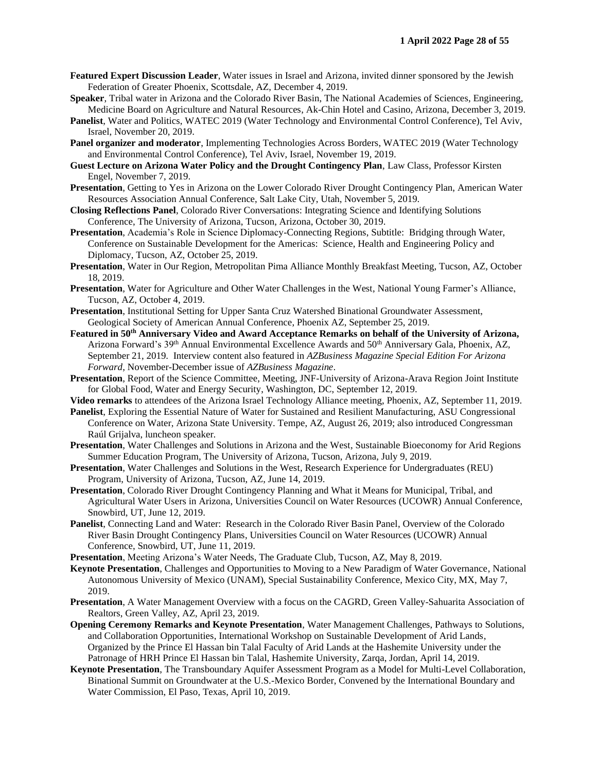- **Featured Expert Discussion Leader**, Water issues in Israel and Arizona, invited dinner sponsored by the Jewish Federation of Greater Phoenix, Scottsdale, AZ, December 4, 2019.
- **Speaker**, Tribal water in Arizona and the Colorado River Basin, The National Academies of Sciences, Engineering, Medicine Board on Agriculture and Natural Resources, Ak-Chin Hotel and Casino, Arizona, December 3, 2019.
- **Panelist**, Water and Politics, WATEC 2019 (Water Technology and Environmental Control Conference), Tel Aviv, Israel, November 20, 2019.
- **Panel organizer and moderator**, Implementing Technologies Across Borders, WATEC 2019 (Water Technology and Environmental Control Conference), Tel Aviv, Israel, November 19, 2019.
- **Guest Lecture on Arizona Water Policy and the Drought Contingency Plan**, Law Class, Professor Kirsten Engel, November 7, 2019.
- **Presentation**, Getting to Yes in Arizona on the Lower Colorado River Drought Contingency Plan, American Water Resources Association Annual Conference, Salt Lake City, Utah, November 5, 2019.
- **Closing Reflections Panel**, Colorado River Conversations: Integrating Science and Identifying Solutions Conference, The University of Arizona, Tucson, Arizona, October 30, 2019.
- **Presentation**, Academia's Role in Science Diplomacy-Connecting Regions, Subtitle: Bridging through Water, Conference on Sustainable Development for the Americas: Science, Health and Engineering Policy and Diplomacy, Tucson, AZ, October 25, 2019.
- **Presentation**, Water in Our Region, Metropolitan Pima Alliance Monthly Breakfast Meeting, Tucson, AZ, October 18, 2019.
- **Presentation**, Water for Agriculture and Other Water Challenges in the West, National Young Farmer's Alliance, Tucson, AZ, October 4, 2019.
- **Presentation**, Institutional Setting for Upper Santa Cruz Watershed Binational Groundwater Assessment, Geological Society of American Annual Conference, Phoenix AZ, September 25, 2019.
- **Featured in 50th Anniversary Video and Award Acceptance Remarks on behalf of the University of Arizona,**  Arizona Forward's 39<sup>th</sup> Annual Environmental Excellence Awards and 50<sup>th</sup> Anniversary Gala, Phoenix, AZ, September 21, 2019. Interview content also featured in *AZBusiness Magazine Special Edition For Arizona Forward*, November-December issue of *AZBusiness Magazine*.
- **Presentation**, Report of the Science Committee, Meeting, JNF-University of Arizona-Arava Region Joint Institute for Global Food, Water and Energy Security, Washington, DC, September 12, 2019.
- **Video remarks** to attendees of the Arizona Israel Technology Alliance meeting, Phoenix, AZ, September 11, 2019.
- **Panelist**, Exploring the Essential Nature of Water for Sustained and Resilient Manufacturing, ASU Congressional Conference on Water, Arizona State University. Tempe, AZ, August 26, 2019; also introduced Congressman Raúl Grijalva, luncheon speaker.
- **Presentation**, Water Challenges and Solutions in Arizona and the West, Sustainable Bioeconomy for Arid Regions Summer Education Program, The University of Arizona, Tucson, Arizona, July 9, 2019.
- **Presentation**, Water Challenges and Solutions in the West, Research Experience for Undergraduates (REU) Program, University of Arizona, Tucson, AZ, June 14, 2019.
- **Presentation**, Colorado River Drought Contingency Planning and What it Means for Municipal, Tribal, and Agricultural Water Users in Arizona, Universities Council on Water Resources (UCOWR) Annual Conference, Snowbird, UT, June 12, 2019.
- **Panelist**, Connecting Land and Water: Research in the Colorado River Basin Panel, Overview of the Colorado River Basin Drought Contingency Plans, Universities Council on Water Resources (UCOWR) Annual Conference, Snowbird, UT, June 11, 2019.
- **Presentation**, Meeting Arizona's Water Needs, The Graduate Club, Tucson, AZ, May 8, 2019.
- **Keynote Presentation**, Challenges and Opportunities to Moving to a New Paradigm of Water Governance, National Autonomous University of Mexico (UNAM), Special Sustainability Conference, Mexico City, MX, May 7, 2019.
- **Presentation**, A Water Management Overview with a focus on the CAGRD, Green Valley-Sahuarita Association of Realtors, Green Valley, AZ, April 23, 2019.
- **Opening Ceremony Remarks and Keynote Presentation**, Water Management Challenges, Pathways to Solutions, and Collaboration Opportunities, International Workshop on Sustainable Development of Arid Lands, Organized by the Prince El Hassan bin Talal Faculty of Arid Lands at the Hashemite University under the Patronage of HRH Prince El Hassan bin Talal, Hashemite University, Zarqa, Jordan, April 14, 2019.
- **Keynote Presentation**, The Transboundary Aquifer Assessment Program as a Model for Multi-Level Collaboration, Binational Summit on Groundwater at the U.S.-Mexico Border, Convened by the International Boundary and Water Commission, El Paso, Texas, April 10, 2019.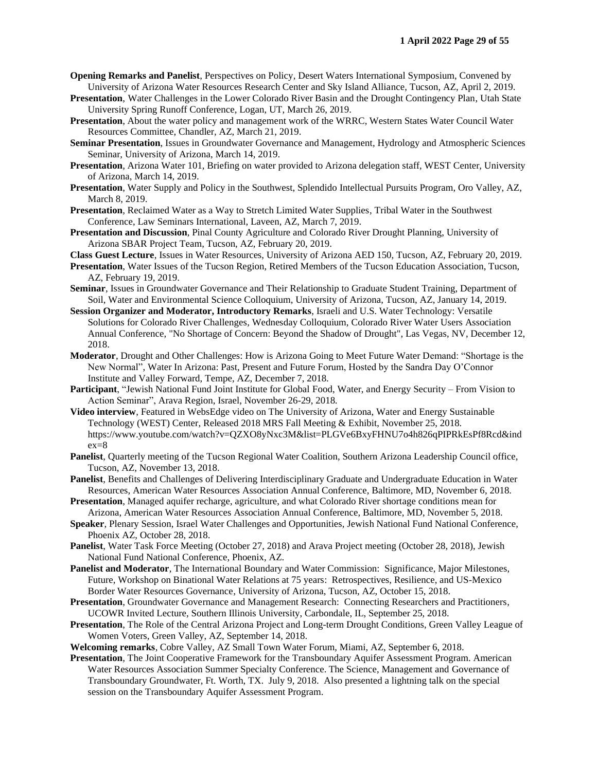- **Opening Remarks and Panelist**, Perspectives on Policy, Desert Waters International Symposium, Convened by University of Arizona Water Resources Research Center and Sky Island Alliance, Tucson, AZ, April 2, 2019.
- **Presentation**, Water Challenges in the Lower Colorado River Basin and the Drought Contingency Plan, Utah State University Spring Runoff Conference, Logan, UT, March 26, 2019.
- **Presentation**, About the water policy and management work of the WRRC, Western States Water Council Water Resources Committee, Chandler, AZ, March 21, 2019.
- **Seminar Presentation**, Issues in Groundwater Governance and Management, Hydrology and Atmospheric Sciences Seminar, University of Arizona, March 14, 2019.
- **Presentation**, Arizona Water 101, Briefing on water provided to Arizona delegation staff, WEST Center, University of Arizona, March 14, 2019.
- **Presentation**, Water Supply and Policy in the Southwest, Splendido Intellectual Pursuits Program, Oro Valley, AZ, March 8, 2019.
- **Presentation**, Reclaimed Water as a Way to Stretch Limited Water Supplies, Tribal Water in the Southwest Conference, Law Seminars International, Laveen, AZ, March 7, 2019.
- **Presentation and Discussion**, Pinal County Agriculture and Colorado River Drought Planning, University of Arizona SBAR Project Team, Tucson, AZ, February 20, 2019.
- **Class Guest Lecture**, Issues in Water Resources, University of Arizona AED 150, Tucson, AZ, February 20, 2019.
- **Presentation**, Water Issues of the Tucson Region, Retired Members of the Tucson Education Association, Tucson, AZ, February 19, 2019.
- **Seminar**, Issues in Groundwater Governance and Their Relationship to Graduate Student Training, Department of Soil, Water and Environmental Science Colloquium, University of Arizona, Tucson, AZ, January 14, 2019.
- **Session Organizer and Moderator, Introductory Remarks**, Israeli and U.S. Water Technology: Versatile Solutions for Colorado River Challenges, Wednesday Colloquium, Colorado River Water Users Association Annual Conference, "No Shortage of Concern: Beyond the Shadow of Drought", Las Vegas, NV, December 12, 2018.
- **Moderator**, Drought and Other Challenges: How is Arizona Going to Meet Future Water Demand: "Shortage is the New Normal", Water In Arizona: Past, Present and Future Forum, Hosted by the Sandra Day O'Connor Institute and Valley Forward, Tempe, AZ, December 7, 2018.
- **Participant**, "Jewish National Fund Joint Institute for Global Food, Water, and Energy Security From Vision to Action Seminar", Arava Region, Israel, November 26-29, 2018.
- **Video interview**, Featured in WebsEdge video on The University of Arizona, Water and Energy Sustainable Technology (WEST) Center, Released 2018 MRS Fall Meeting & Exhibit, November 25, 2018. https://www.youtube.com/watch?v=QZXO8yNxc3M&list=PLGVe6BxyFHNU7o4h826qPIPRkEsPf8Rcd&ind ex=8
- **Panelist**, Quarterly meeting of the Tucson Regional Water Coalition, Southern Arizona Leadership Council office, Tucson, AZ, November 13, 2018.
- **Panelist**, Benefits and Challenges of Delivering Interdisciplinary Graduate and Undergraduate Education in Water Resources, American Water Resources Association Annual Conference, Baltimore, MD, November 6, 2018.
- **Presentation**, Managed aquifer recharge, agriculture, and what Colorado River shortage conditions mean for Arizona, American Water Resources Association Annual Conference, Baltimore, MD, November 5, 2018.
- **Speaker**, Plenary Session, Israel Water Challenges and Opportunities, Jewish National Fund National Conference, Phoenix AZ, October 28, 2018.
- **Panelist**, Water Task Force Meeting (October 27, 2018) and Arava Project meeting (October 28, 2018), Jewish National Fund National Conference, Phoenix, AZ.
- **Panelist and Moderator**, The International Boundary and Water Commission: Significance, Major Milestones, Future, Workshop on Binational Water Relations at 75 years: Retrospectives, Resilience, and US-Mexico Border Water Resources Governance, University of Arizona, Tucson, AZ, October 15, 2018.
- **Presentation**, Groundwater Governance and Management Research: Connecting Researchers and Practitioners, UCOWR Invited Lecture, Southern Illinois University, Carbondale, IL, September 25, 2018.
- **Presentation**, The Role of the Central Arizona Project and Long-term Drought Conditions, Green Valley League of Women Voters, Green Valley, AZ, September 14, 2018.
- **Welcoming remarks**, Cobre Valley, AZ Small Town Water Forum, Miami, AZ, September 6, 2018.
- **Presentation**, The Joint Cooperative Framework for the Transboundary Aquifer Assessment Program. American Water Resources Association Summer Specialty Conference. The Science, Management and Governance of Transboundary Groundwater, Ft. Worth, TX. July 9, 2018. Also presented a lightning talk on the special session on the Transboundary Aquifer Assessment Program.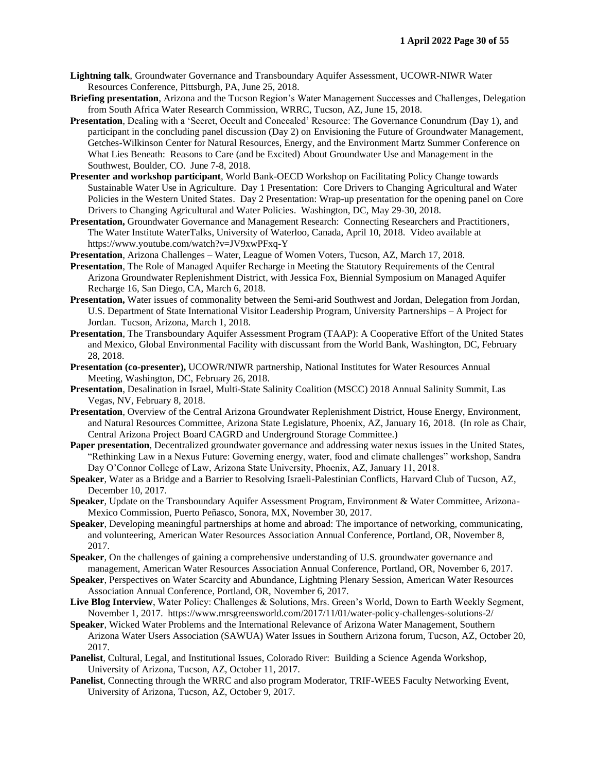- **Lightning talk**, Groundwater Governance and Transboundary Aquifer Assessment, UCOWR-NIWR Water Resources Conference, Pittsburgh, PA, June 25, 2018.
- **Briefing presentation**, Arizona and the Tucson Region's Water Management Successes and Challenges, Delegation from South Africa Water Research Commission, WRRC, Tucson, AZ, June 15, 2018.
- **Presentation**, Dealing with a 'Secret, Occult and Concealed' Resource: The Governance Conundrum (Day 1), and participant in the concluding panel discussion (Day 2) on Envisioning the Future of Groundwater Management, Getches-Wilkinson Center for Natural Resources, Energy, and the Environment Martz Summer Conference on What Lies Beneath: Reasons to Care (and be Excited) About Groundwater Use and Management in the Southwest, Boulder, CO. June 7-8, 2018.
- **Presenter and workshop participant**, World Bank-OECD Workshop on Facilitating Policy Change towards Sustainable Water Use in Agriculture. Day 1 Presentation: Core Drivers to Changing Agricultural and Water Policies in the Western United States. Day 2 Presentation: Wrap-up presentation for the opening panel on Core Drivers to Changing Agricultural and Water Policies. Washington, DC, May 29-30, 2018.
- **Presentation,** Groundwater Governance and Management Research: Connecting Researchers and Practitioners, The Water Institute WaterTalks, University of Waterloo, Canada, April 10, 2018. Video available at https://www.youtube.com/watch?v=JV9xwPFxq-Y

**Presentation**, Arizona Challenges – Water, League of Women Voters, Tucson, AZ, March 17, 2018.

- **Presentation**, The Role of Managed Aquifer Recharge in Meeting the Statutory Requirements of the Central Arizona Groundwater Replenishment District, with Jessica Fox, Biennial Symposium on Managed Aquifer Recharge 16, San Diego, CA, March 6, 2018.
- **Presentation,** Water issues of commonality between the Semi-arid Southwest and Jordan, Delegation from Jordan, U.S. Department of State International Visitor Leadership Program, University Partnerships – A Project for Jordan. Tucson, Arizona, March 1, 2018.
- **Presentation**, The Transboundary Aquifer Assessment Program (TAAP): A Cooperative Effort of the United States and Mexico, Global Environmental Facility with discussant from the World Bank, Washington, DC, February 28, 2018.
- **Presentation (co-presenter),** UCOWR/NIWR partnership, National Institutes for Water Resources Annual Meeting, Washington, DC, February 26, 2018.
- **Presentation**, Desalination in Israel, Multi-State Salinity Coalition (MSCC) 2018 Annual Salinity Summit, Las Vegas, NV, February 8, 2018.
- **Presentation**, Overview of the Central Arizona Groundwater Replenishment District, House Energy, Environment, and Natural Resources Committee, Arizona State Legislature, Phoenix, AZ, January 16, 2018. (In role as Chair, Central Arizona Project Board CAGRD and Underground Storage Committee.)
- **Paper presentation**, Decentralized groundwater governance and addressing water nexus issues in the United States, "Rethinking Law in a Nexus Future: Governing energy, water, food and climate challenges" workshop, Sandra Day O'Connor College of Law, Arizona State University, Phoenix, AZ, January 11, 2018.
- **Speaker**, Water as a Bridge and a Barrier to Resolving Israeli-Palestinian Conflicts, Harvard Club of Tucson, AZ, December 10, 2017.
- **Speaker**, Update on the Transboundary Aquifer Assessment Program, Environment & Water Committee, Arizona-Mexico Commission, Puerto Peñasco, Sonora, MX, November 30, 2017.
- **Speaker**, Developing meaningful partnerships at home and abroad: The importance of networking, communicating, and volunteering, American Water Resources Association Annual Conference, Portland, OR, November 8, 2017.
- **Speaker**, On the challenges of gaining a comprehensive understanding of U.S. groundwater governance and management, American Water Resources Association Annual Conference, Portland, OR, November 6, 2017.
- **Speaker**, Perspectives on Water Scarcity and Abundance, Lightning Plenary Session, American Water Resources Association Annual Conference, Portland, OR, November 6, 2017.
- **Live Blog Interview**, Water Policy: Challenges & Solutions, Mrs. Green's World, Down to Earth Weekly Segment, November 1, 2017. https://www.mrsgreensworld.com/2017/11/01/water-policy-challenges-solutions-2/
- **Speaker**, Wicked Water Problems and the International Relevance of Arizona Water Management, Southern Arizona Water Users Association (SAWUA) Water Issues in Southern Arizona forum, Tucson, AZ, October 20, 2017.
- **Panelist**, Cultural, Legal, and Institutional Issues, Colorado River: Building a Science Agenda Workshop, University of Arizona, Tucson, AZ, October 11, 2017.
- **Panelist**, Connecting through the WRRC and also program Moderator, TRIF-WEES Faculty Networking Event, University of Arizona, Tucson, AZ, October 9, 2017.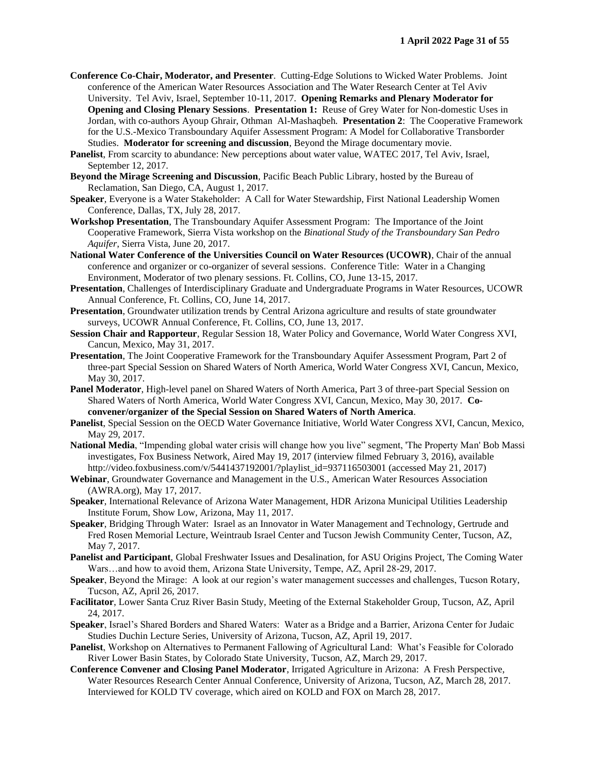- **Conference Co-Chair, Moderator, and Presenter**. Cutting-Edge Solutions to Wicked Water Problems. Joint conference of the American Water Resources Association and The Water Research Center at Tel Aviv University. Tel Aviv, Israel, September 10-11, 2017. **Opening Remarks and Plenary Moderator for Opening and Closing Plenary Sessions**. **Presentation 1:** Reuse of Grey Water for Non-domestic Uses in Jordan, with co-authors Ayoup Ghrair, Othman Al-Mashaqbeh. **Presentation 2**: The Cooperative Framework for the U.S.-Mexico Transboundary Aquifer Assessment Program: A Model for Collaborative Transborder Studies. **Moderator for screening and discussion**, Beyond the Mirage documentary movie.
- **Panelist**, From scarcity to abundance: New perceptions about water value, WATEC 2017, Tel Aviv, Israel, September 12, 2017.
- **Beyond the Mirage Screening and Discussion**, Pacific Beach Public Library, hosted by the Bureau of Reclamation, San Diego, CA, August 1, 2017.
- **Speaker**, Everyone is a Water Stakeholder: A Call for Water Stewardship, First National Leadership Women Conference, Dallas, TX, July 28, 2017.
- **Workshop Presentation**, The Transboundary Aquifer Assessment Program: The Importance of the Joint Cooperative Framework, Sierra Vista workshop on the *Binational Study of the Transboundary San Pedro Aquifer*, Sierra Vista, June 20, 2017.
- **National Water Conference of the Universities Council on Water Resources (UCOWR)**, Chair of the annual conference and organizer or co-organizer of several sessions. Conference Title: Water in a Changing Environment, Moderator of two plenary sessions. Ft. Collins, CO, June 13-15, 2017.
- **Presentation**, Challenges of Interdisciplinary Graduate and Undergraduate Programs in Water Resources, UCOWR Annual Conference, Ft. Collins, CO, June 14, 2017.
- **Presentation**, Groundwater utilization trends by Central Arizona agriculture and results of state groundwater surveys, UCOWR Annual Conference, Ft. Collins, CO, June 13, 2017.
- **Session Chair and Rapporteur**, Regular Session 18, Water Policy and Governance, World Water Congress XVI, Cancun, Mexico, May 31, 2017.
- **Presentation**, The Joint Cooperative Framework for the Transboundary Aquifer Assessment Program, Part 2 of three-part Special Session on Shared Waters of North America, World Water Congress XVI, Cancun, Mexico, May 30, 2017.
- **Panel Moderator**, High-level panel on Shared Waters of North America, Part 3 of three-part Special Session on Shared Waters of North America, World Water Congress XVI, Cancun, Mexico, May 30, 2017. **Coconvener/organizer of the Special Session on Shared Waters of North America**.
- **Panelist**, Special Session on the OECD Water Governance Initiative, World Water Congress XVI, Cancun, Mexico, May 29, 2017.
- **National Media**, "Impending global water crisis will change how you live" segment, 'The Property Man' Bob Massi investigates, Fox Business Network, Aired May 19, 2017 (interview filmed February 3, 2016), available http://video.foxbusiness.com/v/5441437192001/?playlist\_id=937116503001 (accessed May 21, 2017)
- **Webinar**, Groundwater Governance and Management in the U.S., American Water Resources Association (AWRA.org), May 17, 2017.
- **Speaker**, International Relevance of Arizona Water Management, HDR Arizona Municipal Utilities Leadership Institute Forum, Show Low, Arizona, May 11, 2017.
- **Speaker**, Bridging Through Water: Israel as an Innovator in Water Management and Technology, Gertrude and Fred Rosen Memorial Lecture, Weintraub Israel Center and Tucson Jewish Community Center, Tucson, AZ, May 7, 2017.
- **Panelist and Participant**, Global Freshwater Issues and Desalination, for ASU Origins Project, The Coming Water Wars…and how to avoid them, Arizona State University, Tempe, AZ, April 28-29, 2017.
- **Speaker**, Beyond the Mirage: A look at our region's water management successes and challenges, Tucson Rotary, Tucson, AZ, April 26, 2017.
- **Facilitator**, Lower Santa Cruz River Basin Study, Meeting of the External Stakeholder Group, Tucson, AZ, April 24, 2017.
- **Speaker**, Israel's Shared Borders and Shared Waters: Water as a Bridge and a Barrier, Arizona Center for Judaic Studies Duchin Lecture Series, University of Arizona, Tucson, AZ, April 19, 2017.
- **Panelist**, Workshop on Alternatives to Permanent Fallowing of Agricultural Land: What's Feasible for Colorado River Lower Basin States, by Colorado State University, Tucson, AZ, March 29, 2017.
- **Conference Convener and Closing Panel Moderator**, Irrigated Agriculture in Arizona: A Fresh Perspective, Water Resources Research Center Annual Conference, University of Arizona, Tucson, AZ, March 28, 2017. Interviewed for KOLD TV coverage, which aired on KOLD and FOX on March 28, 2017.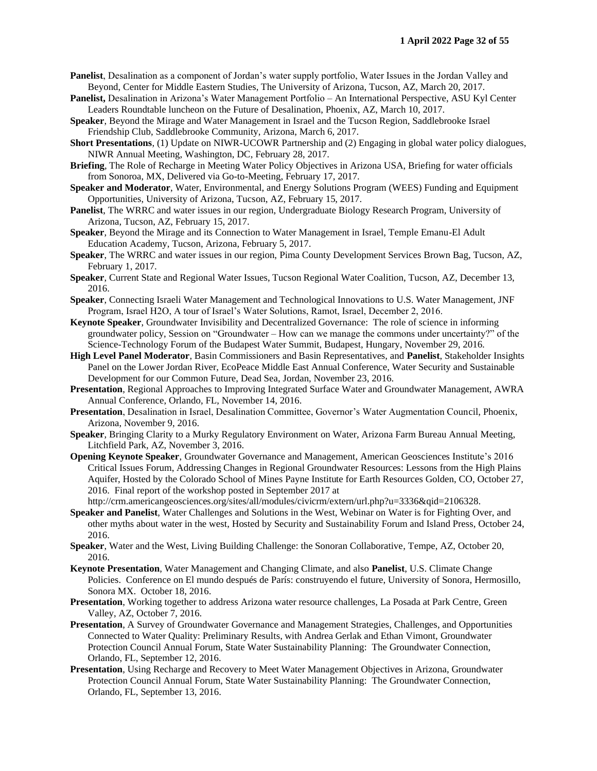- **Panelist**, Desalination as a component of Jordan's water supply portfolio, Water Issues in the Jordan Valley and Beyond, Center for Middle Eastern Studies, The University of Arizona, Tucson, AZ, March 20, 2017.
- **Panelist,** Desalination in Arizona's Water Management Portfolio An International Perspective, ASU Kyl Center Leaders Roundtable luncheon on the Future of Desalination, Phoenix, AZ, March 10, 2017.
- **Speaker**, Beyond the Mirage and Water Management in Israel and the Tucson Region, Saddlebrooke Israel Friendship Club, Saddlebrooke Community, Arizona, March 6, 2017.
- **Short Presentations**, (1) Update on NIWR-UCOWR Partnership and (2) Engaging in global water policy dialogues, NIWR Annual Meeting, Washington, DC, February 28, 2017.
- **Briefing**, The Role of Recharge in Meeting Water Policy Objectives in Arizona USA, Briefing for water officials from Sonoroa, MX, Delivered via Go-to-Meeting, February 17, 2017.
- **Speaker and Moderator**, Water, Environmental, and Energy Solutions Program (WEES) Funding and Equipment Opportunities, University of Arizona, Tucson, AZ, February 15, 2017.
- **Panelist**, The WRRC and water issues in our region, Undergraduate Biology Research Program, University of Arizona, Tucson, AZ, February 15, 2017.
- **Speaker**, Beyond the Mirage and its Connection to Water Management in Israel, Temple Emanu-El Adult Education Academy, Tucson, Arizona, February 5, 2017.
- **Speaker**, The WRRC and water issues in our region, Pima County Development Services Brown Bag, Tucson, AZ, February 1, 2017.
- **Speaker**, Current State and Regional Water Issues, Tucson Regional Water Coalition, Tucson, AZ, December 13, 2016.
- **Speaker**, Connecting Israeli Water Management and Technological Innovations to U.S. Water Management, JNF Program, Israel H2O, A tour of Israel's Water Solutions, Ramot, Israel, December 2, 2016.
- **Keynote Speaker**, Groundwater Invisibility and Decentralized Governance: The role of science in informing groundwater policy, Session on "Groundwater – How can we manage the commons under uncertainty?" of the Science-Technology Forum of the Budapest Water Summit, Budapest, Hungary, November 29, 2016.
- **High Level Panel Moderator**, Basin Commissioners and Basin Representatives, and **Panelist**, Stakeholder Insights Panel on the Lower Jordan River, EcoPeace Middle East Annual Conference, Water Security and Sustainable Development for our Common Future, Dead Sea, Jordan, November 23, 2016.
- **Presentation**, Regional Approaches to Improving Integrated Surface Water and Groundwater Management, AWRA Annual Conference, Orlando, FL, November 14, 2016.
- **Presentation**, Desalination in Israel, Desalination Committee, Governor's Water Augmentation Council, Phoenix, Arizona, November 9, 2016.
- **Speaker**, Bringing Clarity to a Murky Regulatory Environment on Water, Arizona Farm Bureau Annual Meeting, Litchfield Park, AZ, November 3, 2016.
- **Opening Keynote Speaker**, Groundwater Governance and Management, American Geosciences Institute's 2016 Critical Issues Forum, Addressing Changes in Regional Groundwater Resources: Lessons from the High Plains Aquifer, Hosted by the Colorado School of Mines Payne Institute for Earth Resources Golden, CO, October 27, 2016. Final report of the workshop posted in September 2017 at
	- http://crm.americangeosciences.org/sites/all/modules/civicrm/extern/url.php?u=3336&qid=2106328.
- **Speaker and Panelist**, Water Challenges and Solutions in the West, Webinar on Water is for Fighting Over, and other myths about water in the west, Hosted by Security and Sustainability Forum and Island Press, October 24, 2016.
- **Speaker**, Water and the West, Living Building Challenge: the Sonoran Collaborative, Tempe, AZ, October 20, 2016.
- **Keynote Presentation**, Water Management and Changing Climate, and also **Panelist**, U.S. Climate Change Policies. Conference on El mundo después de París: construyendo el future, University of Sonora, Hermosillo, Sonora MX. October 18, 2016.
- **Presentation**, Working together to address Arizona water resource challenges, La Posada at Park Centre, Green Valley, AZ, October 7, 2016.
- **Presentation**, A Survey of Groundwater Governance and Management Strategies, Challenges, and Opportunities Connected to Water Quality: Preliminary Results, with Andrea Gerlak and Ethan Vimont, Groundwater Protection Council Annual Forum, State Water Sustainability Planning: The Groundwater Connection, Orlando, FL, September 12, 2016.
- **Presentation**, Using Recharge and Recovery to Meet Water Management Objectives in Arizona, Groundwater Protection Council Annual Forum, State Water Sustainability Planning: The Groundwater Connection, Orlando, FL, September 13, 2016.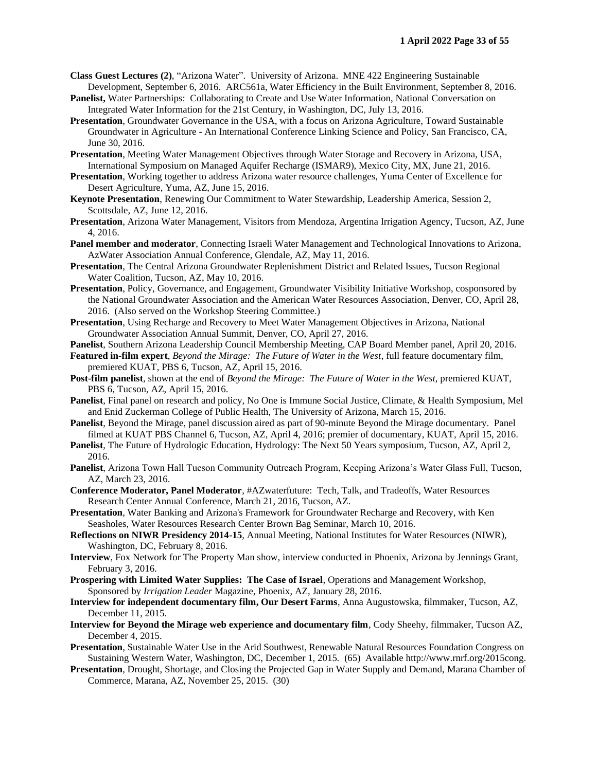- **Class Guest Lectures (2)**, "Arizona Water". University of Arizona. MNE 422 Engineering Sustainable Development, September 6, 2016. ARC561a, Water Efficiency in the Built Environment, September 8, 2016.
- **Panelist,** Water Partnerships: Collaborating to Create and Use Water Information, National Conversation on Integrated Water Information for the 21st Century, in Washington, DC, July 13, 2016.
- **Presentation**, Groundwater Governance in the USA, with a focus on Arizona Agriculture, Toward Sustainable Groundwater in Agriculture - An International Conference Linking Science and Policy, San Francisco, CA, June 30, 2016.
- **Presentation**, Meeting Water Management Objectives through Water Storage and Recovery in Arizona, USA, International Symposium on Managed Aquifer Recharge (ISMAR9), Mexico City, MX, June 21, 2016.
- **Presentation**, Working together to address Arizona water resource challenges, Yuma Center of Excellence for Desert Agriculture, Yuma, AZ, June 15, 2016.
- **Keynote Presentation**, Renewing Our Commitment to Water Stewardship, Leadership America, Session 2, Scottsdale, AZ, June 12, 2016.
- **Presentation**, Arizona Water Management, Visitors from Mendoza, Argentina Irrigation Agency, Tucson, AZ, June 4, 2016.
- **Panel member and moderator**, Connecting Israeli Water Management and Technological Innovations to Arizona, AzWater Association Annual Conference, Glendale, AZ, May 11, 2016.
- **Presentation**, The Central Arizona Groundwater Replenishment District and Related Issues, Tucson Regional Water Coalition, Tucson, AZ, May 10, 2016.
- **Presentation**, Policy, Governance, and Engagement, Groundwater Visibility Initiative Workshop, cosponsored by the National Groundwater Association and the American Water Resources Association, Denver, CO, April 28, 2016. (Also served on the Workshop Steering Committee.)
- **Presentation**, Using Recharge and Recovery to Meet Water Management Objectives in Arizona, National Groundwater Association Annual Summit, Denver, CO, April 27, 2016.
- **Panelist**, Southern Arizona Leadership Council Membership Meeting, CAP Board Member panel, April 20, 2016.
- **Featured in-film expert**, *Beyond the Mirage: The Future of Water in the West*, full feature documentary film, premiered KUAT, PBS 6, Tucson, AZ, April 15, 2016.
- **Post-film panelist**, shown at the end of *Beyond the Mirage: The Future of Water in the West*, premiered KUAT, PBS 6, Tucson, AZ, April 15, 2016.
- **Panelist**, Final panel on research and policy, No One is Immune Social Justice, Climate, & Health Symposium, Mel and Enid Zuckerman College of Public Health, The University of Arizona, March 15, 2016.
- **Panelist**, Beyond the Mirage, panel discussion aired as part of 90-minute Beyond the Mirage documentary. Panel filmed at KUAT PBS Channel 6, Tucson, AZ, April 4, 2016; premier of documentary, KUAT, April 15, 2016.
- **Panelist**, The Future of Hydrologic Education, Hydrology: The Next 50 Years symposium, Tucson, AZ, April 2, 2016.
- **Panelist**, Arizona Town Hall Tucson Community Outreach Program, Keeping Arizona's Water Glass Full, Tucson, AZ, March 23, 2016.
- **Conference Moderator, Panel Moderator**, #AZwaterfuture: Tech, Talk, and Tradeoffs, Water Resources Research Center Annual Conference, March 21, 2016, Tucson, AZ.
- **Presentation**, Water Banking and Arizona's Framework for Groundwater Recharge and Recovery, with Ken Seasholes, Water Resources Research Center Brown Bag Seminar, March 10, 2016.
- **Reflections on NIWR Presidency 2014-15**, Annual Meeting, National Institutes for Water Resources (NIWR), Washington, DC, February 8, 2016.
- **Interview**, Fox Network for The Property Man show, interview conducted in Phoenix, Arizona by Jennings Grant, February 3, 2016.
- **Prospering with Limited Water Supplies: The Case of Israel**, Operations and Management Workshop, Sponsored by *Irrigation Leader* Magazine, Phoenix, AZ, January 28, 2016.
- **Interview for independent documentary film, Our Desert Farms**, Anna Augustowska, filmmaker, Tucson, AZ, December 11, 2015.
- **Interview for Beyond the Mirage web experience and documentary film**, Cody Sheehy, filmmaker, Tucson AZ, December 4, 2015.
- **Presentation**, Sustainable Water Use in the Arid Southwest, Renewable Natural Resources Foundation Congress on Sustaining Western Water, Washington, DC, December 1, 2015. (65) Available http://www.rnrf.org/2015cong.
- **Presentation**, Drought, Shortage, and Closing the Projected Gap in Water Supply and Demand, Marana Chamber of Commerce, Marana, AZ, November 25, 2015. (30)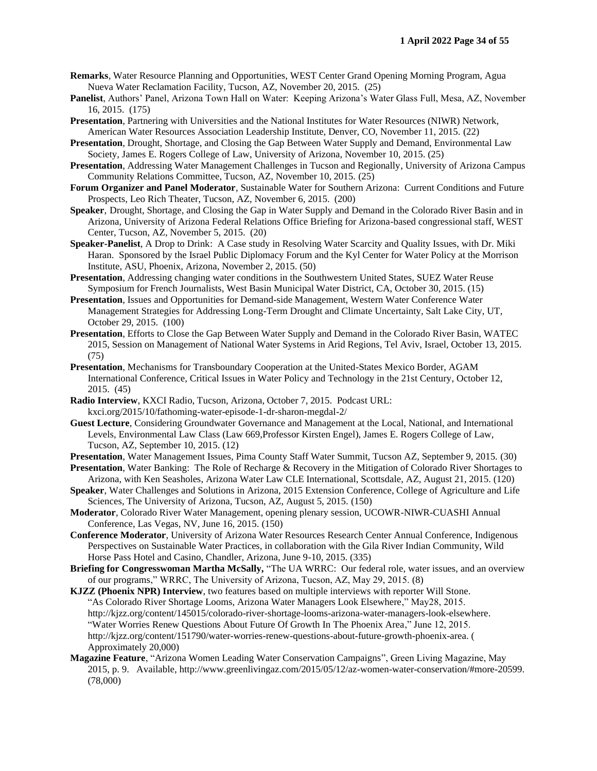- **Remarks**, Water Resource Planning and Opportunities, WEST Center Grand Opening Morning Program, Agua Nueva Water Reclamation Facility, Tucson, AZ, November 20, 2015. (25)
- **Panelist**, Authors' Panel, Arizona Town Hall on Water: Keeping Arizona's Water Glass Full, Mesa, AZ, November 16, 2015. (175)
- **Presentation**, Partnering with Universities and the National Institutes for Water Resources (NIWR) Network, American Water Resources Association Leadership Institute, Denver, CO, November 11, 2015. (22)
- **Presentation**, Drought, Shortage, and Closing the Gap Between Water Supply and Demand, Environmental Law Society, James E. Rogers College of Law, University of Arizona, November 10, 2015. (25)
- **Presentation**, Addressing Water Management Challenges in Tucson and Regionally, University of Arizona Campus Community Relations Committee, Tucson, AZ, November 10, 2015. (25)
- **Forum Organizer and Panel Moderator**, Sustainable Water for Southern Arizona: Current Conditions and Future Prospects, Leo Rich Theater, Tucson, AZ, November 6, 2015. (200)
- **Speaker**, Drought, Shortage, and Closing the Gap in Water Supply and Demand in the Colorado River Basin and in Arizona, University of Arizona Federal Relations Office Briefing for Arizona-based congressional staff, WEST Center, Tucson, AZ, November 5, 2015. (20)
- **Speaker-Panelist**, A Drop to Drink: A Case study in Resolving Water Scarcity and Quality Issues, with Dr. Miki Haran. Sponsored by the Israel Public Diplomacy Forum and the Kyl Center for Water Policy at the Morrison Institute, ASU, Phoenix, Arizona, November 2, 2015. (50)
- **Presentation**, Addressing changing water conditions in the Southwestern United States, SUEZ Water Reuse Symposium for French Journalists, West Basin Municipal Water District, CA, October 30, 2015. (15)
- **Presentation**, Issues and Opportunities for Demand-side Management, Western Water Conference Water Management Strategies for Addressing Long-Term Drought and Climate Uncertainty, Salt Lake City, UT, October 29, 2015. (100)
- **Presentation**, Efforts to Close the Gap Between Water Supply and Demand in the Colorado River Basin, WATEC 2015, Session on Management of National Water Systems in Arid Regions, Tel Aviv, Israel, October 13, 2015. (75)
- **Presentation**, Mechanisms for Transboundary Cooperation at the United-States Mexico Border, AGAM International Conference, Critical Issues in Water Policy and Technology in the 21st Century, October 12, 2015. (45)
- **Radio Interview**, KXCI Radio, Tucson, Arizona, October 7, 2015. Podcast URL: kxci.org/2015/10/fathoming-water-episode-1-dr-sharon-megdal-2/
- **Guest Lecture**, Considering Groundwater Governance and Management at the Local, National, and International Levels, Environmental Law Class (Law 669,Professor Kirsten Engel), James E. Rogers College of Law, Tucson, AZ, September 10, 2015. (12)
- **Presentation**, Water Management Issues, Pima County Staff Water Summit, Tucson AZ, September 9, 2015. (30)
- **Presentation**, Water Banking: The Role of Recharge & Recovery in the Mitigation of Colorado River Shortages to Arizona, with Ken Seasholes, Arizona Water Law CLE International, Scottsdale, AZ, August 21, 2015. (120)
- **Speaker**, Water Challenges and Solutions in Arizona, 2015 Extension Conference, College of Agriculture and Life Sciences, The University of Arizona, Tucson, AZ, August 5, 2015. (150)
- **Moderator**, Colorado River Water Management, opening plenary session, UCOWR-NIWR-CUASHI Annual Conference, Las Vegas, NV, June 16, 2015. (150)
- **Conference Moderator**, University of Arizona Water Resources Research Center Annual Conference, Indigenous Perspectives on Sustainable Water Practices, in collaboration with the Gila River Indian Community, Wild Horse Pass Hotel and Casino, Chandler, Arizona, June 9-10, 2015. (335)
- **Briefing for Congresswoman Martha McSally,** "The UA WRRC: Our federal role, water issues, and an overview of our programs," WRRC, The University of Arizona, Tucson, AZ, May 29, 2015. (8)
- **KJZZ (Phoenix NPR) Interview**, two features based on multiple interviews with reporter Will Stone. "As Colorado River Shortage Looms, Arizona Water Managers Look Elsewhere," May28, 2015. http://kjzz.org/content/145015/colorado-river-shortage-looms-arizona-water-managers-look-elsewhere. "Water Worries Renew Questions About Future Of Growth In The Phoenix Area," June 12, 2015. http://kjzz.org/content/151790/water-worries-renew-questions-about-future-growth-phoenix-area. ( Approximately 20,000)
- **Magazine Feature**, "Arizona Women Leading Water Conservation Campaigns", Green Living Magazine, May 2015, p. 9. Available, http://www.greenlivingaz.com/2015/05/12/az-women-water-conservation/#more-20599. (78,000)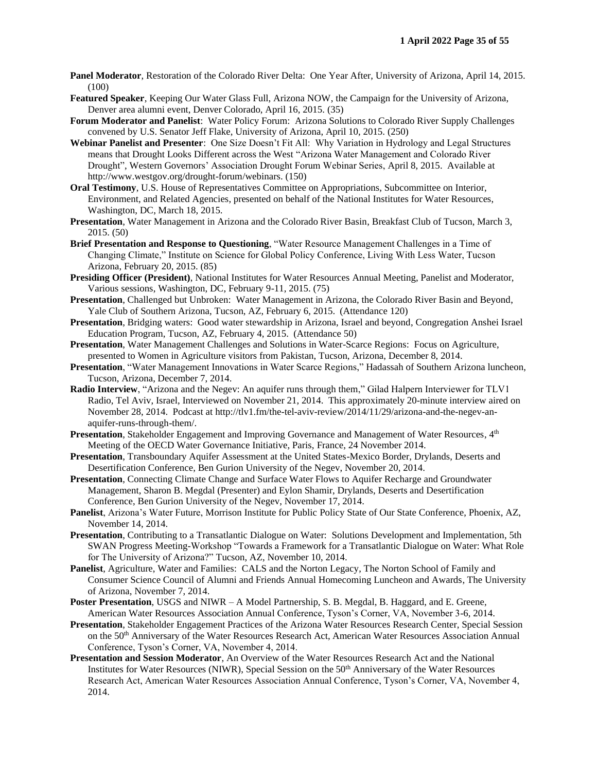- **Panel Moderator**, Restoration of the Colorado River Delta: One Year After, University of Arizona, April 14, 2015. (100)
- **Featured Speaker**, Keeping Our Water Glass Full, Arizona NOW, the Campaign for the University of Arizona, Denver area alumni event, Denver Colorado, April 16, 2015. (35)
- **Forum Moderator and Panelist**: Water Policy Forum: Arizona Solutions to Colorado River Supply Challenges convened by U.S. Senator Jeff Flake, University of Arizona, April 10, 2015. (250)
- **Webinar Panelist and Presenter**: One Size Doesn't Fit All: Why Variation in Hydrology and Legal Structures means that Drought Looks Different across the West "Arizona Water Management and Colorado River Drought", Western Governors' Association Drought Forum Webinar Series, April 8, 2015. Available at http://www.westgov.org/drought-forum/webinars. (150)
- **Oral Testimony**, U.S. House of Representatives Committee on Appropriations, Subcommittee on Interior, Environment, and Related Agencies, presented on behalf of the National Institutes for Water Resources, Washington, DC, March 18, 2015.
- **Presentation**, Water Management in Arizona and the Colorado River Basin, Breakfast Club of Tucson, March 3, 2015. (50)
- **Brief Presentation and Response to Questioning**, "Water Resource Management Challenges in a Time of Changing Climate," Institute on Science for Global Policy Conference, Living With Less Water, Tucson Arizona, February 20, 2015. (85)
- **Presiding Officer (President)**, National Institutes for Water Resources Annual Meeting, Panelist and Moderator, Various sessions, Washington, DC, February 9-11, 2015. (75)
- **Presentation**, Challenged but Unbroken: Water Management in Arizona, the Colorado River Basin and Beyond, Yale Club of Southern Arizona, Tucson, AZ, February 6, 2015. (Attendance 120)
- **Presentation**, Bridging waters: Good water stewardship in Arizona, Israel and beyond, Congregation Anshei Israel Education Program, Tucson, AZ, February 4, 2015. (Attendance 50)
- **Presentation**, Water Management Challenges and Solutions in Water-Scarce Regions: Focus on Agriculture, presented to Women in Agriculture visitors from Pakistan, Tucson, Arizona, December 8, 2014.
- **Presentation**, "Water Management Innovations in Water Scarce Regions," Hadassah of Southern Arizona luncheon, Tucson, Arizona, December 7, 2014.
- **Radio Interview**, "Arizona and the Negev: An aquifer runs through them," Gilad Halpern Interviewer for TLV1 Radio, Tel Aviv, Israel, Interviewed on November 21, 2014. This approximately 20-minute interview aired on November 28, 2014. Podcast at http://tlv1.fm/the-tel-aviv-review/2014/11/29/arizona-and-the-negev-anaquifer-runs-through-them/.
- **Presentation**, Stakeholder Engagement and Improving Governance and Management of Water Resources, 4<sup>th</sup> Meeting of the OECD Water Governance Initiative, Paris, France, 24 November 2014.
- **Presentation**, Transboundary Aquifer Assessment at the United States-Mexico Border, Drylands, Deserts and Desertification Conference, Ben Gurion University of the Negev, November 20, 2014.
- **Presentation**, Connecting Climate Change and Surface Water Flows to Aquifer Recharge and Groundwater Management, Sharon B. Megdal (Presenter) and Eylon Shamir, Drylands, Deserts and Desertification Conference, Ben Gurion University of the Negev, November 17, 2014.
- **Panelist**, Arizona's Water Future, Morrison Institute for Public Policy State of Our State Conference, Phoenix, AZ, November 14, 2014.
- **Presentation**, Contributing to a Transatlantic Dialogue on Water: Solutions Development and Implementation, 5th SWAN Progress Meeting-Workshop "Towards a Framework for a Transatlantic Dialogue on Water: What Role for The University of Arizona?" Tucson, AZ, November 10, 2014.
- **Panelist**, Agriculture, Water and Families: CALS and the Norton Legacy, The Norton School of Family and Consumer Science Council of Alumni and Friends Annual Homecoming Luncheon and Awards, The University of Arizona, November 7, 2014.
- **Poster Presentation**, USGS and NIWR A Model Partnership, S. B. Megdal, B. Haggard, and E. Greene, American Water Resources Association Annual Conference, Tyson's Corner, VA, November 3-6, 2014.
- **Presentation**, Stakeholder Engagement Practices of the Arizona Water Resources Research Center, Special Session on the 50th Anniversary of the Water Resources Research Act, American Water Resources Association Annual Conference, Tyson's Corner, VA, November 4, 2014.
- **Presentation and Session Moderator**, An Overview of the Water Resources Research Act and the National Institutes for Water Resources (NIWR), Special Session on the 50<sup>th</sup> Anniversary of the Water Resources Research Act, American Water Resources Association Annual Conference, Tyson's Corner, VA, November 4, 2014.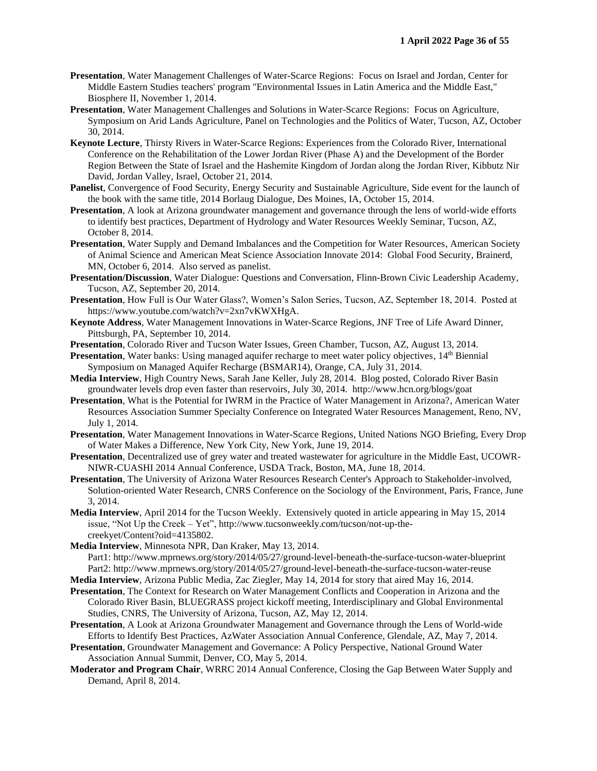- **Presentation**, Water Management Challenges of Water-Scarce Regions: Focus on Israel and Jordan, Center for Middle Eastern Studies teachers' program "Environmental Issues in Latin America and the Middle East," Biosphere II, November 1, 2014.
- **Presentation**, Water Management Challenges and Solutions in Water-Scarce Regions: Focus on Agriculture, Symposium on Arid Lands Agriculture, Panel on Technologies and the Politics of Water, Tucson, AZ, October 30, 2014.
- **Keynote Lecture**, Thirsty Rivers in Water-Scarce Regions: Experiences from the Colorado River, International Conference on the Rehabilitation of the Lower Jordan River (Phase A) and the Development of the Border Region Between the State of Israel and the Hashemite Kingdom of Jordan along the Jordan River, Kibbutz Nir David, Jordan Valley, Israel, October 21, 2014.
- **Panelist**, Convergence of Food Security, Energy Security and Sustainable Agriculture, Side event for the launch of the book with the same title, 2014 Borlaug Dialogue, Des Moines, IA, October 15, 2014.
- **Presentation**, A look at Arizona groundwater management and governance through the lens of world-wide efforts to identify best practices, Department of Hydrology and Water Resources Weekly Seminar, Tucson, AZ, October 8, 2014.
- **Presentation**, Water Supply and Demand Imbalances and the Competition for Water Resources, American Society of Animal Science and American Meat Science Association Innovate 2014: Global Food Security, Brainerd, MN, October 6, 2014. Also served as panelist.
- **Presentation/Discussion**, Water Dialogue: Questions and Conversation, Flinn-Brown Civic Leadership Academy, Tucson, AZ, September 20, 2014.
- **Presentation**, How Full is Our Water Glass?, Women's Salon Series, Tucson, AZ, September 18, 2014. Posted at https://www.youtube.com/watch?v=2xn7vKWXHgA.
- **Keynote Address**, Water Management Innovations in Water-Scarce Regions, JNF Tree of Life Award Dinner, Pittsburgh, PA, September 10, 2014.
- **Presentation**, Colorado River and Tucson Water Issues, Green Chamber, Tucson, AZ, August 13, 2014.
- **Presentation**, Water banks: Using managed aquifer recharge to meet water policy objectives, 14<sup>th</sup> Biennial Symposium on Managed Aquifer Recharge (BSMAR14), Orange, CA, July 31, 2014.
- **Media Interview**, High Country News, Sarah Jane Keller, July 28, 2014. Blog posted, Colorado River Basin groundwater levels drop even faster than reservoirs, July 30, 2014. http://www.hcn.org/blogs/goat
- **Presentation**, What is the Potential for IWRM in the Practice of Water Management in Arizona?, American Water Resources Association Summer Specialty Conference on Integrated Water Resources Management, Reno, NV, July 1, 2014.
- **Presentation**, Water Management Innovations in Water-Scarce Regions, United Nations NGO Briefing, Every Drop of Water Makes a Difference, New York City, New York, June 19, 2014.
- **Presentation**, Decentralized use of grey water and treated wastewater for agriculture in the Middle East, UCOWR-NIWR-CUASHI 2014 Annual Conference, USDA Track, Boston, MA, June 18, 2014.
- **Presentation**, The University of Arizona Water Resources Research Center's Approach to Stakeholder-involved, Solution-oriented Water Research, CNRS Conference on the Sociology of the Environment, Paris, France, June 3, 2014.
- **Media Interview**, April 2014 for the Tucson Weekly. Extensively quoted in article appearing in May 15, 2014 issue, "Not Up the Creek – Yet", http://www.tucsonweekly.com/tucson/not-up-thecreekyet/Content?oid=4135802.
- **Media Interview**, Minnesota NPR, Dan Kraker, May 13, 2014. Part1: http://www.mprnews.org/story/2014/05/27/ground-level-beneath-the-surface-tucson-water-blueprint Part2: http://www.mprnews.org/story/2014/05/27/ground-level-beneath-the-surface-tucson-water-reuse
- **Media Interview**, Arizona Public Media, Zac Ziegler, May 14, 2014 for story that aired May 16, 2014.
- **Presentation**, The Context for Research on Water Management Conflicts and Cooperation in Arizona and the Colorado River Basin, BLUEGRASS project kickoff meeting, Interdisciplinary and Global Environmental Studies, CNRS, The University of Arizona, Tucson, AZ, May 12, 2014.
- **Presentation**, A Look at Arizona Groundwater Management and Governance through the Lens of World-wide Efforts to Identify Best Practices, AzWater Association Annual Conference, Glendale, AZ, May 7, 2014.
- **Presentation**, Groundwater Management and Governance: A Policy Perspective, National Ground Water Association Annual Summit, Denver, CO, May 5, 2014.
- **Moderator and Program Chair**, WRRC 2014 Annual Conference, Closing the Gap Between Water Supply and Demand, April 8, 2014.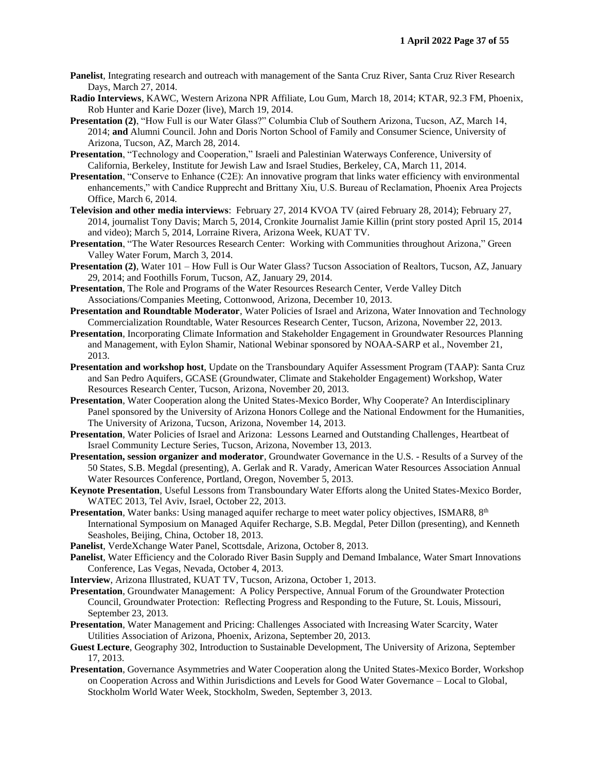- **Panelist**, Integrating research and outreach with management of the Santa Cruz River, Santa Cruz River Research Days, March 27, 2014.
- **Radio Interviews**, KAWC, Western Arizona NPR Affiliate, Lou Gum, March 18, 2014; KTAR, 92.3 FM, Phoenix, Rob Hunter and Karie Dozer (live), March 19, 2014.
- **Presentation (2)**, "How Full is our Water Glass?" Columbia Club of Southern Arizona, Tucson, AZ, March 14, 2014; **and** Alumni Council. John and Doris Norton School of Family and Consumer Science, University of Arizona, Tucson, AZ, March 28, 2014.
- **Presentation**, "Technology and Cooperation," Israeli and Palestinian Waterways Conference, University of California, Berkeley, Institute for Jewish Law and Israel Studies, Berkeley, CA, March 11, 2014.
- **Presentation**, "Conserve to Enhance (C2E): An innovative program that links water efficiency with environmental enhancements," with Candice Rupprecht and Brittany Xiu, U.S. Bureau of Reclamation, Phoenix Area Projects Office, March 6, 2014.
- **Television and other media interviews**: February 27, 2014 KVOA TV (aired February 28, 2014); February 27, 2014, journalist Tony Davis; March 5, 2014, Cronkite Journalist Jamie Killin (print story posted April 15, 2014 and video); March 5, 2014, Lorraine Rivera, Arizona Week, KUAT TV.
- **Presentation**, "The Water Resources Research Center: Working with Communities throughout Arizona," Green Valley Water Forum, March 3, 2014.
- Presentation (2), Water 101 How Full is Our Water Glass? Tucson Association of Realtors, Tucson, AZ, January 29, 2014; and Foothills Forum, Tucson, AZ, January 29, 2014.
- **Presentation**, The Role and Programs of the Water Resources Research Center, Verde Valley Ditch Associations/Companies Meeting, Cottonwood, Arizona, December 10, 2013.
- **Presentation and Roundtable Moderator**, Water Policies of Israel and Arizona, Water Innovation and Technology Commercialization Roundtable, Water Resources Research Center, Tucson, Arizona, November 22, 2013.
- **Presentation**, Incorporating Climate Information and Stakeholder Engagement in Groundwater Resources Planning and Management, with Eylon Shamir, National Webinar sponsored by NOAA-SARP et al., November 21, 2013.
- **Presentation and workshop host**, Update on the Transboundary Aquifer Assessment Program (TAAP): Santa Cruz and San Pedro Aquifers, GCASE (Groundwater, Climate and Stakeholder Engagement) Workshop, Water Resources Research Center, Tucson, Arizona, November 20, 2013.
- **Presentation**, Water Cooperation along the United States-Mexico Border, Why Cooperate? An Interdisciplinary Panel sponsored by the University of Arizona Honors College and the National Endowment for the Humanities, The University of Arizona, Tucson, Arizona, November 14, 2013.
- **Presentation**, Water Policies of Israel and Arizona: Lessons Learned and Outstanding Challenges, Heartbeat of Israel Community Lecture Series, Tucson, Arizona, November 13, 2013.
- **Presentation, session organizer and moderator**, Groundwater Governance in the U.S. Results of a Survey of the 50 States, S.B. Megdal (presenting), A. Gerlak and R. Varady, American Water Resources Association Annual Water Resources Conference, Portland, Oregon, November 5, 2013.
- **Keynote Presentation**, Useful Lessons from Transboundary Water Efforts along the United States-Mexico Border, WATEC 2013, Tel Aviv, Israel, October 22, 2013.
- **Presentation**, Water banks: Using managed aquifer recharge to meet water policy objectives, ISMAR8, 8<sup>th</sup> International Symposium on Managed Aquifer Recharge, S.B. Megdal, Peter Dillon (presenting), and Kenneth Seasholes, Beijing, China, October 18, 2013.
- **Panelist**, VerdeXchange Water Panel, Scottsdale, Arizona, October 8, 2013.
- **Panelist**, Water Efficiency and the Colorado River Basin Supply and Demand Imbalance, Water Smart Innovations Conference, Las Vegas, Nevada, October 4, 2013.
- **Interview**, Arizona Illustrated, KUAT TV, Tucson, Arizona, October 1, 2013.
- **Presentation**, Groundwater Management: A Policy Perspective, Annual Forum of the Groundwater Protection Council, Groundwater Protection: Reflecting Progress and Responding to the Future, St. Louis, Missouri, September 23, 2013.
- **Presentation**, Water Management and Pricing: Challenges Associated with Increasing Water Scarcity, Water Utilities Association of Arizona, Phoenix, Arizona, September 20, 2013.
- **Guest Lecture**, Geography 302, Introduction to Sustainable Development, The University of Arizona, September 17, 2013.
- **Presentation**, Governance Asymmetries and Water Cooperation along the United States-Mexico Border, Workshop on Cooperation Across and Within Jurisdictions and Levels for Good Water Governance – Local to Global, Stockholm World Water Week, Stockholm, Sweden, September 3, 2013.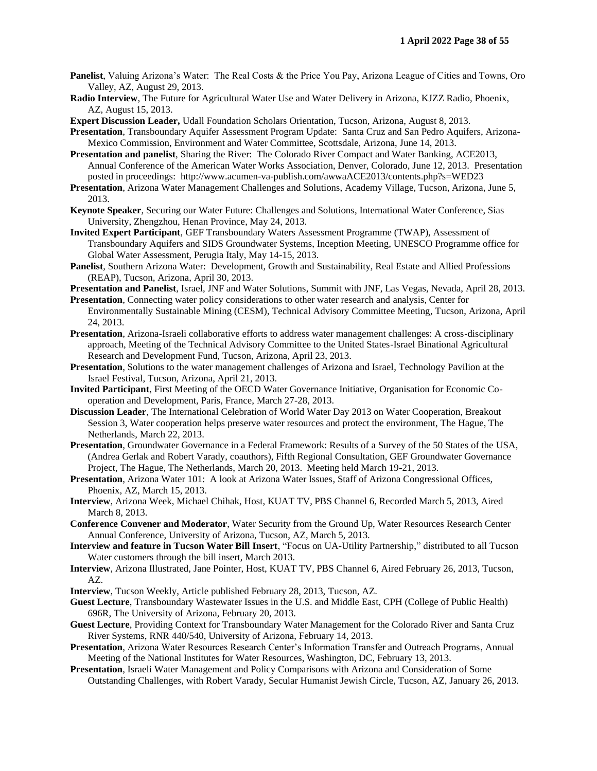- **Panelist**, Valuing Arizona's Water: The Real Costs & the Price You Pay, Arizona League of Cities and Towns, Oro Valley, AZ, August 29, 2013.
- **Radio Interview**, The Future for Agricultural Water Use and Water Delivery in Arizona, KJZZ Radio, Phoenix, AZ, August 15, 2013.
- **Expert Discussion Leader,** Udall Foundation Scholars Orientation, Tucson, Arizona, August 8, 2013.
- **Presentation**, Transboundary Aquifer Assessment Program Update: Santa Cruz and San Pedro Aquifers, Arizona-Mexico Commission, Environment and Water Committee, Scottsdale, Arizona, June 14, 2013.
- **Presentation and panelist**, Sharing the River: The Colorado River Compact and Water Banking, ACE2013, Annual Conference of the American Water Works Association, Denver, Colorado, June 12, 2013. Presentation posted in proceedings: http://www.acumen-va-publish.com/awwaACE2013/contents.php?s=WED23
- **Presentation**, Arizona Water Management Challenges and Solutions, Academy Village, Tucson, Arizona, June 5, 2013.
- **Keynote Speaker**, Securing our Water Future: Challenges and Solutions, International Water Conference, Sias University, Zhengzhou, Henan Province, May 24, 2013.
- **Invited Expert Participant**, GEF Transboundary Waters Assessment Programme (TWAP), Assessment of Transboundary Aquifers and SIDS Groundwater Systems, Inception Meeting, UNESCO Programme office for Global Water Assessment, Perugia Italy, May 14-15, 2013.
- **Panelist**, Southern Arizona Water: Development, Growth and Sustainability, Real Estate and Allied Professions (REAP), Tucson, Arizona, April 30, 2013.
- **Presentation and Panelist**, Israel, JNF and Water Solutions, Summit with JNF, Las Vegas, Nevada, April 28, 2013.
- **Presentation**, Connecting water policy considerations to other water research and analysis, Center for Environmentally Sustainable Mining (CESM), Technical Advisory Committee Meeting, Tucson, Arizona, April 24, 2013.
- **Presentation**, Arizona-Israeli collaborative efforts to address water management challenges: A cross-disciplinary approach, Meeting of the Technical Advisory Committee to the United States-Israel Binational Agricultural Research and Development Fund, Tucson, Arizona, April 23, 2013.
- **Presentation**, Solutions to the water management challenges of Arizona and Israel, Technology Pavilion at the Israel Festival, Tucson, Arizona, April 21, 2013.
- **Invited Participant**, First Meeting of the OECD Water Governance Initiative, Organisation for Economic Cooperation and Development, Paris, France, March 27-28, 2013.
- **Discussion Leader**, The International Celebration of World Water Day 2013 on Water Cooperation, Breakout Session 3, Water cooperation helps preserve water resources and protect the environment, The Hague, The Netherlands, March 22, 2013.
- **Presentation**, Groundwater Governance in a Federal Framework: Results of a Survey of the 50 States of the USA, (Andrea Gerlak and Robert Varady, coauthors), Fifth Regional Consultation, GEF Groundwater Governance Project, The Hague, The Netherlands, March 20, 2013. Meeting held March 19-21, 2013.
- **Presentation**, Arizona Water 101: A look at Arizona Water Issues, Staff of Arizona Congressional Offices, Phoenix, AZ, March 15, 2013.
- **Interview**, Arizona Week, Michael Chihak, Host, KUAT TV, PBS Channel 6, Recorded March 5, 2013, Aired March 8, 2013.
- **Conference Convener and Moderator**, Water Security from the Ground Up, Water Resources Research Center Annual Conference, University of Arizona, Tucson, AZ, March 5, 2013.
- **Interview and feature in Tucson Water Bill Insert**, "Focus on UA-Utility Partnership," distributed to all Tucson Water customers through the bill insert, March 2013.
- **Interview**, Arizona Illustrated, Jane Pointer, Host, KUAT TV, PBS Channel 6, Aired February 26, 2013, Tucson, AZ.
- **Interview**, Tucson Weekly, Article published February 28, 2013, Tucson, AZ.
- **Guest Lecture**, Transboundary Wastewater Issues in the U.S. and Middle East, CPH (College of Public Health) 696R, The University of Arizona, February 20, 2013.
- **Guest Lecture**, Providing Context for Transboundary Water Management for the Colorado River and Santa Cruz River Systems, RNR 440/540, University of Arizona, February 14, 2013.
- **Presentation**, Arizona Water Resources Research Center's Information Transfer and Outreach Programs, Annual Meeting of the National Institutes for Water Resources, Washington, DC, February 13, 2013.
- **Presentation**, Israeli Water Management and Policy Comparisons with Arizona and Consideration of Some Outstanding Challenges, with Robert Varady, Secular Humanist Jewish Circle, Tucson, AZ, January 26, 2013.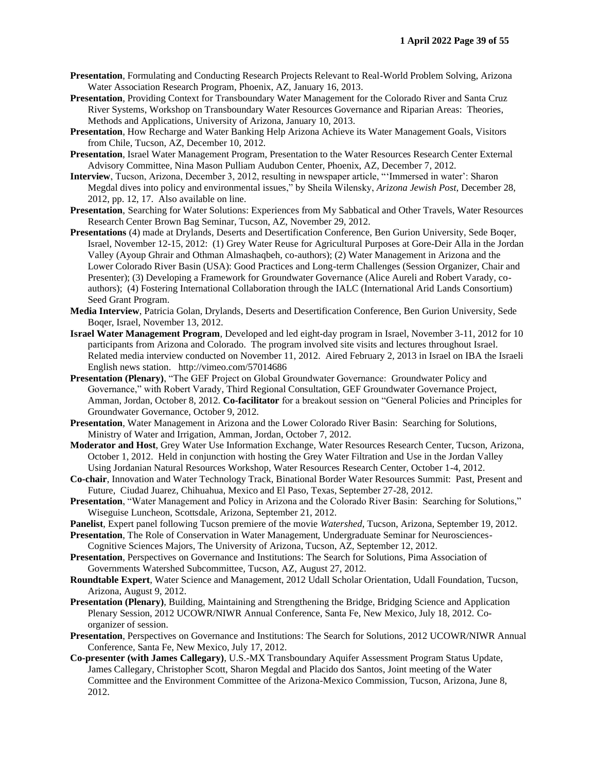- **Presentation**, Formulating and Conducting Research Projects Relevant to Real-World Problem Solving, Arizona Water Association Research Program, Phoenix, AZ, January 16, 2013.
- **Presentation**, Providing Context for Transboundary Water Management for the Colorado River and Santa Cruz River Systems, Workshop on Transboundary Water Resources Governance and Riparian Areas: Theories, Methods and Applications, University of Arizona, January 10, 2013.
- **Presentation**, How Recharge and Water Banking Help Arizona Achieve its Water Management Goals, Visitors from Chile, Tucson, AZ, December 10, 2012.
- **Presentation**, Israel Water Management Program, Presentation to the Water Resources Research Center External Advisory Committee, Nina Mason Pulliam Audubon Center, Phoenix, AZ, December 7, 2012.
- **Interview**, Tucson, Arizona, December 3, 2012, resulting in newspaper article, "'Immersed in water': Sharon Megdal dives into policy and environmental issues," by Sheila Wilensky, *Arizona Jewish Post*, December 28, 2012, pp. 12, 17. Also available on line.
- **Presentation**, Searching for Water Solutions: Experiences from My Sabbatical and Other Travels, Water Resources Research Center Brown Bag Seminar, Tucson, AZ, November 29, 2012.
- **Presentations** (4) made at Drylands, Deserts and Desertification Conference, Ben Gurion University, Sede Boqer, Israel, November 12-15, 2012: (1) Grey Water Reuse for Agricultural Purposes at Gore-Deir Alla in the Jordan Valley (Ayoup Ghrair and Othman Almashaqbeh, co-authors); (2) Water Management in Arizona and the Lower Colorado River Basin (USA): Good Practices and Long-term Challenges (Session Organizer, Chair and Presenter); (3) Developing a Framework for Groundwater Governance (Alice Aureli and Robert Varady, coauthors); (4) Fostering International Collaboration through the IALC (International Arid Lands Consortium) Seed Grant Program.
- **Media Interview**, Patricia Golan, Drylands, Deserts and Desertification Conference, Ben Gurion University, Sede Boqer, Israel, November 13, 2012.
- **Israel Water Management Program**, Developed and led eight-day program in Israel, November 3-11, 2012 for 10 participants from Arizona and Colorado. The program involved site visits and lectures throughout Israel. Related media interview conducted on November 11, 2012. Aired February 2, 2013 in Israel on IBA the Israeli English news station. http://vimeo.com/57014686
- **Presentation (Plenary)**, "The GEF Project on Global Groundwater Governance: Groundwater Policy and Governance," with Robert Varady, Third Regional Consultation, GEF Groundwater Governance Project, Amman, Jordan, October 8, 2012. **Co-facilitator** for a breakout session on "General Policies and Principles for Groundwater Governance, October 9, 2012.
- **Presentation**, Water Management in Arizona and the Lower Colorado River Basin: Searching for Solutions, Ministry of Water and Irrigation, Amman, Jordan, October 7, 2012.
- **Moderator and Host**, Grey Water Use Information Exchange, Water Resources Research Center, Tucson, Arizona, October 1, 2012. Held in conjunction with hosting the Grey Water Filtration and Use in the Jordan Valley Using Jordanian Natural Resources Workshop, Water Resources Research Center, October 1-4, 2012.
- **Co-chair**, Innovation and Water Technology Track, Binational Border Water Resources Summit: Past, Present and Future, Ciudad Juarez, Chihuahua, Mexico and El Paso, Texas, September 27-28, 2012.
- **Presentation**, "Water Management and Policy in Arizona and the Colorado River Basin: Searching for Solutions," Wiseguise Luncheon, Scottsdale, Arizona, September 21, 2012.
- **Panelist**, Expert panel following Tucson premiere of the movie *Watershed*, Tucson, Arizona, September 19, 2012.
- **Presentation**, The Role of Conservation in Water Management, Undergraduate Seminar for Neurosciences-Cognitive Sciences Majors, The University of Arizona, Tucson, AZ, September 12, 2012.
- **Presentation**, Perspectives on Governance and Institutions: The Search for Solutions, Pima Association of Governments Watershed Subcommittee, Tucson, AZ, August 27, 2012.
- **Roundtable Expert**, Water Science and Management, 2012 Udall Scholar Orientation, Udall Foundation, Tucson, Arizona, August 9, 2012.
- **Presentation (Plenary)**, Building, Maintaining and Strengthening the Bridge, Bridging Science and Application Plenary Session, 2012 UCOWR/NIWR Annual Conference, Santa Fe, New Mexico, July 18, 2012. Coorganizer of session.
- **Presentation**, Perspectives on Governance and Institutions: The Search for Solutions, 2012 UCOWR/NIWR Annual Conference, Santa Fe, New Mexico, July 17, 2012.
- **Co-presenter (with James Callegary)**, U.S.-MX Transboundary Aquifer Assessment Program Status Update, James Callegary, Christopher Scott, Sharon Megdal and Placido dos Santos, Joint meeting of the Water Committee and the Environment Committee of the Arizona-Mexico Commission, Tucson, Arizona, June 8, 2012.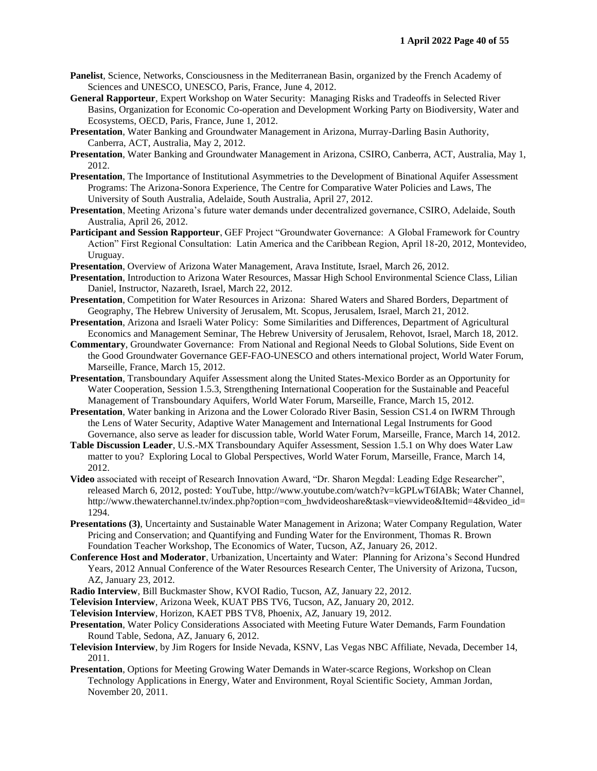- **Panelist**, Science, Networks, Consciousness in the Mediterranean Basin, organized by the French Academy of Sciences and UNESCO, UNESCO, Paris, France, June 4, 2012.
- **General Rapporteur**, Expert Workshop on Water Security: Managing Risks and Tradeoffs in Selected River Basins, Organization for Economic Co-operation and Development Working Party on Biodiversity, Water and Ecosystems, OECD, Paris, France, June 1, 2012.
- **Presentation**, Water Banking and Groundwater Management in Arizona, Murray-Darling Basin Authority, Canberra, ACT, Australia, May 2, 2012.
- **Presentation**, Water Banking and Groundwater Management in Arizona, CSIRO, Canberra, ACT, Australia, May 1, 2012.
- **Presentation**, The Importance of Institutional Asymmetries to the Development of Binational Aquifer Assessment Programs: The Arizona-Sonora Experience, The Centre for Comparative Water Policies and Laws, The University of South Australia, Adelaide, South Australia, April 27, 2012.
- **Presentation**, Meeting Arizona's future water demands under decentralized governance, CSIRO, Adelaide, South Australia, April 26, 2012.
- **Participant and Session Rapporteur**, GEF Project "Groundwater Governance: A Global Framework for Country Action" First Regional Consultation: Latin America and the Caribbean Region, April 18-20, 2012, Montevideo, Uruguay.
- **Presentation**, Overview of Arizona Water Management, Arava Institute, Israel, March 26, 2012.
- **Presentation**, Introduction to Arizona Water Resources, Massar High School Environmental Science Class, Lilian Daniel, Instructor, Nazareth, Israel, March 22, 2012.
- **Presentation**, Competition for Water Resources in Arizona: Shared Waters and Shared Borders, Department of Geography, The Hebrew University of Jerusalem, Mt. Scopus, Jerusalem, Israel, March 21, 2012.
- **Presentation**, Arizona and Israeli Water Policy: Some Similarities and Differences, Department of Agricultural Economics and Management Seminar, The Hebrew University of Jerusalem, Rehovot, Israel, March 18, 2012.
- **Commentary**, Groundwater Governance: From National and Regional Needs to Global Solutions, Side Event on the Good Groundwater Governance GEF-FAO-UNESCO and others international project, World Water Forum, Marseille, France, March 15, 2012.
- **Presentation**, Transboundary Aquifer Assessment along the United States-Mexico Border as an Opportunity for Water Cooperation, Session 1.5.3, Strengthening International Cooperation for the Sustainable and Peaceful Management of Transboundary Aquifers, World Water Forum, Marseille, France, March 15, 2012.
- **Presentation**, Water banking in Arizona and the Lower Colorado River Basin, Session CS1.4 on IWRM Through the Lens of Water Security, Adaptive Water Management and International Legal Instruments for Good Governance, also serve as leader for discussion table, World Water Forum, Marseille, France, March 14, 2012.
- **Table Discussion Leader**, U.S.-MX Transboundary Aquifer Assessment, Session 1.5.1 on Why does Water Law matter to you? Exploring Local to Global Perspectives, World Water Forum, Marseille, France, March 14, 2012.
- **Video** associated with receipt of Research Innovation Award, "Dr. Sharon Megdal: Leading Edge Researcher", released March 6, 2012, posted: YouTube, http://www.youtube.com/watch?v=kGPLwT6IABk; Water Channel, http://www.thewaterchannel.tv/index.php?option=com\_hwdvideoshare&task=viewvideo&Itemid=4&video\_id= 1294.
- **Presentations (3)**, Uncertainty and Sustainable Water Management in Arizona; Water Company Regulation, Water Pricing and Conservation; and Quantifying and Funding Water for the Environment, Thomas R. Brown Foundation Teacher Workshop, The Economics of Water, Tucson, AZ, January 26, 2012.
- **Conference Host and Moderator**, Urbanization, Uncertainty and Water: Planning for Arizona's Second Hundred Years, 2012 Annual Conference of the Water Resources Research Center, The University of Arizona, Tucson, AZ, January 23, 2012.
- **Radio Interview**, Bill Buckmaster Show, KVOI Radio, Tucson, AZ, January 22, 2012.
- **Television Interview**, Arizona Week, KUAT PBS TV6, Tucson, AZ, January 20, 2012.
- **Television Interview**, Horizon, KAET PBS TV8, Phoenix, AZ, January 19, 2012.
- **Presentation**, Water Policy Considerations Associated with Meeting Future Water Demands, Farm Foundation Round Table, Sedona, AZ, January 6, 2012.
- **Television Interview**, by Jim Rogers for Inside Nevada, KSNV, Las Vegas NBC Affiliate, Nevada, December 14, 2011.
- **Presentation**, Options for Meeting Growing Water Demands in Water-scarce Regions, Workshop on Clean Technology Applications in Energy, Water and Environment, Royal Scientific Society, Amman Jordan, November 20, 2011.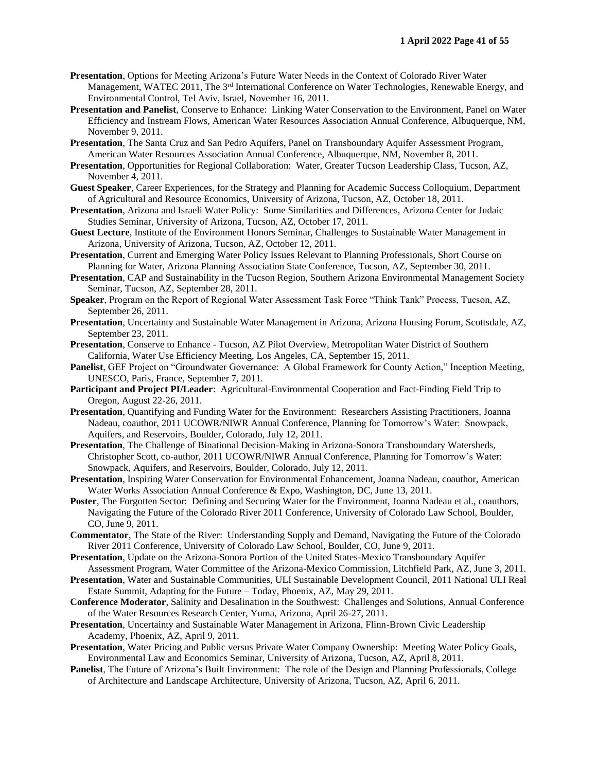- **Presentation**, Options for Meeting Arizona's Future Water Needs in the Context of Colorado River Water Management, WATEC 2011, The 3<sup>rd</sup> International Conference on Water Technologies, Renewable Energy, and Environmental Control, Tel Aviv, Israel, November 16, 2011.
- **Presentation and Panelist**, Conserve to Enhance: Linking Water Conservation to the Environment, Panel on Water Efficiency and Instream Flows, American Water Resources Association Annual Conference, Albuquerque, NM, November 9, 2011.
- **Presentation**, The Santa Cruz and San Pedro Aquifers, Panel on Transboundary Aquifer Assessment Program, American Water Resources Association Annual Conference, Albuquerque, NM, November 8, 2011.
- **Presentation**, Opportunities for Regional Collaboration: Water, Greater Tucson Leadership Class, Tucson, AZ, November 4, 2011.
- **Guest Speaker**, Career Experiences, for the Strategy and Planning for Academic Success Colloquium, Department of Agricultural and Resource Economics, University of Arizona, Tucson, AZ, October 18, 2011.
- **Presentation**, Arizona and Israeli Water Policy: Some Similarities and Differences, Arizona Center for Judaic Studies Seminar, University of Arizona, Tucson, AZ, October 17, 2011.
- **Guest Lecture**, Institute of the Environment Honors Seminar, Challenges to Sustainable Water Management in Arizona, University of Arizona, Tucson, AZ, October 12, 2011.
- **Presentation**, Current and Emerging Water Policy Issues Relevant to Planning Professionals, Short Course on Planning for Water, Arizona Planning Association State Conference, Tucson, AZ, September 30, 2011.
- **Presentation**, CAP and Sustainability in the Tucson Region, Southern Arizona Environmental Management Society Seminar, Tucson, AZ, September 28, 2011.
- **Speaker**, Program on the Report of Regional Water Assessment Task Force "Think Tank" Process, Tucson, AZ, September 26, 2011.
- **Presentation**, Uncertainty and Sustainable Water Management in Arizona, Arizona Housing Forum, Scottsdale, AZ, September 23, 2011.
- **Presentation**, Conserve to Enhance Tucson, AZ Pilot Overview, Metropolitan Water District of Southern California, Water Use Efficiency Meeting, Los Angeles, CA, September 15, 2011.
- **Panelist**, GEF Project on "Groundwater Governance: A Global Framework for County Action," Inception Meeting, UNESCO, Paris, France, September 7, 2011.
- **Participant and Project PI/Leader**: Agricultural-Environmental Cooperation and Fact-Finding Field Trip to Oregon, August 22-26, 2011.
- **Presentation**, Quantifying and Funding Water for the Environment: Researchers Assisting Practitioners, Joanna Nadeau, coauthor, 2011 UCOWR/NIWR Annual Conference, Planning for Tomorrow's Water: Snowpack, Aquifers, and Reservoirs, Boulder, Colorado, July 12, 2011.
- **Presentation**, The Challenge of Binational Decision-Making in Arizona-Sonora Transboundary Watersheds, Christopher Scott, co-author, 2011 UCOWR/NIWR Annual Conference, Planning for Tomorrow's Water: Snowpack, Aquifers, and Reservoirs, Boulder, Colorado, July 12, 2011.
- **Presentation**, Inspiring Water Conservation for Environmental Enhancement, Joanna Nadeau, coauthor, American Water Works Association Annual Conference & Expo, Washington, DC, June 13, 2011.
- **Poster**, The Forgotten Sector: Defining and Securing Water for the Environment, Joanna Nadeau et al., coauthors, Navigating the Future of the Colorado River 2011 Conference, University of Colorado Law School, Boulder, CO, June 9, 2011.
- **Commentator**, The State of the River: Understanding Supply and Demand, Navigating the Future of the Colorado River 2011 Conference, University of Colorado Law School, Boulder, CO, June 9, 2011.
- **Presentation**, Update on the Arizona-Sonora Portion of the United States-Mexico Transboundary Aquifer Assessment Program, Water Committee of the Arizona-Mexico Commission, Litchfield Park, AZ, June 3, 2011.
- **Presentation**, Water and Sustainable Communities, ULI Sustainable Development Council, 2011 National ULI Real Estate Summit, Adapting for the Future – Today, Phoenix, AZ, May 29, 2011.
- **Conference Moderator**, Salinity and Desalination in the Southwest: Challenges and Solutions, Annual Conference of the Water Resources Research Center, Yuma, Arizona, April 26-27, 2011.
- **Presentation**, Uncertainty and Sustainable Water Management in Arizona, Flinn-Brown Civic Leadership Academy, Phoenix, AZ, April 9, 2011.
- **Presentation**, Water Pricing and Public versus Private Water Company Ownership: Meeting Water Policy Goals, Environmental Law and Economics Seminar, University of Arizona, Tucson, AZ, April 8, 2011.
- **Panelist**, The Future of Arizona's Built Environment: The role of the Design and Planning Professionals, College of Architecture and Landscape Architecture, University of Arizona, Tucson, AZ, April 6, 2011.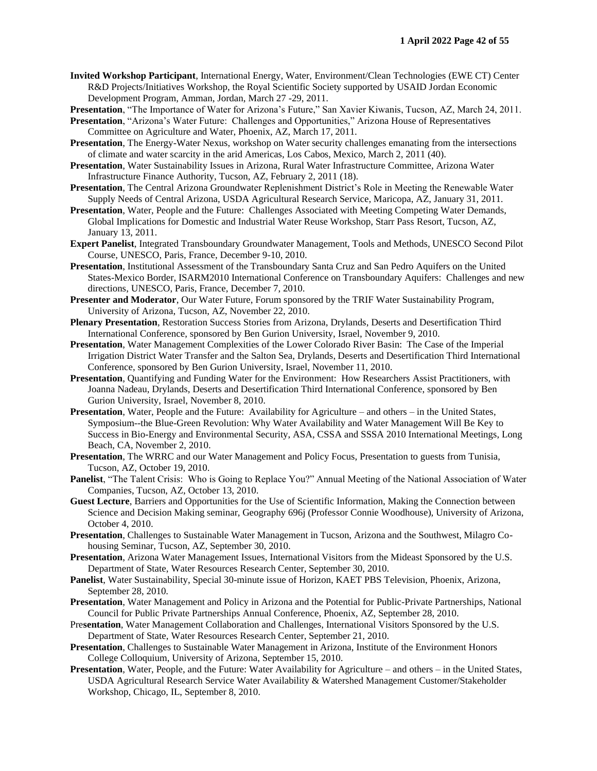- **Invited Workshop Participant**, International Energy, Water, Environment/Clean Technologies (EWE CT) Center R&D Projects/Initiatives Workshop, the Royal Scientific Society supported by USAID Jordan Economic Development Program, Amman, Jordan, March 27 -29, 2011.
- **Presentation**, "The Importance of Water for Arizona's Future," San Xavier Kiwanis, Tucson, AZ, March 24, 2011.

**Presentation**, "Arizona's Water Future: Challenges and Opportunities," Arizona House of Representatives Committee on Agriculture and Water, Phoenix, AZ, March 17, 2011.

- **Presentation**, The Energy-Water Nexus, workshop on Water security challenges emanating from the intersections of climate and water scarcity in the arid Americas, Los Cabos, Mexico, March 2, 2011 (40).
- **Presentation**, Water Sustainability Issues in Arizona, Rural Water Infrastructure Committee, Arizona Water Infrastructure Finance Authority, Tucson, AZ, February 2, 2011 (18).
- **Presentation**, The Central Arizona Groundwater Replenishment District's Role in Meeting the Renewable Water Supply Needs of Central Arizona, USDA Agricultural Research Service, Maricopa, AZ, January 31, 2011.
- **Presentation**, Water, People and the Future: Challenges Associated with Meeting Competing Water Demands, Global Implications for Domestic and Industrial Water Reuse Workshop, Starr Pass Resort, Tucson, AZ, January 13, 2011.
- **Expert Panelist**, Integrated Transboundary Groundwater Management, Tools and Methods, UNESCO Second Pilot Course, UNESCO, Paris, France, December 9-10, 2010.
- **Presentation**, Institutional Assessment of the Transboundary Santa Cruz and San Pedro Aquifers on the United States-Mexico Border, ISARM2010 International Conference on Transboundary Aquifers: Challenges and new directions, UNESCO, Paris, France, December 7, 2010.
- **Presenter and Moderator**, Our Water Future, Forum sponsored by the TRIF Water Sustainability Program, University of Arizona, Tucson, AZ, November 22, 2010.
- **Plenary Presentation**, Restoration Success Stories from Arizona, Drylands, Deserts and Desertification Third International Conference, sponsored by Ben Gurion University, Israel, November 9, 2010.
- **Presentation**, Water Management Complexities of the Lower Colorado River Basin: The Case of the Imperial Irrigation District Water Transfer and the Salton Sea, Drylands, Deserts and Desertification Third International Conference, sponsored by Ben Gurion University, Israel, November 11, 2010.
- **Presentation**, Quantifying and Funding Water for the Environment: How Researchers Assist Practitioners, with Joanna Nadeau, Drylands, Deserts and Desertification Third International Conference, sponsored by Ben Gurion University, Israel, November 8, 2010.
- **Presentation**, Water, People and the Future: Availability for Agriculture and others in the United States, Symposium--the Blue-Green Revolution: Why Water Availability and Water Management Will Be Key to Success in Bio-Energy and Environmental Security, ASA, CSSA and SSSA 2010 International Meetings, Long Beach, CA, November 2, 2010.
- **Presentation**, The WRRC and our Water Management and Policy Focus, Presentation to guests from Tunisia, Tucson, AZ, October 19, 2010.
- **Panelist**, "The Talent Crisis: Who is Going to Replace You?" Annual Meeting of the National Association of Water Companies, Tucson, AZ, October 13, 2010.
- **Guest Lecture**, Barriers and Opportunities for the Use of Scientific Information, Making the Connection between Science and Decision Making seminar, Geography 696j (Professor Connie Woodhouse), University of Arizona, October 4, 2010.
- **Presentation**, Challenges to Sustainable Water Management in Tucson, Arizona and the Southwest, Milagro Cohousing Seminar, Tucson, AZ, September 30, 2010.
- **Presentation**, Arizona Water Management Issues, International Visitors from the Mideast Sponsored by the U.S. Department of State, Water Resources Research Center, September 30, 2010.
- **Panelist**, Water Sustainability, Special 30-minute issue of Horizon, KAET PBS Television, Phoenix, Arizona, September 28, 2010.
- **Presentation**, Water Management and Policy in Arizona and the Potential for Public-Private Partnerships, National Council for Public Private Partnerships Annual Conference, Phoenix, AZ, September 28, 2010.
- Pre**sentation**, Water Management Collaboration and Challenges, International Visitors Sponsored by the U.S. Department of State, Water Resources Research Center, September 21, 2010.
- **Presentation**, Challenges to Sustainable Water Management in Arizona, Institute of the Environment Honors College Colloquium, University of Arizona, September 15, 2010.
- **Presentation**, Water, People, and the Future: Water Availability for Agriculture and others in the United States, USDA Agricultural Research Service Water Availability & Watershed Management Customer/Stakeholder Workshop, Chicago, IL, September 8, 2010.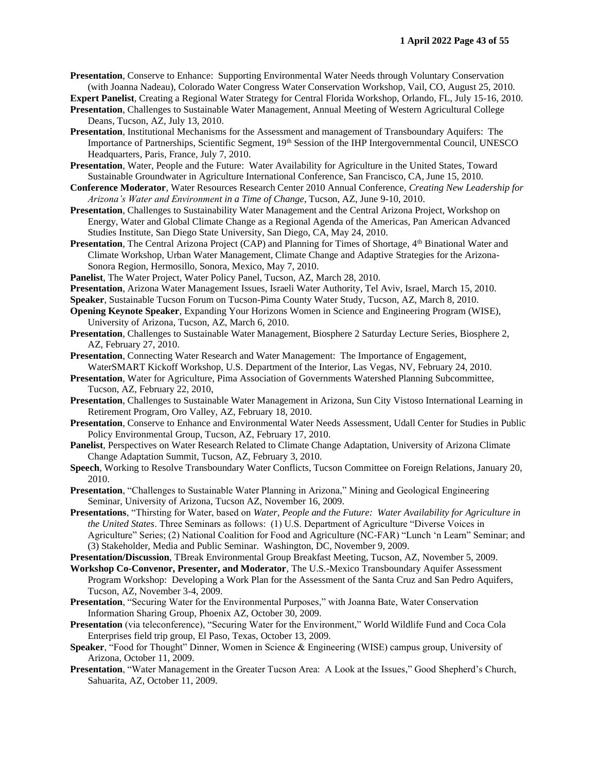**Presentation**, Conserve to Enhance: Supporting Environmental Water Needs through Voluntary Conservation (with Joanna Nadeau), Colorado Water Congress Water Conservation Workshop, Vail, CO, August 25, 2010.

**Expert Panelist**, Creating a Regional Water Strategy for Central Florida Workshop, Orlando, FL, July 15-16, 2010.

- **Presentation**, Challenges to Sustainable Water Management, Annual Meeting of Western Agricultural College Deans, Tucson, AZ, July 13, 2010.
- **Presentation**, Institutional Mechanisms for the Assessment and management of Transboundary Aquifers: The Importance of Partnerships, Scientific Segment, 19<sup>th</sup> Session of the IHP Intergovernmental Council, UNESCO Headquarters, Paris, France, July 7, 2010.

**Presentation**, Water, People and the Future: Water Availability for Agriculture in the United States, Toward Sustainable Groundwater in Agriculture International Conference, San Francisco, CA, June 15, 2010.

- **Conference Moderator**, Water Resources Research Center 2010 Annual Conference, *Creating New Leadership for Arizona's Water and Environment in a Time of Change*, Tucson, AZ, June 9-10, 2010.
- **Presentation**, Challenges to Sustainability Water Management and the Central Arizona Project, Workshop on Energy, Water and Global Climate Change as a Regional Agenda of the Americas, Pan American Advanced Studies Institute, San Diego State University, San Diego, CA, May 24, 2010.
- **Presentation**, The Central Arizona Project (CAP) and Planning for Times of Shortage, 4<sup>th</sup> Binational Water and Climate Workshop, Urban Water Management, Climate Change and Adaptive Strategies for the Arizona-Sonora Region, Hermosillo, Sonora, Mexico, May 7, 2010.
- **Panelist**, The Water Project, Water Policy Panel, Tucson, AZ, March 28, 2010.
- **Presentation**, Arizona Water Management Issues, Israeli Water Authority, Tel Aviv, Israel, March 15, 2010.

**Speaker**, Sustainable Tucson Forum on Tucson-Pima County Water Study, Tucson, AZ, March 8, 2010.

- **Opening Keynote Speaker**, Expanding Your Horizons Women in Science and Engineering Program (WISE), University of Arizona, Tucson, AZ, March 6, 2010.
- **Presentation**, Challenges to Sustainable Water Management, Biosphere 2 Saturday Lecture Series, Biosphere 2, AZ, February 27, 2010.
- **Presentation**, Connecting Water Research and Water Management: The Importance of Engagement, WaterSMART Kickoff Workshop, U.S. Department of the Interior, Las Vegas, NV, February 24, 2010.
- **Presentation**, Water for Agriculture, Pima Association of Governments Watershed Planning Subcommittee, Tucson, AZ, February 22, 2010,
- **Presentation**, Challenges to Sustainable Water Management in Arizona, Sun City Vistoso International Learning in Retirement Program, Oro Valley, AZ, February 18, 2010.
- **Presentation**, Conserve to Enhance and Environmental Water Needs Assessment, Udall Center for Studies in Public Policy Environmental Group, Tucson, AZ, February 17, 2010.
- **Panelist**, Perspectives on Water Research Related to Climate Change Adaptation, University of Arizona Climate Change Adaptation Summit, Tucson, AZ, February 3, 2010.
- **Speech**, Working to Resolve Transboundary Water Conflicts, Tucson Committee on Foreign Relations, January 20, 2010.

**Presentation**, "Challenges to Sustainable Water Planning in Arizona," Mining and Geological Engineering Seminar, University of Arizona, Tucson AZ, November 16, 2009.

- **Presentations**, "Thirsting for Water, based on *Water, People and the Future: Water Availability for Agriculture in the United States*. Three Seminars as follows: (1) U.S. Department of Agriculture "Diverse Voices in Agriculture" Series; (2) National Coalition for Food and Agriculture (NC-FAR) "Lunch 'n Learn" Seminar; and (3) Stakeholder, Media and Public Seminar. Washington, DC, November 9, 2009.
- **Presentation/Discussion**, TBreak Environmental Group Breakfast Meeting, Tucson, AZ, November 5, 2009.
- **Workshop Co-Convenor, Presenter, and Moderator**, The U.S.-Mexico Transboundary Aquifer Assessment Program Workshop: Developing a Work Plan for the Assessment of the Santa Cruz and San Pedro Aquifers, Tucson, AZ, November 3-4, 2009.
- **Presentation**, "Securing Water for the Environmental Purposes," with Joanna Bate, Water Conservation Information Sharing Group, Phoenix AZ, October 30, 2009.
- **Presentation** (via teleconference), "Securing Water for the Environment," World Wildlife Fund and Coca Cola Enterprises field trip group, El Paso, Texas, October 13, 2009.
- **Speaker**, "Food for Thought" Dinner, Women in Science & Engineering (WISE) campus group, University of Arizona, October 11, 2009.
- **Presentation**, "Water Management in the Greater Tucson Area: A Look at the Issues," Good Shepherd's Church, Sahuarita, AZ, October 11, 2009.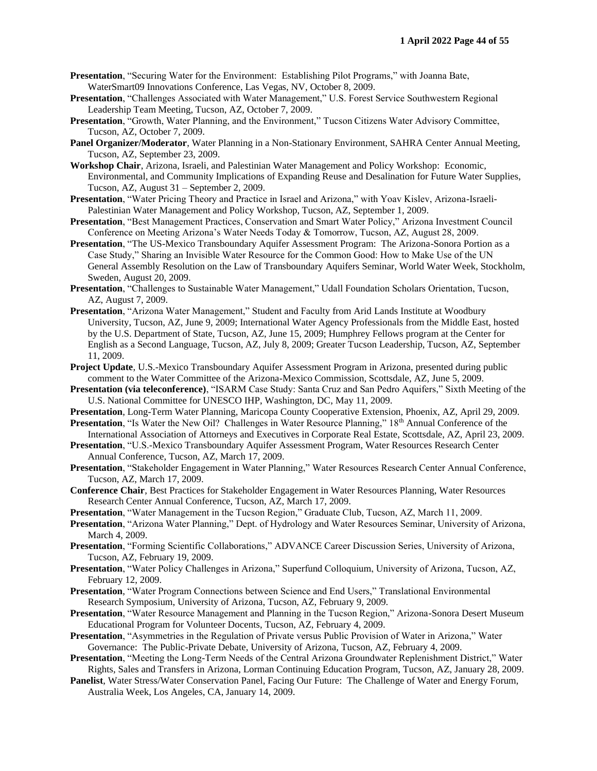- **Presentation**, "Securing Water for the Environment: Establishing Pilot Programs," with Joanna Bate, WaterSmart09 Innovations Conference, Las Vegas, NV, October 8, 2009.
- **Presentation**, "Challenges Associated with Water Management," U.S. Forest Service Southwestern Regional Leadership Team Meeting, Tucson, AZ, October 7, 2009.
- **Presentation**, "Growth, Water Planning, and the Environment," Tucson Citizens Water Advisory Committee, Tucson, AZ, October 7, 2009.
- **Panel Organizer/Moderator**, Water Planning in a Non-Stationary Environment, SAHRA Center Annual Meeting, Tucson, AZ, September 23, 2009.
- **Workshop Chair**, Arizona, Israeli, and Palestinian Water Management and Policy Workshop: Economic, Environmental, and Community Implications of Expanding Reuse and Desalination for Future Water Supplies, Tucson, AZ, August 31 – September 2, 2009.
- **Presentation**, "Water Pricing Theory and Practice in Israel and Arizona," with Yoav Kislev, Arizona-Israeli-Palestinian Water Management and Policy Workshop, Tucson, AZ, September 1, 2009.
- **Presentation**, "Best Management Practices, Conservation and Smart Water Policy," Arizona Investment Council Conference on Meeting Arizona's Water Needs Today & Tomorrow, Tucson, AZ, August 28, 2009.
- **Presentation**, "The US-Mexico Transboundary Aquifer Assessment Program: The Arizona-Sonora Portion as a Case Study," Sharing an Invisible Water Resource for the Common Good: How to Make Use of the UN General Assembly Resolution on the Law of Transboundary Aquifers Seminar, World Water Week, Stockholm, Sweden, August 20, 2009.
- **Presentation**, "Challenges to Sustainable Water Management," Udall Foundation Scholars Orientation, Tucson, AZ, August 7, 2009.
- **Presentation**, "Arizona Water Management," Student and Faculty from Arid Lands Institute at Woodbury University, Tucson, AZ, June 9, 2009; International Water Agency Professionals from the Middle East, hosted by the U.S. Department of State, Tucson, AZ, June 15, 2009; Humphrey Fellows program at the Center for English as a Second Language, Tucson, AZ, July 8, 2009; Greater Tucson Leadership, Tucson, AZ, September 11, 2009.
- **Project Update**, U.S.-Mexico Transboundary Aquifer Assessment Program in Arizona, presented during public comment to the Water Committee of the Arizona-Mexico Commission, Scottsdale, AZ, June 5, 2009.
- **Presentation (via teleconference)**, "ISARM Case Study: Santa Cruz and San Pedro Aquifers," Sixth Meeting of the U.S. National Committee for UNESCO IHP, Washington, DC, May 11, 2009.
- **Presentation**, Long-Term Water Planning, Maricopa County Cooperative Extension, Phoenix, AZ, April 29, 2009. **Presentation**, "Is Water the New Oil? Challenges in Water Resource Planning," 18<sup>th</sup> Annual Conference of the
- International Association of Attorneys and Executives in Corporate Real Estate, Scottsdale, AZ, April 23, 2009.
- **Presentation**, "U.S.-Mexico Transboundary Aquifer Assessment Program, Water Resources Research Center Annual Conference, Tucson, AZ, March 17, 2009.
- **Presentation**, "Stakeholder Engagement in Water Planning," Water Resources Research Center Annual Conference, Tucson, AZ, March 17, 2009.
- **Conference Chair**, Best Practices for Stakeholder Engagement in Water Resources Planning, Water Resources Research Center Annual Conference, Tucson, AZ, March 17, 2009.
- **Presentation**, "Water Management in the Tucson Region," Graduate Club, Tucson, AZ, March 11, 2009.
- **Presentation**, "Arizona Water Planning," Dept. of Hydrology and Water Resources Seminar, University of Arizona, March 4, 2009.
- **Presentation**, "Forming Scientific Collaborations," ADVANCE Career Discussion Series, University of Arizona, Tucson, AZ, February 19, 2009.
- **Presentation**, "Water Policy Challenges in Arizona," Superfund Colloquium, University of Arizona, Tucson, AZ, February 12, 2009.
- **Presentation**, "Water Program Connections between Science and End Users," Translational Environmental Research Symposium, University of Arizona, Tucson, AZ, February 9, 2009.
- **Presentation**, "Water Resource Management and Planning in the Tucson Region," Arizona-Sonora Desert Museum Educational Program for Volunteer Docents, Tucson, AZ, February 4, 2009.
- **Presentation**, "Asymmetries in the Regulation of Private versus Public Provision of Water in Arizona," Water Governance: The Public-Private Debate, University of Arizona, Tucson, AZ, February 4, 2009.
- **Presentation**, "Meeting the Long-Term Needs of the Central Arizona Groundwater Replenishment District," Water Rights, Sales and Transfers in Arizona, Lorman Continuing Education Program, Tucson, AZ, January 28, 2009.
- **Panelist**, Water Stress/Water Conservation Panel, Facing Our Future: The Challenge of Water and Energy Forum, Australia Week, Los Angeles, CA, January 14, 2009.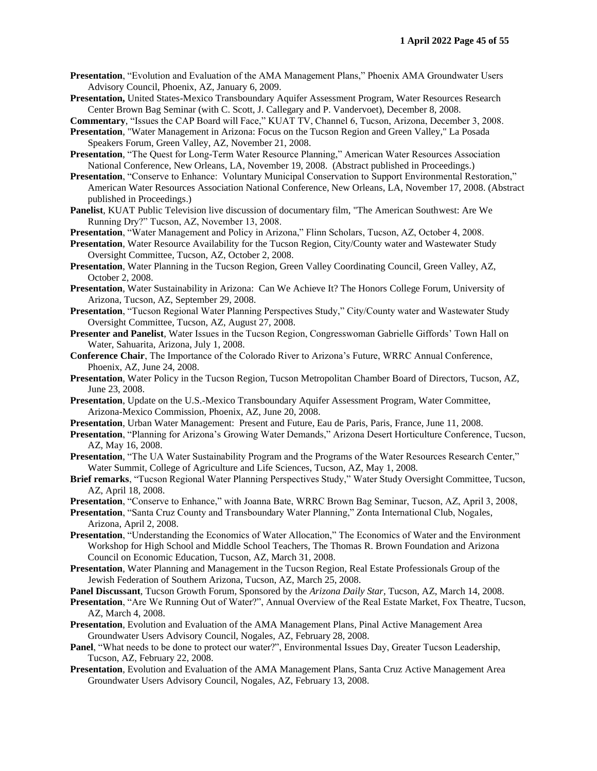- **Presentation**, "Evolution and Evaluation of the AMA Management Plans," Phoenix AMA Groundwater Users Advisory Council, Phoenix, AZ, January 6, 2009.
- **Presentation,** United States-Mexico Transboundary Aquifer Assessment Program, Water Resources Research Center Brown Bag Seminar (with C. Scott, J. Callegary and P. Vandervoet), December 8, 2008.

**Commentary**, "Issues the CAP Board will Face," KUAT TV, Channel 6, Tucson, Arizona, December 3, 2008.

- **Presentation**, "Water Management in Arizona: Focus on the Tucson Region and Green Valley," La Posada Speakers Forum, Green Valley, AZ, November 21, 2008.
- **Presentation**, "The Quest for Long-Term Water Resource Planning," American Water Resources Association National Conference, New Orleans, LA, November 19, 2008. (Abstract published in Proceedings.)
- **Presentation**, "Conserve to Enhance: Voluntary Municipal Conservation to Support Environmental Restoration," American Water Resources Association National Conference, New Orleans, LA, November 17, 2008. (Abstract published in Proceedings.)
- **Panelist**, KUAT Public Television live discussion of documentary film, "The American Southwest: Are We Running Dry?" Tucson, AZ, November 13, 2008.
- **Presentation**, "Water Management and Policy in Arizona," Flinn Scholars, Tucson, AZ, October 4, 2008.
- **Presentation**, Water Resource Availability for the Tucson Region, City/County water and Wastewater Study Oversight Committee, Tucson, AZ, October 2, 2008.
- **Presentation**, Water Planning in the Tucson Region, Green Valley Coordinating Council, Green Valley, AZ, October 2, 2008.
- **Presentation**, Water Sustainability in Arizona: Can We Achieve It? The Honors College Forum, University of Arizona, Tucson, AZ, September 29, 2008.
- **Presentation**, "Tucson Regional Water Planning Perspectives Study," City/County water and Wastewater Study Oversight Committee, Tucson, AZ, August 27, 2008.
- **Presenter and Panelist**, Water Issues in the Tucson Region, Congresswoman Gabrielle Giffords' Town Hall on Water, Sahuarita, Arizona, July 1, 2008.
- **Conference Chair**, The Importance of the Colorado River to Arizona's Future, WRRC Annual Conference, Phoenix, AZ, June 24, 2008.
- **Presentation**, Water Policy in the Tucson Region, Tucson Metropolitan Chamber Board of Directors, Tucson, AZ, June 23, 2008.
- **Presentation**, Update on the U.S.-Mexico Transboundary Aquifer Assessment Program, Water Committee, Arizona-Mexico Commission, Phoenix, AZ, June 20, 2008.
- **Presentation**, Urban Water Management: Present and Future, Eau de Paris, Paris, France, June 11, 2008.
- **Presentation**, "Planning for Arizona's Growing Water Demands," Arizona Desert Horticulture Conference, Tucson, AZ, May 16, 2008.
- **Presentation**, "The UA Water Sustainability Program and the Programs of the Water Resources Research Center," Water Summit, College of Agriculture and Life Sciences, Tucson, AZ, May 1, 2008.
- **Brief remarks**, "Tucson Regional Water Planning Perspectives Study," Water Study Oversight Committee, Tucson, AZ, April 18, 2008.
- **Presentation**, "Conserve to Enhance," with Joanna Bate, WRRC Brown Bag Seminar, Tucson, AZ, April 3, 2008,
- **Presentation**, "Santa Cruz County and Transboundary Water Planning," Zonta International Club, Nogales, Arizona, April 2, 2008.
- **Presentation**, "Understanding the Economics of Water Allocation," The Economics of Water and the Environment Workshop for High School and Middle School Teachers, The Thomas R. Brown Foundation and Arizona Council on Economic Education, Tucson, AZ, March 31, 2008.
- **Presentation**, Water Planning and Management in the Tucson Region, Real Estate Professionals Group of the Jewish Federation of Southern Arizona, Tucson, AZ, March 25, 2008.
- **Panel Discussant**, Tucson Growth Forum, Sponsored by the *Arizona Daily Star*, Tucson, AZ, March 14, 2008.
- **Presentation**, "Are We Running Out of Water?", Annual Overview of the Real Estate Market, Fox Theatre, Tucson, AZ, March 4, 2008.
- **Presentation**, Evolution and Evaluation of the AMA Management Plans, Pinal Active Management Area Groundwater Users Advisory Council, Nogales, AZ, February 28, 2008.
- **Panel**, "What needs to be done to protect our water?", Environmental Issues Day, Greater Tucson Leadership, Tucson, AZ, February 22, 2008.
- **Presentation**, Evolution and Evaluation of the AMA Management Plans, Santa Cruz Active Management Area Groundwater Users Advisory Council, Nogales, AZ, February 13, 2008.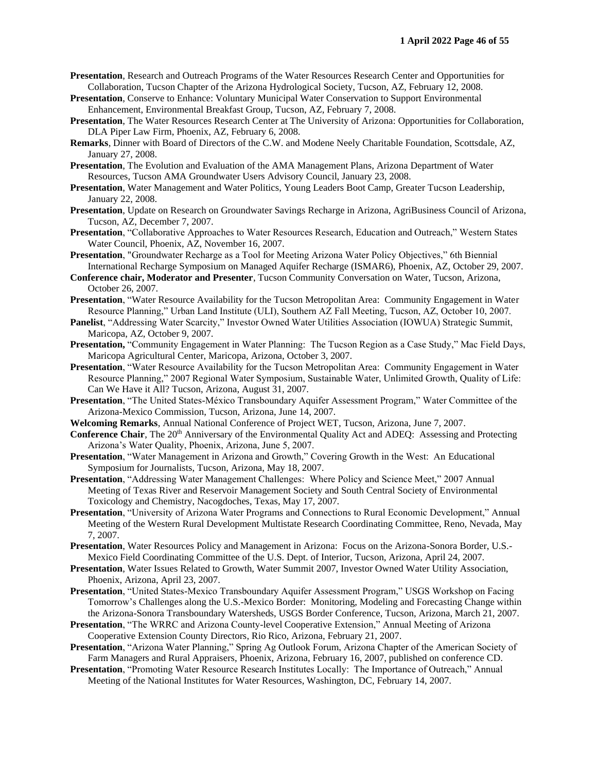- **Presentation**, Research and Outreach Programs of the Water Resources Research Center and Opportunities for Collaboration, Tucson Chapter of the Arizona Hydrological Society, Tucson, AZ, February 12, 2008.
- **Presentation**, Conserve to Enhance: Voluntary Municipal Water Conservation to Support Environmental Enhancement, Environmental Breakfast Group, Tucson, AZ, February 7, 2008.
- **Presentation**, The Water Resources Research Center at The University of Arizona: Opportunities for Collaboration, DLA Piper Law Firm, Phoenix, AZ, February 6, 2008.
- **Remarks**, Dinner with Board of Directors of the C.W. and Modene Neely Charitable Foundation, Scottsdale, AZ, January 27, 2008.
- **Presentation**, The Evolution and Evaluation of the AMA Management Plans, Arizona Department of Water Resources, Tucson AMA Groundwater Users Advisory Council, January 23, 2008.
- **Presentation**, Water Management and Water Politics, Young Leaders Boot Camp, Greater Tucson Leadership, January 22, 2008.
- **Presentation**, Update on Research on Groundwater Savings Recharge in Arizona, AgriBusiness Council of Arizona, Tucson, AZ, December 7, 2007.
- **Presentation**, "Collaborative Approaches to Water Resources Research, Education and Outreach," Western States Water Council, Phoenix, AZ, November 16, 2007.
- **Presentation**, "Groundwater Recharge as a Tool for Meeting Arizona Water Policy Objectives," 6th Biennial International Recharge Symposium on Managed Aquifer Recharge (ISMAR6), Phoenix, AZ, October 29, 2007.
- **Conference chair, Moderator and Presenter**, Tucson Community Conversation on Water, Tucson, Arizona, October 26, 2007.
- **Presentation**, "Water Resource Availability for the Tucson Metropolitan Area: Community Engagement in Water Resource Planning," Urban Land Institute (ULI), Southern AZ Fall Meeting, Tucson, AZ, October 10, 2007.
- **Panelist**, "Addressing Water Scarcity," Investor Owned Water Utilities Association (IOWUA) Strategic Summit, Maricopa, AZ, October 9, 2007.
- **Presentation,** "Community Engagement in Water Planning: The Tucson Region as a Case Study," Mac Field Days, Maricopa Agricultural Center, Maricopa, Arizona, October 3, 2007.
- **Presentation**, "Water Resource Availability for the Tucson Metropolitan Area: Community Engagement in Water Resource Planning," 2007 Regional Water Symposium, Sustainable Water, Unlimited Growth, Quality of Life: Can We Have it All? Tucson, Arizona, August 31, 2007.
- **Presentation**, "The United States-México Transboundary Aquifer Assessment Program," Water Committee of the Arizona-Mexico Commission, Tucson, Arizona, June 14, 2007.
- **Welcoming Remarks**, Annual National Conference of Project WET, Tucson, Arizona, June 7, 2007.
- **Conference Chair**, The 20<sup>th</sup> Anniversary of the Environmental Quality Act and ADEQ: Assessing and Protecting Arizona's Water Quality, Phoenix, Arizona, June 5, 2007.
- **Presentation**, "Water Management in Arizona and Growth," Covering Growth in the West: An Educational Symposium for Journalists, Tucson, Arizona, May 18, 2007.
- **Presentation**, "Addressing Water Management Challenges: Where Policy and Science Meet," 2007 Annual Meeting of Texas River and Reservoir Management Society and South Central Society of Environmental Toxicology and Chemistry, Nacogdoches, Texas, May 17, 2007.
- **Presentation**, "University of Arizona Water Programs and Connections to Rural Economic Development," Annual Meeting of the Western Rural Development Multistate Research Coordinating Committee, Reno, Nevada, May 7, 2007.
- **Presentation**, Water Resources Policy and Management in Arizona: Focus on the Arizona-Sonora Border, U.S.- Mexico Field Coordinating Committee of the U.S. Dept. of Interior, Tucson, Arizona, April 24, 2007.
- **Presentation**, Water Issues Related to Growth, Water Summit 2007, Investor Owned Water Utility Association, Phoenix, Arizona, April 23, 2007.
- **Presentation**, "United States-Mexico Transboundary Aquifer Assessment Program," USGS Workshop on Facing Tomorrow's Challenges along the U.S.-Mexico Border: Monitoring, Modeling and Forecasting Change within the Arizona-Sonora Transboundary Watersheds, USGS Border Conference, Tucson, Arizona, March 21, 2007.
- **Presentation**, "The WRRC and Arizona County-level Cooperative Extension," Annual Meeting of Arizona Cooperative Extension County Directors, Rio Rico, Arizona, February 21, 2007.
- **Presentation**, "Arizona Water Planning," Spring Ag Outlook Forum, Arizona Chapter of the American Society of Farm Managers and Rural Appraisers, Phoenix, Arizona, February 16, 2007, published on conference CD.
- **Presentation**, "Promoting Water Resource Research Institutes Locally: The Importance of Outreach," Annual Meeting of the National Institutes for Water Resources, Washington, DC, February 14, 2007.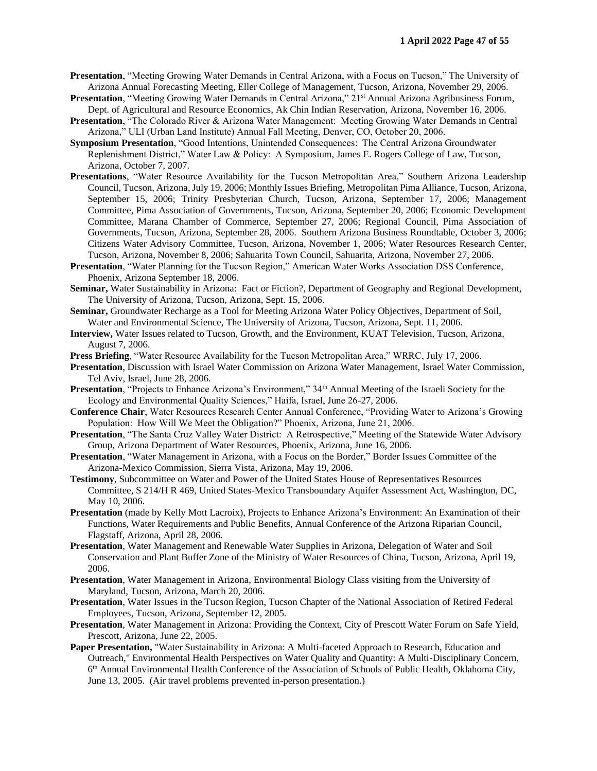- **Presentation**, "Meeting Growing Water Demands in Central Arizona, with a Focus on Tucson," The University of Arizona Annual Forecasting Meeting, Eller College of Management, Tucson, Arizona, November 29, 2006.
- **Presentation**, "Meeting Growing Water Demands in Central Arizona," 21st Annual Arizona Agribusiness Forum, Dept. of Agricultural and Resource Economics, Ak Chin Indian Reservation, Arizona, November 16, 2006.
- **Presentation**, "The Colorado River & Arizona Water Management: Meeting Growing Water Demands in Central Arizona," ULI (Urban Land Institute) Annual Fall Meeting, Denver, CO, October 20, 2006.
- **Symposium Presentation**, "Good Intentions, Unintended Consequences: The Central Arizona Groundwater Replenishment District," Water Law & Policy: A Symposium, James E. Rogers College of Law, Tucson, Arizona, October 7, 2007.
- **Presentations**, "Water Resource Availability for the Tucson Metropolitan Area," Southern Arizona Leadership Council, Tucson, Arizona, July 19, 2006; Monthly Issues Briefing, Metropolitan Pima Alliance, Tucson, Arizona, September 15, 2006; Trinity Presbyterian Church, Tucson, Arizona, September 17, 2006; Management Committee, Pima Association of Governments, Tucson, Arizona, September 20, 2006; Economic Development Committee, Marana Chamber of Commerce, September 27, 2006; Regional Council, Pima Association of Governments, Tucson, Arizona, September 28, 2006. Southern Arizona Business Roundtable, October 3, 2006; Citizens Water Advisory Committee, Tucson, Arizona, November 1, 2006; Water Resources Research Center, Tucson, Arizona, November 8, 2006; Sahuarita Town Council, Sahuarita, Arizona, November 27, 2006.
- **Presentation**, "Water Planning for the Tucson Region," American Water Works Association DSS Conference, Phoenix, Arizona September 18, 2006.
- **Seminar,** Water Sustainability in Arizona: Fact or Fiction?, Department of Geography and Regional Development, The University of Arizona, Tucson, Arizona, Sept. 15, 2006.
- **Seminar,** Groundwater Recharge as a Tool for Meeting Arizona Water Policy Objectives, Department of Soil, Water and Environmental Science, The University of Arizona, Tucson, Arizona, Sept. 11, 2006.
- **Interview,** Water Issues related to Tucson, Growth, and the Environment, KUAT Television, Tucson, Arizona, August 7, 2006.
- **Press Briefing**, "Water Resource Availability for the Tucson Metropolitan Area," WRRC, July 17, 2006.
- **Presentation**, Discussion with Israel Water Commission on Arizona Water Management, Israel Water Commission, Tel Aviv, Israel, June 28, 2006.
- **Presentation**, "Projects to Enhance Arizona's Environment," 34<sup>th</sup> Annual Meeting of the Israeli Society for the Ecology and Environmental Quality Sciences," Haifa, Israel, June 26-27, 2006.
- **Conference Chair**, Water Resources Research Center Annual Conference, "Providing Water to Arizona's Growing Population: How Will We Meet the Obligation?" Phoenix, Arizona, June 21, 2006.
- **Presentation**, "The Santa Cruz Valley Water District: A Retrospective," Meeting of the Statewide Water Advisory Group, Arizona Department of Water Resources, Phoenix, Arizona, June 16, 2006.
- **Presentation**, "Water Management in Arizona, with a Focus on the Border," Border Issues Committee of the Arizona-Mexico Commission, Sierra Vista, Arizona, May 19, 2006.
- **Testimony**, Subcommittee on Water and Power of the United States House of Representatives Resources Committee, S 214/H R 469, United States-Mexico Transboundary Aquifer Assessment Act, Washington, DC, May 10, 2006.
- **Presentation** (made by Kelly Mott Lacroix), Projects to Enhance Arizona's Environment: An Examination of their Functions, Water Requirements and Public Benefits, Annual Conference of the Arizona Riparian Council, Flagstaff, Arizona, April 28, 2006.
- **Presentation**, Water Management and Renewable Water Supplies in Arizona, Delegation of Water and Soil Conservation and Plant Buffer Zone of the Ministry of Water Resources of China, Tucson, Arizona, April 19, 2006.
- **Presentation**, Water Management in Arizona, Environmental Biology Class visiting from the University of Maryland, Tucson, Arizona, March 20, 2006.
- **Presentation**, Water Issues in the Tucson Region, Tucson Chapter of the National Association of Retired Federal Employees, Tucson, Arizona, September 12, 2005.
- **Presentation**, Water Management in Arizona: Providing the Context, City of Prescott Water Forum on Safe Yield, Prescott, Arizona, June 22, 2005.
- Paper Presentation, "Water Sustainability in Arizona: A Multi-faceted Approach to Research, Education and Outreach," Environmental Health Perspectives on Water Quality and Quantity: A Multi-Disciplinary Concern, 6<sup>th</sup> Annual Environmental Health Conference of the Association of Schools of Public Health, Oklahoma City, June 13, 2005. (Air travel problems prevented in-person presentation.)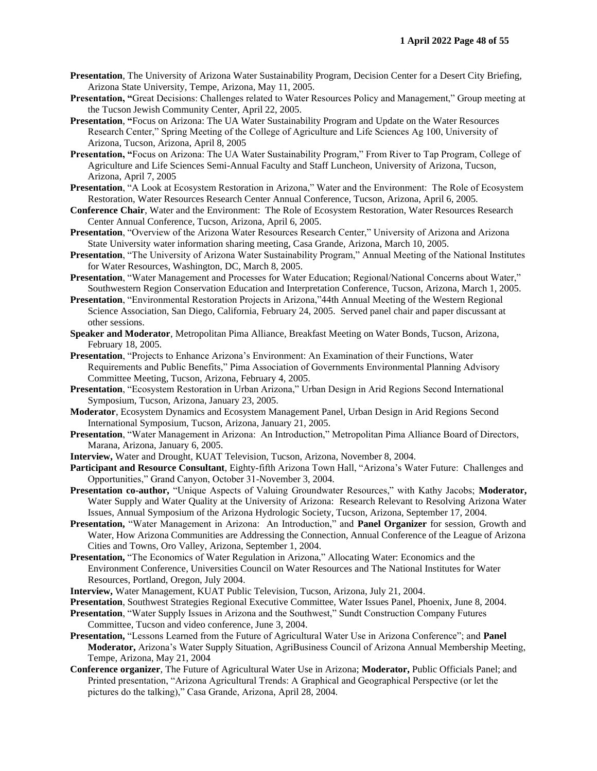- **Presentation**, The University of Arizona Water Sustainability Program, Decision Center for a Desert City Briefing, Arizona State University, Tempe, Arizona, May 11, 2005.
- **Presentation, "**Great Decisions: Challenges related to Water Resources Policy and Management," Group meeting at the Tucson Jewish Community Center, April 22, 2005.
- **Presentation**, **"**Focus on Arizona: The UA Water Sustainability Program and Update on the Water Resources Research Center," Spring Meeting of the College of Agriculture and Life Sciences Ag 100, University of Arizona, Tucson, Arizona, April 8, 2005
- **Presentation, "**Focus on Arizona: The UA Water Sustainability Program," From River to Tap Program, College of Agriculture and Life Sciences Semi-Annual Faculty and Staff Luncheon, University of Arizona, Tucson, Arizona, April 7, 2005
- **Presentation**, "A Look at Ecosystem Restoration in Arizona," Water and the Environment: The Role of Ecosystem Restoration, Water Resources Research Center Annual Conference, Tucson, Arizona, April 6, 2005.
- **Conference Chair**, Water and the Environment: The Role of Ecosystem Restoration, Water Resources Research Center Annual Conference, Tucson, Arizona, April 6, 2005.
- **Presentation**, "Overview of the Arizona Water Resources Research Center," University of Arizona and Arizona State University water information sharing meeting, Casa Grande, Arizona, March 10, 2005.
- **Presentation**, "The University of Arizona Water Sustainability Program," Annual Meeting of the National Institutes for Water Resources, Washington, DC, March 8, 2005.
- **Presentation**, "Water Management and Processes for Water Education; Regional/National Concerns about Water," Southwestern Region Conservation Education and Interpretation Conference, Tucson, Arizona, March 1, 2005.
- **Presentation**, "Environmental Restoration Projects in Arizona,"44th Annual Meeting of the Western Regional Science Association, San Diego, California, February 24, 2005. Served panel chair and paper discussant at other sessions.
- **Speaker and Moderator**, Metropolitan Pima Alliance, Breakfast Meeting on Water Bonds, Tucson, Arizona, February 18, 2005.
- **Presentation**, "Projects to Enhance Arizona's Environment: An Examination of their Functions, Water Requirements and Public Benefits," Pima Association of Governments Environmental Planning Advisory Committee Meeting, Tucson, Arizona, February 4, 2005.
- **Presentation**, "Ecosystem Restoration in Urban Arizona," Urban Design in Arid Regions Second International Symposium, Tucson, Arizona, January 23, 2005.
- **Moderator**, Ecosystem Dynamics and Ecosystem Management Panel, Urban Design in Arid Regions Second International Symposium, Tucson, Arizona, January 21, 2005.
- **Presentation**, "Water Management in Arizona: An Introduction," Metropolitan Pima Alliance Board of Directors, Marana, Arizona, January 6, 2005.
- **Interview,** Water and Drought, KUAT Television, Tucson, Arizona, November 8, 2004.
- **Participant and Resource Consultant**, Eighty-fifth Arizona Town Hall, "Arizona's Water Future: Challenges and Opportunities," Grand Canyon, October 31-November 3, 2004.
- **Presentation co-author,** "Unique Aspects of Valuing Groundwater Resources," with Kathy Jacobs; **Moderator,** Water Supply and Water Quality at the University of Arizona: Research Relevant to Resolving Arizona Water Issues, Annual Symposium of the Arizona Hydrologic Society, Tucson, Arizona, September 17, 2004.
- **Presentation,** "Water Management in Arizona: An Introduction," and **Panel Organizer** for session, Growth and Water, How Arizona Communities are Addressing the Connection, Annual Conference of the League of Arizona Cities and Towns, Oro Valley, Arizona, September 1, 2004.
- **Presentation,** "The Economics of Water Regulation in Arizona," Allocating Water: Economics and the Environment Conference, Universities Council on Water Resources and The National Institutes for Water Resources, Portland, Oregon, July 2004.
- **Interview,** Water Management, KUAT Public Television, Tucson, Arizona, July 21, 2004.
- **Presentation**, Southwest Strategies Regional Executive Committee, Water Issues Panel, Phoenix, June 8, 2004.
- **Presentation**, "Water Supply Issues in Arizona and the Southwest," Sundt Construction Company Futures Committee, Tucson and video conference, June 3, 2004.
- **Presentation,** "Lessons Learned from the Future of Agricultural Water Use in Arizona Conference"; and **Panel Moderator,** Arizona's Water Supply Situation, AgriBusiness Council of Arizona Annual Membership Meeting, Tempe, Arizona, May 21, 2004
- **Conference organizer**, The Future of Agricultural Water Use in Arizona; **Moderator,** Public Officials Panel; and Printed presentation, "Arizona Agricultural Trends: A Graphical and Geographical Perspective (or let the pictures do the talking)," Casa Grande, Arizona, April 28, 2004.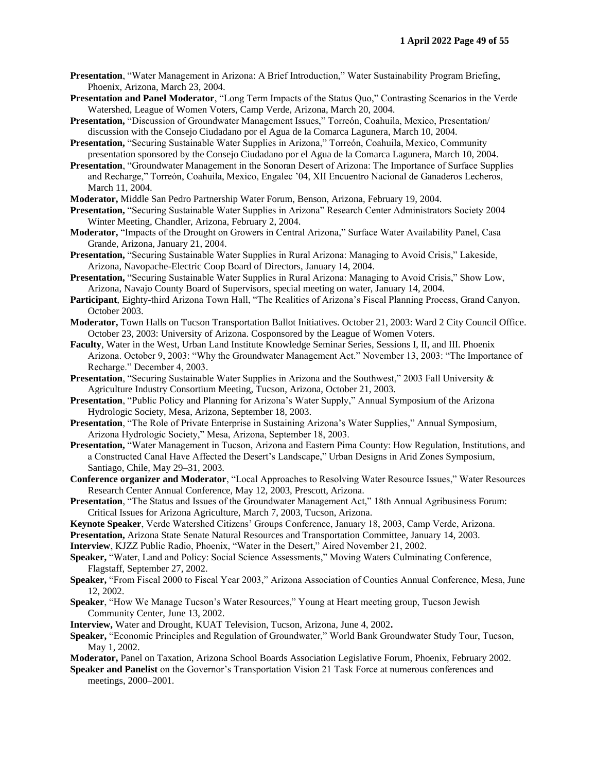- **Presentation**, "Water Management in Arizona: A Brief Introduction," Water Sustainability Program Briefing, Phoenix, Arizona, March 23, 2004.
- **Presentation and Panel Moderator**, "Long Term Impacts of the Status Quo," Contrasting Scenarios in the Verde Watershed, League of Women Voters, Camp Verde, Arizona, March 20, 2004.
- **Presentation,** "Discussion of Groundwater Management Issues," Torreón, Coahuila, Mexico, Presentation/ discussion with the Consejo Ciudadano por el Agua de la Comarca Lagunera, March 10, 2004.
- **Presentation,** "Securing Sustainable Water Supplies in Arizona," Torreón, Coahuila, Mexico, Community presentation sponsored by the Consejo Ciudadano por el Agua de la Comarca Lagunera, March 10, 2004.
- **Presentation**, "Groundwater Management in the Sonoran Desert of Arizona: The Importance of Surface Supplies and Recharge," Torreón, Coahuila, Mexico, Engalec '04, XII Encuentro Nacional de Ganaderos Lecheros, March 11, 2004.
- **Moderator,** Middle San Pedro Partnership Water Forum, Benson, Arizona, February 19, 2004.
- **Presentation,** "Securing Sustainable Water Supplies in Arizona" Research Center Administrators Society 2004 Winter Meeting, Chandler, Arizona, February 2, 2004.
- **Moderator,** "Impacts of the Drought on Growers in Central Arizona," Surface Water Availability Panel, Casa Grande, Arizona, January 21, 2004.
- **Presentation,** "Securing Sustainable Water Supplies in Rural Arizona: Managing to Avoid Crisis," Lakeside, Arizona, Navopache-Electric Coop Board of Directors, January 14, 2004.
- **Presentation,** "Securing Sustainable Water Supplies in Rural Arizona: Managing to Avoid Crisis," Show Low, Arizona, Navajo County Board of Supervisors, special meeting on water, January 14, 2004.
- **Participant**, Eighty-third Arizona Town Hall, "The Realities of Arizona's Fiscal Planning Process, Grand Canyon, October 2003.
- **Moderator,** Town Halls on Tucson Transportation Ballot Initiatives. October 21, 2003: Ward 2 City Council Office. October 23, 2003: University of Arizona. Cosponsored by the League of Women Voters.
- **Faculty**, Water in the West, Urban Land Institute Knowledge Seminar Series, Sessions I, II, and III. Phoenix Arizona. October 9, 2003: "Why the Groundwater Management Act." November 13, 2003: "The Importance of Recharge." December 4, 2003.
- **Presentation**, "Securing Sustainable Water Supplies in Arizona and the Southwest," 2003 Fall University & Agriculture Industry Consortium Meeting, Tucson, Arizona, October 21, 2003.
- **Presentation**, "Public Policy and Planning for Arizona's Water Supply," Annual Symposium of the Arizona Hydrologic Society, Mesa, Arizona, September 18, 2003.
- **Presentation**, "The Role of Private Enterprise in Sustaining Arizona's Water Supplies," Annual Symposium, Arizona Hydrologic Society," Mesa, Arizona, September 18, 2003.
- **Presentation,** "Water Management in Tucson, Arizona and Eastern Pima County: How Regulation, Institutions, and a Constructed Canal Have Affected the Desert's Landscape," Urban Designs in Arid Zones Symposium, Santiago, Chile, May 29–31, 2003.
- **Conference organizer and Moderator**, "Local Approaches to Resolving Water Resource Issues," Water Resources Research Center Annual Conference, May 12, 2003, Prescott, Arizona.
- **Presentation**, "The Status and Issues of the Groundwater Management Act," 18th Annual Agribusiness Forum: Critical Issues for Arizona Agriculture, March 7, 2003, Tucson, Arizona.
- **Keynote Speaker**, Verde Watershed Citizens' Groups Conference, January 18, 2003, Camp Verde, Arizona.
- **Presentation,** Arizona State Senate Natural Resources and Transportation Committee, January 14, 2003.
- **Interview**, KJZZ Public Radio, Phoenix, "Water in the Desert," Aired November 21, 2002.
- **Speaker,** "Water, Land and Policy: Social Science Assessments," Moving Waters Culminating Conference, Flagstaff, September 27, 2002.
- **Speaker,** "From Fiscal 2000 to Fiscal Year 2003," Arizona Association of Counties Annual Conference, Mesa, June 12, 2002.
- **Speaker**, "How We Manage Tucson's Water Resources," Young at Heart meeting group, Tucson Jewish Community Center, June 13, 2002.
- **Interview,** Water and Drought, KUAT Television, Tucson, Arizona, June 4, 2002**.**
- **Speaker,** "Economic Principles and Regulation of Groundwater," World Bank Groundwater Study Tour, Tucson, May 1, 2002.
- **Moderator,** Panel on Taxation, Arizona School Boards Association Legislative Forum, Phoenix, February 2002.
- **Speaker and Panelist** on the Governor's Transportation Vision 21 Task Force at numerous conferences and meetings, 2000–2001.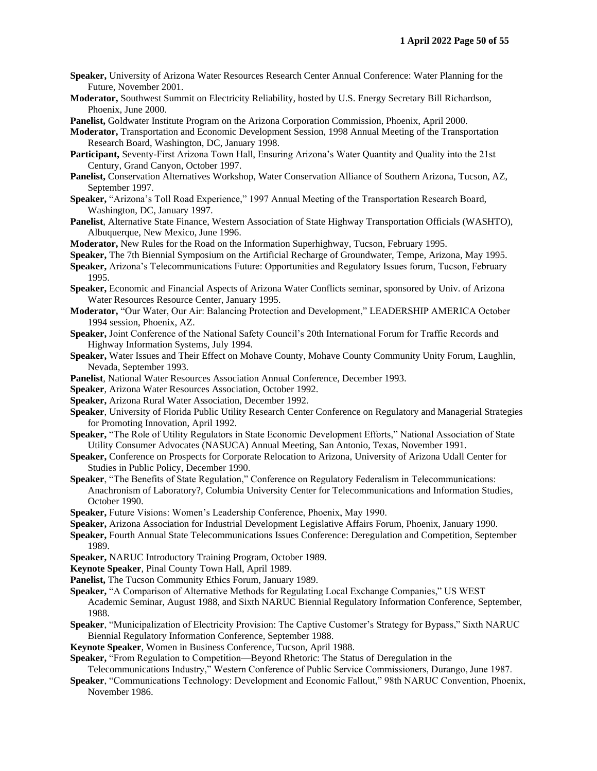- **Speaker,** University of Arizona Water Resources Research Center Annual Conference: Water Planning for the Future, November 2001.
- **Moderator,** Southwest Summit on Electricity Reliability, hosted by U.S. Energy Secretary Bill Richardson, Phoenix, June 2000.
- **Panelist,** Goldwater Institute Program on the Arizona Corporation Commission, Phoenix, April 2000.
- **Moderator,** Transportation and Economic Development Session, 1998 Annual Meeting of the Transportation Research Board, Washington, DC, January 1998.
- **Participant,** Seventy-First Arizona Town Hall, Ensuring Arizona's Water Quantity and Quality into the 21st Century, Grand Canyon, October 1997.
- **Panelist,** Conservation Alternatives Workshop, Water Conservation Alliance of Southern Arizona, Tucson, AZ, September 1997.
- **Speaker,** "Arizona's Toll Road Experience," 1997 Annual Meeting of the Transportation Research Board, Washington, DC, January 1997.
- **Panelist**, Alternative State Finance, Western Association of State Highway Transportation Officials (WASHTO), Albuquerque, New Mexico, June 1996.
- **Moderator,** New Rules for the Road on the Information Superhighway, Tucson, February 1995.
- **Speaker,** The 7th Biennial Symposium on the Artificial Recharge of Groundwater, Tempe, Arizona, May 1995.
- **Speaker,** Arizona's Telecommunications Future: Opportunities and Regulatory Issues forum, Tucson, February 1995.
- **Speaker,** Economic and Financial Aspects of Arizona Water Conflicts seminar, sponsored by Univ. of Arizona Water Resources Resource Center, January 1995.
- **Moderator,** "Our Water, Our Air: Balancing Protection and Development," LEADERSHIP AMERICA October 1994 session, Phoenix, AZ.
- **Speaker,** Joint Conference of the National Safety Council's 20th International Forum for Traffic Records and Highway Information Systems, July 1994.
- **Speaker,** Water Issues and Their Effect on Mohave County, Mohave County Community Unity Forum, Laughlin, Nevada, September 1993.
- **Panelist**, National Water Resources Association Annual Conference, December 1993.
- **Speaker**, Arizona Water Resources Association, October 1992.
- **Speaker,** Arizona Rural Water Association, December 1992.
- **Speaker**, University of Florida Public Utility Research Center Conference on Regulatory and Managerial Strategies for Promoting Innovation, April 1992.
- **Speaker,** "The Role of Utility Regulators in State Economic Development Efforts," National Association of State Utility Consumer Advocates (NASUCA) Annual Meeting, San Antonio, Texas, November 1991.
- **Speaker,** Conference on Prospects for Corporate Relocation to Arizona, University of Arizona Udall Center for Studies in Public Policy, December 1990.
- **Speaker**, "The Benefits of State Regulation," Conference on Regulatory Federalism in Telecommunications: Anachronism of Laboratory?, Columbia University Center for Telecommunications and Information Studies, October 1990.
- **Speaker,** Future Visions: Women's Leadership Conference, Phoenix, May 1990.
- **Speaker,** Arizona Association for Industrial Development Legislative Affairs Forum, Phoenix, January 1990.
- **Speaker,** Fourth Annual State Telecommunications Issues Conference: Deregulation and Competition, September 1989.
- **Speaker,** NARUC Introductory Training Program, October 1989.
- **Keynote Speaker**, Pinal County Town Hall, April 1989.

**Panelist,** The Tucson Community Ethics Forum, January 1989.

- **Speaker,** "A Comparison of Alternative Methods for Regulating Local Exchange Companies," US WEST Academic Seminar, August 1988, and Sixth NARUC Biennial Regulatory Information Conference, September, 1988.
- **Speaker**, "Municipalization of Electricity Provision: The Captive Customer's Strategy for Bypass," Sixth NARUC Biennial Regulatory Information Conference, September 1988.
- **Keynote Speaker**, Women in Business Conference, Tucson, April 1988.
- **Speaker,** "From Regulation to Competition—Beyond Rhetoric: The Status of Deregulation in the
- Telecommunications Industry," Western Conference of Public Service Commissioners, Durango, June 1987.
- **Speaker**, "Communications Technology: Development and Economic Fallout," 98th NARUC Convention, Phoenix, November 1986.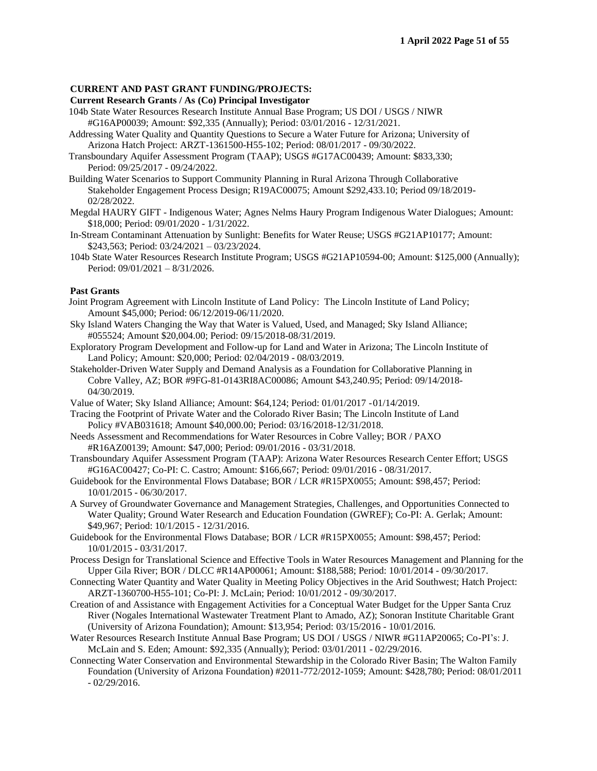#### **CURRENT AND PAST GRANT FUNDING/PROJECTS:**

#### **Current Research Grants / As (Co) Principal Investigator**

- 104b State Water Resources Research Institute Annual Base Program; US DOI / USGS / NIWR #G16AP00039; Amount: \$92,335 (Annually); Period: 03/01/2016 - 12/31/2021.
- Addressing Water Quality and Quantity Questions to Secure a Water Future for Arizona; University of Arizona Hatch Project: ARZT-1361500-H55-102; Period: 08/01/2017 - 09/30/2022.
- Transboundary Aquifer Assessment Program (TAAP); USGS #G17AC00439; Amount: \$833,330; Period: 09/25/2017 - 09/24/2022.
- Building Water Scenarios to Support Community Planning in Rural Arizona Through Collaborative Stakeholder Engagement Process Design; R19AC00075; Amount \$292,433.10; Period 09/18/2019- 02/28/2022.
- Megdal HAURY GIFT Indigenous Water; Agnes Nelms Haury Program Indigenous Water Dialogues; Amount: \$18,000; Period: 09/01/2020 - 1/31/2022.
- In-Stream Contaminant Attenuation by Sunlight: Benefits for Water Reuse; USGS #G21AP10177; Amount: \$243,563; Period: 03/24/2021 – 03/23/2024.
- 104b State Water Resources Research Institute Program; USGS #G21AP10594-00; Amount: \$125,000 (Annually); Period: 09/01/2021 – 8/31/2026.

#### **Past Grants**

- Joint Program Agreement with Lincoln Institute of Land Policy: The Lincoln Institute of Land Policy; Amount \$45,000; Period: 06/12/2019-06/11/2020.
- Sky Island Waters Changing the Way that Water is Valued, Used, and Managed; Sky Island Alliance; #055524; Amount \$20,004.00; Period: 09/15/2018-08/31/2019.
- Exploratory Program Development and Follow-up for Land and Water in Arizona; The Lincoln Institute of Land Policy; Amount: \$20,000; Period: 02/04/2019 - 08/03/2019.
- Stakeholder-Driven Water Supply and Demand Analysis as a Foundation for Collaborative Planning in Cobre Valley, AZ; BOR #9FG-81-0143RI8AC00086; Amount \$43,240.95; Period: 09/14/2018- 04/30/2019.
- Value of Water; Sky Island Alliance; Amount: \$64,124; Period: 01/01/2017 -01/14/2019.
- Tracing the Footprint of Private Water and the Colorado River Basin; The Lincoln Institute of Land Policy #VAB031618; Amount \$40,000.00; Period: 03/16/2018-12/31/2018.
- Needs Assessment and Recommendations for Water Resources in Cobre Valley; BOR / PAXO #R16AZ00139; Amount: \$47,000; Period: 09/01/2016 - 03/31/2018.
- Transboundary Aquifer Assessment Program (TAAP): Arizona Water Resources Research Center Effort; USGS #G16AC00427; Co-PI: C. Castro; Amount: \$166,667; Period: 09/01/2016 - 08/31/2017.
- Guidebook for the Environmental Flows Database; BOR / LCR #R15PX0055; Amount: \$98,457; Period: 10/01/2015 - 06/30/2017.
- A Survey of Groundwater Governance and Management Strategies, Challenges, and Opportunities Connected to Water Quality; Ground Water Research and Education Foundation (GWREF); Co-PI: A. Gerlak; Amount: \$49,967; Period: 10/1/2015 - 12/31/2016.
- Guidebook for the Environmental Flows Database; BOR / LCR #R15PX0055; Amount: \$98,457; Period: 10/01/2015 - 03/31/2017.
- Process Design for Translational Science and Effective Tools in Water Resources Management and Planning for the Upper Gila River; BOR / DLCC #R14AP00061; Amount: \$188,588; Period: 10/01/2014 - 09/30/2017.
- Connecting Water Quantity and Water Quality in Meeting Policy Objectives in the Arid Southwest; Hatch Project: ARZT-1360700-H55-101; Co-PI: J. McLain; Period: 10/01/2012 - 09/30/2017.
- Creation of and Assistance with Engagement Activities for a Conceptual Water Budget for the Upper Santa Cruz River (Nogales International Wastewater Treatment Plant to Amado, AZ); Sonoran Institute Charitable Grant (University of Arizona Foundation); Amount: \$13,954; Period: 03/15/2016 - 10/01/2016.
- Water Resources Research Institute Annual Base Program; US DOI / USGS / NIWR #G11AP20065; Co-PI's: J. McLain and S. Eden; Amount: \$92,335 (Annually); Period: 03/01/2011 - 02/29/2016.
- Connecting Water Conservation and Environmental Stewardship in the Colorado River Basin; The Walton Family Foundation (University of Arizona Foundation) #2011-772/2012-1059; Amount: \$428,780; Period: 08/01/2011 - 02/29/2016.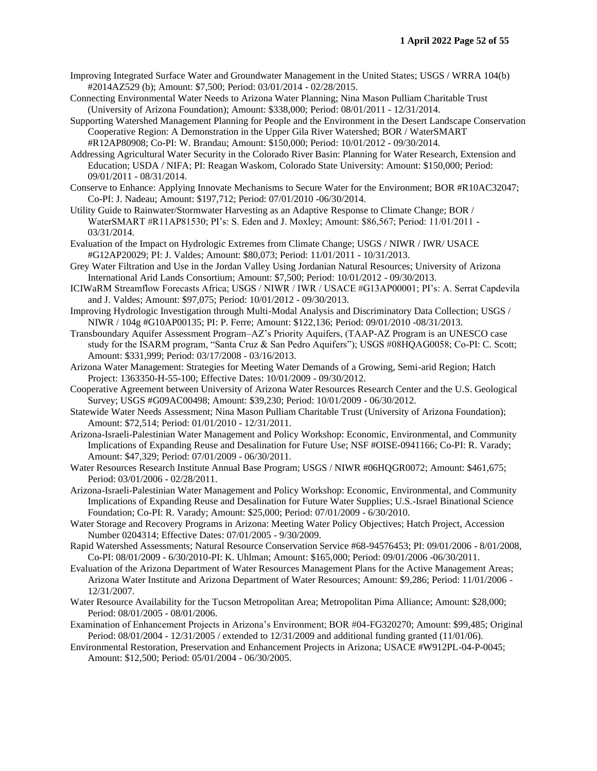- Improving Integrated Surface Water and Groundwater Management in the United States; USGS / WRRA 104(b) #2014AZ529 (b); Amount: \$7,500; Period: 03/01/2014 - 02/28/2015.
- Connecting Environmental Water Needs to Arizona Water Planning; Nina Mason Pulliam Charitable Trust (University of Arizona Foundation); Amount: \$338,000; Period: 08/01/2011 - 12/31/2014.
- Supporting Watershed Management Planning for People and the Environment in the Desert Landscape Conservation Cooperative Region: A Demonstration in the Upper Gila River Watershed; BOR / WaterSMART #R12AP80908; Co-PI: W. Brandau; Amount: \$150,000; Period: 10/01/2012 - 09/30/2014.
- Addressing Agricultural Water Security in the Colorado River Basin: Planning for Water Research, Extension and Education; USDA / NIFA; PI: Reagan Waskom, Colorado State University: Amount: \$150,000; Period: 09/01/2011 - 08/31/2014.
- Conserve to Enhance: Applying Innovate Mechanisms to Secure Water for the Environment; BOR #R10AC32047; Co-PI: J. Nadeau; Amount: \$197,712; Period: 07/01/2010 -06/30/2014.
- Utility Guide to Rainwater/Stormwater Harvesting as an Adaptive Response to Climate Change; BOR / WaterSMART #R11AP81530; PI's: S. Eden and J. Moxley; Amount: \$86,567; Period: 11/01/2011 - 03/31/2014.
- Evaluation of the Impact on Hydrologic Extremes from Climate Change; USGS / NIWR / IWR/ USACE #G12AP20029; PI: J. Valdes; Amount: \$80,073; Period: 11/01/2011 - 10/31/2013.
- Grey Water Filtration and Use in the Jordan Valley Using Jordanian Natural Resources; University of Arizona International Arid Lands Consortium; Amount: \$7,500; Period: 10/01/2012 - 09/30/2013.
- ICIWaRM Streamflow Forecasts Africa; USGS / NIWR / IWR / USACE #G13AP00001; PI's: A. Serrat Capdevila and J. Valdes; Amount: \$97,075; Period: 10/01/2012 - 09/30/2013.
- Improving Hydrologic Investigation through Multi-Modal Analysis and Discriminatory Data Collection; USGS / NIWR / 104g #G10AP00135; PI: P. Ferre; Amount: \$122,136; Period: 09/01/2010 -08/31/2013.
- Transboundary Aquifer Assessment Program–AZ's Priority Aquifers, (TAAP-AZ Program is an UNESCO case study for the ISARM program, "Santa Cruz & San Pedro Aquifers"); USGS #08HQAG0058; Co-PI: C. Scott; Amount: \$331,999; Period: 03/17/2008 - 03/16/2013.
- Arizona Water Management: Strategies for Meeting Water Demands of a Growing, Semi-arid Region; Hatch Project: 1363350-H-55-100; Effective Dates: 10/01/2009 - 09/30/2012.
- Cooperative Agreement between University of Arizona Water Resources Research Center and the U.S. Geological Survey; USGS #G09AC00498; Amount: \$39,230; Period: 10/01/2009 - 06/30/2012.
- Statewide Water Needs Assessment; Nina Mason Pulliam Charitable Trust (University of Arizona Foundation); Amount: \$72,514; Period: 01/01/2010 - 12/31/2011.
- Arizona-Israeli-Palestinian Water Management and Policy Workshop: Economic, Environmental, and Community Implications of Expanding Reuse and Desalination for Future Use; NSF #OISE-0941166; Co-PI: R. Varady; Amount: \$47,329; Period: 07/01/2009 - 06/30/2011.
- Water Resources Research Institute Annual Base Program; USGS / NIWR #06HQGR0072; Amount: \$461,675; Period: 03/01/2006 - 02/28/2011.
- Arizona-Israeli-Palestinian Water Management and Policy Workshop: Economic, Environmental, and Community Implications of Expanding Reuse and Desalination for Future Water Supplies; U.S.-Israel Binational Science Foundation; Co-PI: R. Varady; Amount: \$25,000; Period: 07/01/2009 - 6/30/2010.
- Water Storage and Recovery Programs in Arizona: Meeting Water Policy Objectives; Hatch Project, Accession Number 0204314; Effective Dates: 07/01/2005 - 9/30/2009.
- Rapid Watershed Assessments; Natural Resource Conservation Service #68-94576453; PI: 09/01/2006 8/01/2008, Co-PI: 08/01/2009 - 6/30/2010-PI: K. Uhlman; Amount: \$165,000; Period: 09/01/2006 -06/30/2011.
- Evaluation of the Arizona Department of Water Resources Management Plans for the Active Management Areas; Arizona Water Institute and Arizona Department of Water Resources; Amount: \$9,286; Period: 11/01/2006 - 12/31/2007.
- Water Resource Availability for the Tucson Metropolitan Area; Metropolitan Pima Alliance; Amount: \$28,000; Period: 08/01/2005 - 08/01/2006.
- Examination of Enhancement Projects in Arizona's Environment; BOR #04-FG320270; Amount: \$99,485; Original Period: 08/01/2004 - 12/31/2005 / extended to 12/31/2009 and additional funding granted (11/01/06).
- Environmental Restoration, Preservation and Enhancement Projects in Arizona; USACE #W912PL-04-P-0045; Amount: \$12,500; Period: 05/01/2004 - 06/30/2005.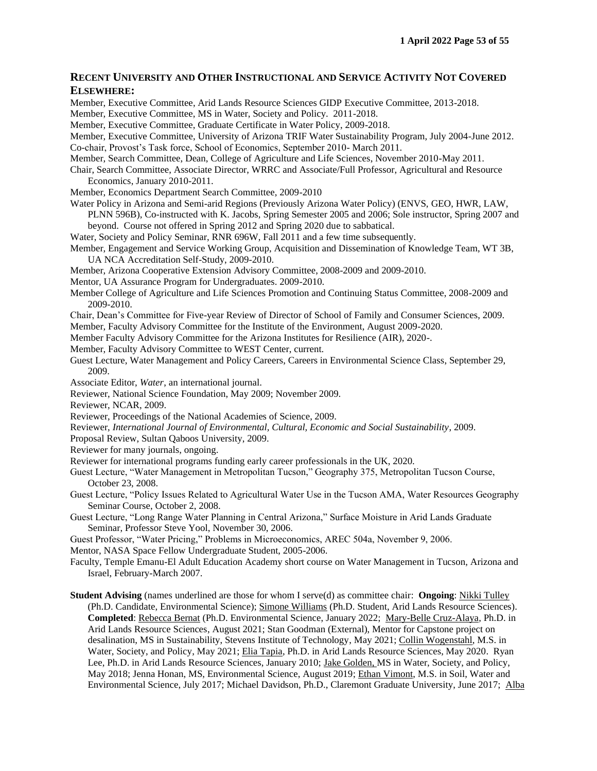# **RECENT UNIVERSITY AND OTHER INSTRUCTIONAL AND SERVICE ACTIVITY NOT COVERED ELSEWHERE:**

Member, Executive Committee, Arid Lands Resource Sciences GIDP Executive Committee, 2013-2018. Member, Executive Committee, MS in Water, Society and Policy. 2011-2018. Member, Executive Committee, Graduate Certificate in Water Policy, 2009-2018. Member, Executive Committee, University of Arizona TRIF Water Sustainability Program, July 2004-June 2012. Co-chair, Provost's Task force, School of Economics, September 2010- March 2011. Member, Search Committee, Dean, College of Agriculture and Life Sciences, November 2010-May 2011. Chair, Search Committee, Associate Director, WRRC and Associate/Full Professor, Agricultural and Resource Economics, January 2010-2011. Member, Economics Department Search Committee, 2009-2010 Water Policy in Arizona and Semi-arid Regions (Previously Arizona Water Policy) (ENVS, GEO, HWR, LAW, PLNN 596B), Co-instructed with K. Jacobs, Spring Semester 2005 and 2006; Sole instructor, Spring 2007 and beyond. Course not offered in Spring 2012 and Spring 2020 due to sabbatical. Water, Society and Policy Seminar, RNR 696W, Fall 2011 and a few time subsequently. Member, Engagement and Service Working Group, Acquisition and Dissemination of Knowledge Team, WT 3B, UA NCA Accreditation Self-Study, 2009-2010. Member, Arizona Cooperative Extension Advisory Committee, 2008-2009 and 2009-2010. Mentor, UA Assurance Program for Undergraduates. 2009-2010. Member College of Agriculture and Life Sciences Promotion and Continuing Status Committee, 2008-2009 and 2009-2010. Chair, Dean's Committee for Five-year Review of Director of School of Family and Consumer Sciences, 2009. Member, Faculty Advisory Committee for the Institute of the Environment, August 2009-2020. Member Faculty Advisory Committee for the Arizona Institutes for Resilience (AIR), 2020-. Member, Faculty Advisory Committee to WEST Center, current. Guest Lecture, Water Management and Policy Careers, Careers in Environmental Science Class, September 29, 2009. Associate Editor, *Water*, an international journal. Reviewer, National Science Foundation, May 2009; November 2009. Reviewer, NCAR, 2009. Reviewer, Proceedings of the National Academies of Science, 2009. Reviewer, *International Journal of Environmental, Cultural, Economic and Social Sustainability*, 2009. Proposal Review, Sultan Qaboos University, 2009. Reviewer for many journals, ongoing.

Reviewer for international programs funding early career professionals in the UK, 2020.

Guest Lecture, "Water Management in Metropolitan Tucson," Geography 375, Metropolitan Tucson Course, October 23, 2008.

Guest Lecture, "Policy Issues Related to Agricultural Water Use in the Tucson AMA, Water Resources Geography Seminar Course, October 2, 2008.

Guest Lecture, "Long Range Water Planning in Central Arizona," Surface Moisture in Arid Lands Graduate Seminar, Professor Steve Yool, November 30, 2006.

Guest Professor, "Water Pricing," Problems in Microeconomics, AREC 504a, November 9, 2006.

Mentor, NASA Space Fellow Undergraduate Student, 2005-2006.

Faculty, Temple Emanu-El Adult Education Academy short course on Water Management in Tucson, Arizona and Israel, February-March 2007.

**Student Advising** (names underlined are those for whom I serve(d) as committee chair: **Ongoing**: Nikki Tulley (Ph.D. Candidate, Environmental Science); Simone Williams (Ph.D. Student, Arid Lands Resource Sciences). **Completed**: Rebecca Bernat (Ph.D. Environmental Science, January 2022; Mary-Belle Cruz-Alaya, Ph.D. in Arid Lands Resource Sciences, August 2021; Stan Goodman (External), Mentor for Capstone project on desalination, MS in Sustainability, Stevens Institute of Technology, May 2021; Collin Wogenstahl, M.S. in Water, Society, and Policy, May 2021; Elia Tapia, Ph.D. in Arid Lands Resource Sciences, May 2020. Ryan Lee, Ph.D. in Arid Lands Resource Sciences, January 2010; Jake Golden, MS in Water, Society, and Policy, May 2018; Jenna Honan, MS, Environmental Science, August 2019; Ethan Vimont, M.S. in Soil, Water and Environmental Science, July 2017; Michael Davidson, Ph.D., Claremont Graduate University, June 2017; Alba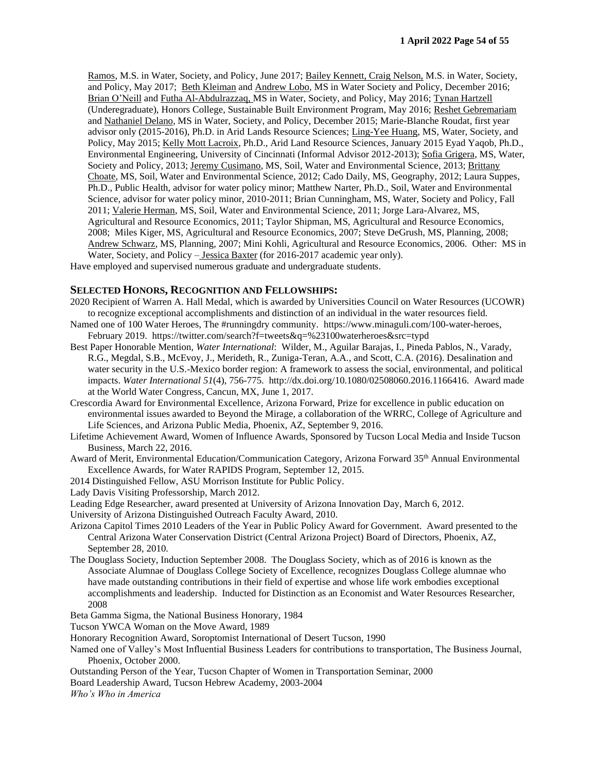Ramos, M.S. in Water, Society, and Policy, June 2017; Bailey Kennett, Craig Nelson, M.S. in Water, Society, and Policy, May 2017; Beth Kleiman and Andrew Lobo, MS in Water Society and Policy, December 2016; Brian O'Neill and Futha Al-Abdulrazzaq, MS in Water, Society, and Policy, May 2016; Tynan Hartzell (Underegraduate), Honors College, Sustainable Built Environment Program, May 2016; Reshet Gebremariam and Nathaniel Delano, MS in Water, Society, and Policy, December 2015; Marie-Blanche Roudat, first year advisor only (2015-2016), Ph.D. in Arid Lands Resource Sciences; Ling-Yee Huang, MS, Water, Society, and Policy, May 2015; Kelly Mott Lacroix, Ph.D., Arid Land Resource Sciences, January 2015 Eyad Yaqob, Ph.D., Environmental Engineering, University of Cincinnati (Informal Advisor 2012-2013); Sofia Grigera, MS, Water, Society and Policy, 2013; Jeremy Cusimano, MS, Soil, Water and Environmental Science, 2013; Brittany Choate, MS, Soil, Water and Environmental Science, 2012; Cado Daily, MS, Geography, 2012; Laura Suppes, Ph.D., Public Health, advisor for water policy minor; Matthew Narter, Ph.D., Soil, Water and Environmental Science, advisor for water policy minor, 2010-2011; Brian Cunningham, MS, Water, Society and Policy, Fall 2011; Valerie Herman, MS, Soil, Water and Environmental Science, 2011; Jorge Lara-Alvarez, MS, Agricultural and Resource Economics, 2011; Taylor Shipman, MS, Agricultural and Resource Economics, 2008; Miles Kiger, MS, Agricultural and Resource Economics, 2007; Steve DeGrush, MS, Planning, 2008; Andrew Schwarz, MS, Planning, 2007; Mini Kohli, Agricultural and Resource Economics, 2006. Other: MS in Water, Society, and Policy – Jessica Baxter (for 2016-2017 academic year only).

Have employed and supervised numerous graduate and undergraduate students.

#### **SELECTED HONORS, RECOGNITION AND FELLOWSHIPS:**

- 2020 Recipient of Warren A. Hall Medal, which is awarded by Universities Council on Water Resources (UCOWR) to recognize exceptional accomplishments and distinction of an individual in the water resources field.
- Named one of 100 Water Heroes, The #runningdry community. https://www.minaguli.com/100-water-heroes, February 2019. https://twitter.com/search?f=tweets&q=%23100waterheroes&src=typd
- Best Paper Honorable Mention, *Water International*: Wilder, M., Aguilar Barajas, I., Pineda Pablos, N., Varady, R.G., Megdal, S.B., McEvoy, J., Merideth, R., Zuniga-Teran, A.A., and Scott, C.A. (2016). Desalination and water security in the U.S.-Mexico border region: A framework to assess the social, environmental, and political impacts. *Water International 51*(4), 756-775. http://dx.doi.org/10.1080/02508060.2016.1166416. Award made at the World Water Congress, Cancun, MX, June 1, 2017.
- Crescordia Award for Environmental Excellence, Arizona Forward, Prize for excellence in public education on environmental issues awarded to Beyond the Mirage, a collaboration of the WRRC, College of Agriculture and Life Sciences, and Arizona Public Media, Phoenix, AZ, September 9, 2016.
- Lifetime Achievement Award, Women of Influence Awards, Sponsored by Tucson Local Media and Inside Tucson Business, March 22, 2016.
- Award of Merit, Environmental Education/Communication Category, Arizona Forward 35<sup>th</sup> Annual Environmental Excellence Awards, for Water RAPIDS Program, September 12, 2015.
- 2014 Distinguished Fellow, ASU Morrison Institute for Public Policy.

Lady Davis Visiting Professorship, March 2012.

- Leading Edge Researcher, award presented at University of Arizona Innovation Day, March 6, 2012.
- University of Arizona Distinguished Outreach Faculty Award, 2010.
- Arizona Capitol Times 2010 Leaders of the Year in Public Policy Award for Government. Award presented to the Central Arizona Water Conservation District (Central Arizona Project) Board of Directors, Phoenix, AZ, September 28, 2010.
- The Douglass Society, Induction September 2008. The Douglass Society, which as of 2016 is known as the Associate Alumnae of Douglass College Society of Excellence, recognizes Douglass College alumnae who have made outstanding contributions in their field of expertise and whose life work embodies exceptional accomplishments and leadership. Inducted for Distinction as an Economist and Water Resources Researcher, 2008
- Beta Gamma Sigma, the National Business Honorary, 1984
- Tucson YWCA Woman on the Move Award, 1989
- Honorary Recognition Award, Soroptomist International of Desert Tucson, 1990
- Named one of Valley's Most Influential Business Leaders for contributions to transportation, The Business Journal, Phoenix, October 2000.
- Outstanding Person of the Year, Tucson Chapter of Women in Transportation Seminar, 2000
- Board Leadership Award, Tucson Hebrew Academy, 2003-2004

*Who's Who in America*